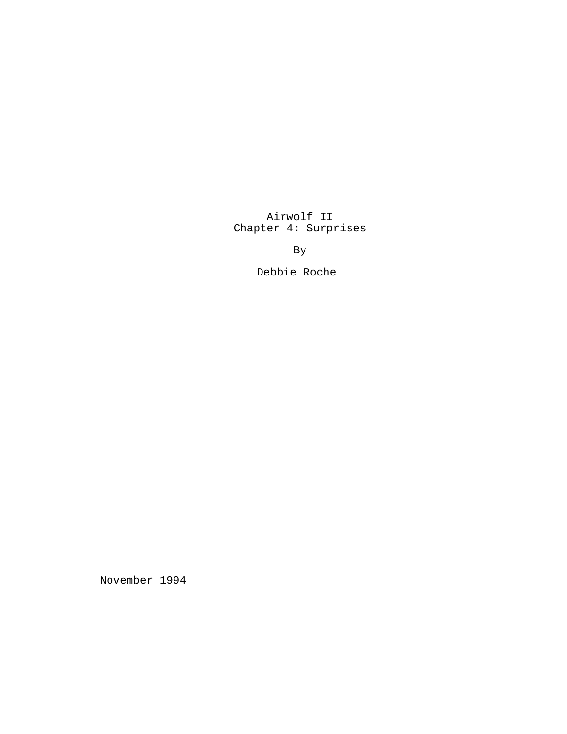# Airwolf II Chapter 4: Surprises

By

Debbie Roche

November 1994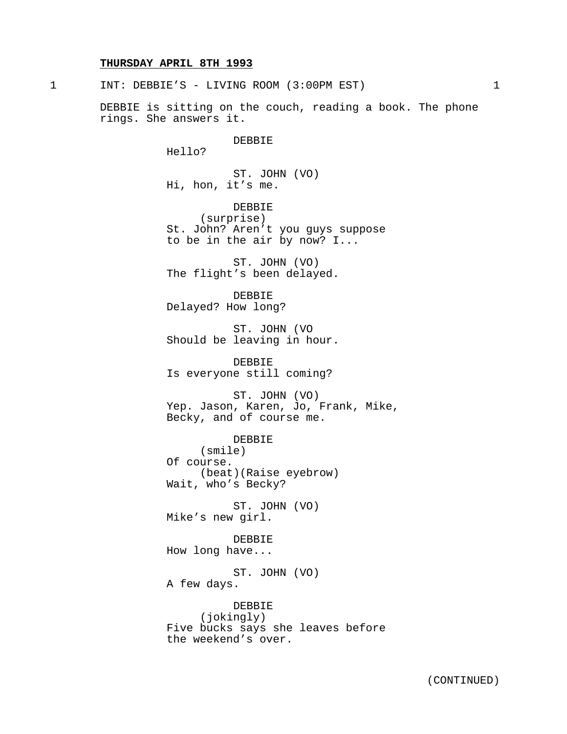#### **THURSDAY APRIL 8TH 1993**

1 INT: DEBBIE'S - LIVING ROOM (3:00PM EST) 1

DEBBIE is sitting on the couch, reading a book. The phone rings. She answers it.

## DEBBIE

Hello?

ST. JOHN (VO) Hi, hon, it's me.

DEBBIE (surprise) St. John? Aren't you guys suppose to be in the air by now? I...

ST. JOHN (VO) The flight's been delayed.

DEBBIE Delayed? How long?

ST. JOHN (VO Should be leaving in hour.

DEBBIE Is everyone still coming?

ST. JOHN (VO) Yep. Jason, Karen, Jo, Frank, Mike, Becky, and of course me.

DEBBIE (smile) Of course. (beat)(Raise eyebrow) Wait, who's Becky?

ST. JOHN (VO) Mike's new girl.

DEBBIE How long have...

ST. JOHN (VO) A few days.

DEBBIE (jokingly) Five bucks says she leaves before the weekend's over.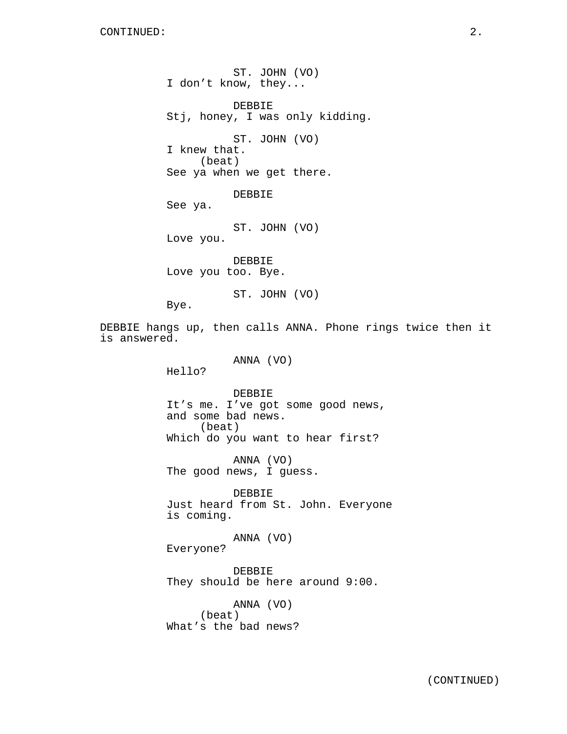ST. JOHN (VO) I don't know, they... DEBBIE Stj, honey, I was only kidding. ST. JOHN (VO) I knew that. (beat) See ya when we get there. DEBBIE See ya. ST. JOHN (VO) Love you. DEBBIE Love you too. Bye. ST. JOHN (VO) Bye. DEBBIE hangs up, then calls ANNA. Phone rings twice then it is answered. ANNA (VO) Hello? DEBBIE It's me. I've got some good news, and some bad news. (beat) Which do you want to hear first? ANNA (VO) The good news, I guess. DEBBIE Just heard from St. John. Everyone is coming. ANNA (VO) Everyone? DEBBIE They should be here around 9:00. ANNA (VO) (beat) What's the bad news?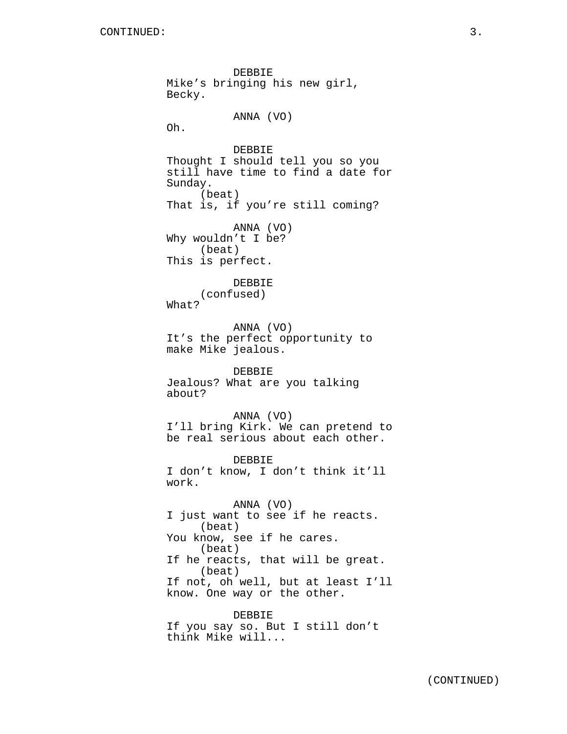DEBBIE Mike's bringing his new girl, Becky. ANNA (VO) Oh. DEBBIE Thought I should tell you so you still have time to find a date for Sunday. (beat) That is, if you're still coming? ANNA (VO) Why wouldn't I be? (beat) This is perfect. DEBBIE (confused) What? ANNA (VO) It's the perfect opportunity to make Mike jealous. DEBBIE Jealous? What are you talking about? ANNA (VO) I'll bring Kirk. We can pretend to be real serious about each other. DEBBIE I don't know, I don't think it'll work. ANNA (VO) I just want to see if he reacts. (beat) You know, see if he cares. (beat) If he reacts, that will be great. (beat) If not, oh well, but at least I'll know. One way or the other. DEBBIE If you say so. But I still don't think Mike will...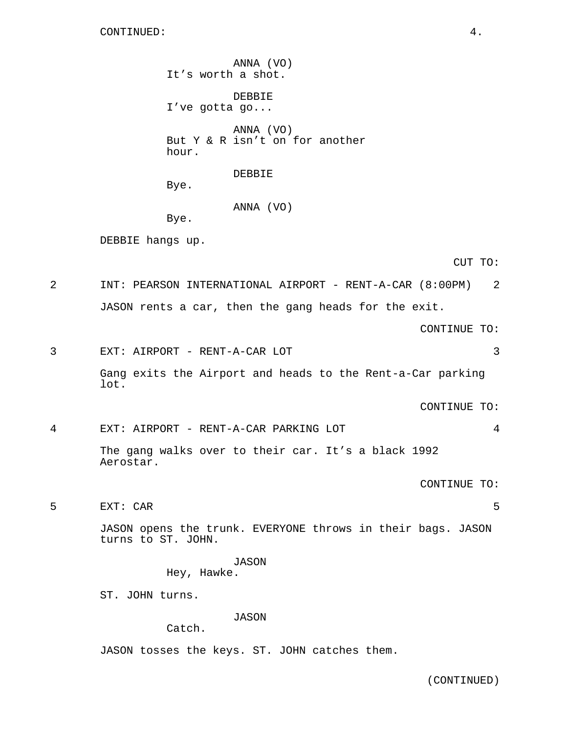ANNA (VO) It's worth a shot. DEBBIE I've gotta go... ANNA (VO) But Y & R isn't on for another hour. DEBBIE Bye. ANNA (VO) Bye. DEBBIE hangs up. CUT TO: 2 INT: PEARSON INTERNATIONAL AIRPORT - RENT-A-CAR (8:00PM) 2 JASON rents a car, then the gang heads for the exit. CONTINUE TO: 3 EXT: AIRPORT - RENT-A-CAR LOT 3 Gang exits the Airport and heads to the Rent-a-Car parking lot. CONTINUE TO: 4 EXT: AIRPORT - RENT-A-CAR PARKING LOT 4 The gang walks over to their car. It's a black 1992 Aerostar. CONTINUE TO: 5 EXT: CAR 5 JASON opens the trunk. EVERYONE throws in their bags. JASON turns to ST. JOHN. JASON Hey, Hawke. ST. JOHN turns. JASON Catch. JASON tosses the keys. ST. JOHN catches them.

(CONTINUED)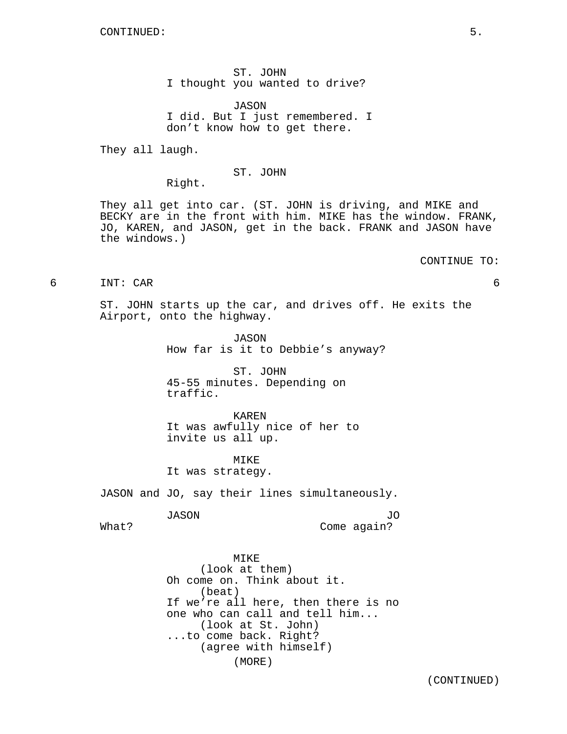ST. JOHN I thought you wanted to drive?

JASON I did. But I just remembered. I don't know how to get there.

They all laugh.

## ST. JOHN

Right.

They all get into car. (ST. JOHN is driving, and MIKE and BECKY are in the front with him. MIKE has the window. FRANK, JO, KAREN, and JASON, get in the back. FRANK and JASON have the windows.)

#### CONTINUE TO:

6 INT: CAR 6

ST. JOHN starts up the car, and drives off. He exits the Airport, onto the highway.

> JASON How far is it to Debbie's anyway?

ST. JOHN 45-55 minutes. Depending on traffic.

KAREN It was awfully nice of her to invite us all up.

MIKE It was strategy.

JASON and JO, say their lines simultaneously.

JASON

JO Come again?

What?

MIKE (look at them) Oh come on. Think about it. (beat) If we're all here, then there is no one who can call and tell him... (look at St. John) ...to come back. Right? (agree with himself) (MORE)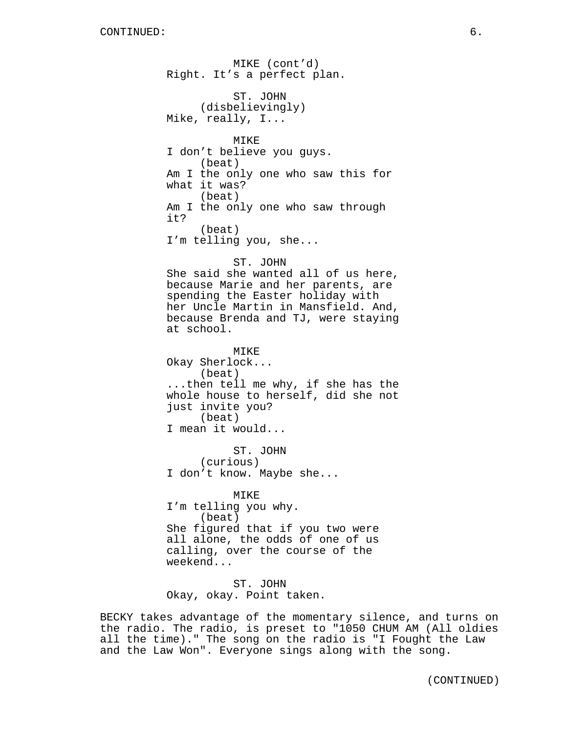MIKE (cont'd) Right. It's a perfect plan. ST. JOHN (disbelievingly) Mike, really, I... MIKE I don't believe you guys. (beat) Am I the only one who saw this for what it was? (beat) Am I the only one who saw through it? (beat) I'm telling you, she... ST. JOHN She said she wanted all of us here, because Marie and her parents, are spending the Easter holiday with her Uncle Martin in Mansfield. And, because Brenda and TJ, were staying at school. MIKE Okay Sherlock... (beat) ...then tell me why, if she has the whole house to herself, did she not just invite you? (beat) I mean it would... ST. JOHN (curious) I don't know. Maybe she... MIKE I'm telling you why. (beat) She figured that if you two were all alone, the odds of one of us calling, over the course of the weekend...

ST. JOHN Okay, okay. Point taken.

BECKY takes advantage of the momentary silence, and turns on the radio. The radio, is preset to "1050 CHUM AM (All oldies all the time)." The song on the radio is "I Fought the Law and the Law Won". Everyone sings along with the song.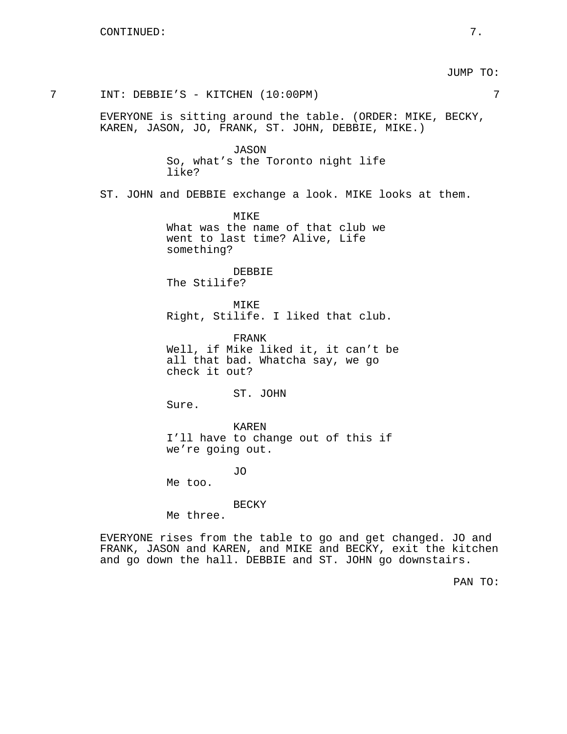JUMP TO:

EVERYONE is sitting around the table. (ORDER: MIKE, BECKY, KAREN, JASON, JO, FRANK, ST. JOHN, DEBBIE, MIKE.) JASON

So, what's the Toronto night life like?

7 INT: DEBBIE'S - KITCHEN (10:00PM) 7

ST. JOHN and DEBBIE exchange a look. MIKE looks at them.

MIKE What was the name of that club we went to last time? Alive, Life something?

DEBBIE The Stilife?

MIKE Right, Stilife. I liked that club.

FRANK Well, if Mike liked it, it can't be all that bad. Whatcha say, we go check it out?

ST. JOHN

Sure.

KAREN I'll have to change out of this if we're going out.

JO

Me too.

BECKY

Me three.

EVERYONE rises from the table to go and get changed. JO and FRANK, JASON and KAREN, and MIKE and BECKY, exit the kitchen and go down the hall. DEBBIE and ST. JOHN go downstairs.

PAN TO: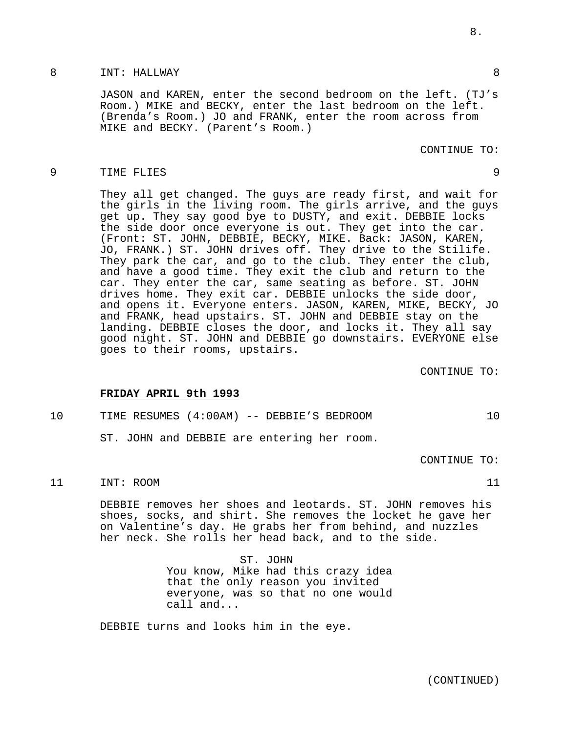## 8 INT: HALLWAY 8

JASON and KAREN, enter the second bedroom on the left. (TJ's Room.) MIKE and BECKY, enter the last bedroom on the left. (Brenda's Room.) JO and FRANK, enter the room across from MIKE and BECKY. (Parent's Room.)

## CONTINUE TO:

#### 9 TIME FLIES 9

They all get changed. The guys are ready first, and wait for the girls in the living room. The girls arrive, and the guys get up. They say good bye to DUSTY, and exit. DEBBIE locks the side door once everyone is out. They get into the car. (Front: ST. JOHN, DEBBIE, BECKY, MIKE. Back: JASON, KAREN, JO, FRANK.) ST. JOHN drives off. They drive to the Stilife. They park the car, and go to the club. They enter the club, and have a good time. They exit the club and return to the car. They enter the car, same seating as before. ST. JOHN drives home. They exit car. DEBBIE unlocks the side door, and opens it. Everyone enters. JASON, KAREN, MIKE, BECKY, JO and FRANK, head upstairs. ST. JOHN and DEBBIE stay on the landing. DEBBIE closes the door, and locks it. They all say good night. ST. JOHN and DEBBIE go downstairs. EVERYONE else goes to their rooms, upstairs.

CONTINUE TO:

## **FRIDAY APRIL 9th 1993**

10 TIME RESUMES (4:00AM) -- DEBBIE'S BEDROOM 10

ST. JOHN and DEBBIE are entering her room.

CONTINUE TO:

# 11 INT: ROOM 11

DEBBIE removes her shoes and leotards. ST. JOHN removes his shoes, socks, and shirt. She removes the locket he gave her on Valentine's day. He grabs her from behind, and nuzzles her neck. She rolls her head back, and to the side.

> ST. JOHN You know, Mike had this crazy idea that the only reason you invited everyone, was so that no one would call and...

DEBBIE turns and looks him in the eye.

8.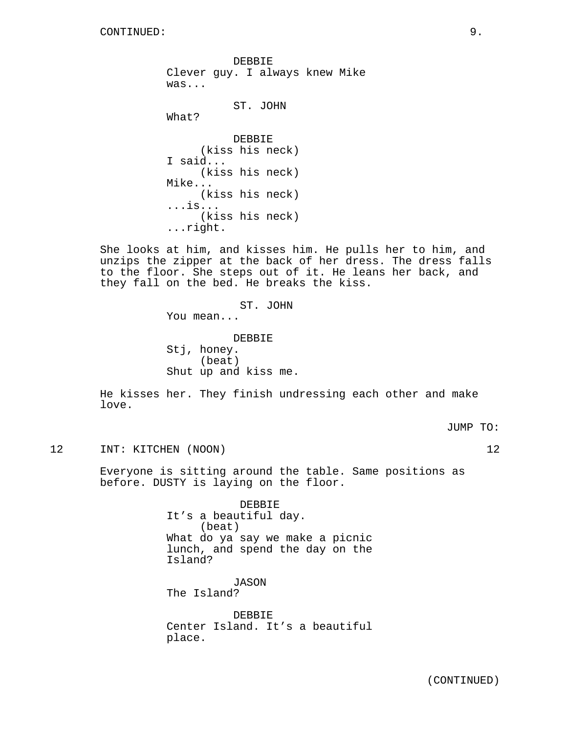DEBBIE Clever guy. I always knew Mike was...

```
ST. JOHN
```
What?

```
DEBBIE
     (kiss his neck)
I said...
     (kiss his neck)
Mike...
     (kiss his neck)
...is...
     (kiss his neck)
...right.
```
She looks at him, and kisses him. He pulls her to him, and unzips the zipper at the back of her dress. The dress falls to the floor. She steps out of it. He leans her back, and they fall on the bed. He breaks the kiss.

# ST. JOHN

You mean...

DEBBIE Stj, honey. (beat) Shut up and kiss me.

He kisses her. They finish undressing each other and make love.

JUMP TO:

12 INT: KITCHEN (NOON) 12

Everyone is sitting around the table. Same positions as before. DUSTY is laying on the floor.

> DEBBIE It's a beautiful day. (beat) What do ya say we make a picnic lunch, and spend the day on the Island?

JASON The Island?

DEBBIE Center Island. It's a beautiful place.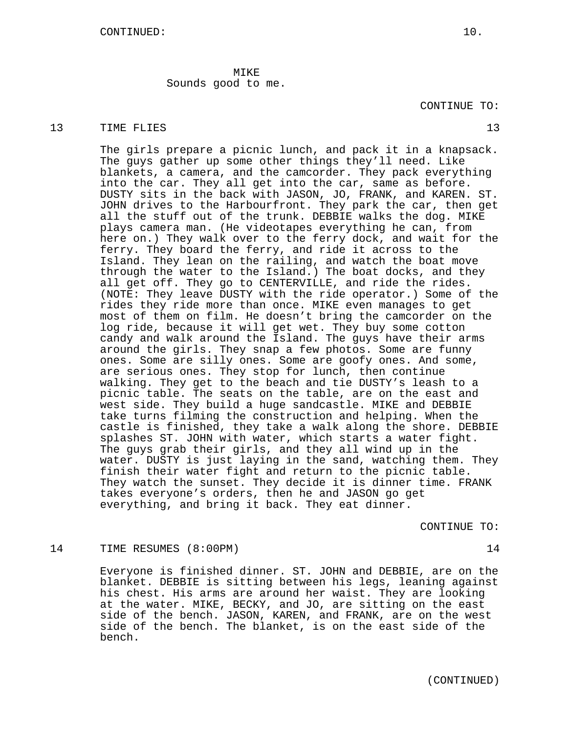MIKE Sounds good to me.

## 13 TIME FLIES 23

The girls prepare a picnic lunch, and pack it in a knapsack. The guys gather up some other things they'll need. Like blankets, a camera, and the camcorder. They pack everything into the car. They all get into the car, same as before. DUSTY sits in the back with JASON, JO, FRANK, and KAREN. ST. JOHN drives to the Harbourfront. They park the car, then get all the stuff out of the trunk. DEBBIE walks the dog. MIKE plays camera man. (He videotapes everything he can, from here on.) They walk over to the ferry dock, and wait for the ferry. They board the ferry, and ride it across to the Island. They lean on the railing, and watch the boat move through the water to the Island.) The boat docks, and they all get off. They go to CENTERVILLE, and ride the rides. (NOTE: They leave DUSTY with the ride operator.) Some of the rides they ride more than once. MIKE even manages to get most of them on film. He doesn't bring the camcorder on the log ride, because it will get wet. They buy some cotton candy and walk around the Island. The guys have their arms around the girls. They snap a few photos. Some are funny ones. Some are silly ones. Some are goofy ones. And some, are serious ones. They stop for lunch, then continue walking. They get to the beach and tie DUSTY's leash to a picnic table. The seats on the table, are on the east and west side. They build a huge sandcastle. MIKE and DEBBIE take turns filming the construction and helping. When the castle is finished, they take a walk along the shore. DEBBIE splashes ST. JOHN with water, which starts a water fight. The guys grab their girls, and they all wind up in the water. DUSTY is just laying in the sand, watching them. They finish their water fight and return to the picnic table. They watch the sunset. They decide it is dinner time. FRANK takes everyone's orders, then he and JASON go get everything, and bring it back. They eat dinner.

CONTINUE TO:

# 14 TIME RESUMES (8:00PM) 14

Everyone is finished dinner. ST. JOHN and DEBBIE, are on the blanket. DEBBIE is sitting between his legs, leaning against his chest. His arms are around her waist. They are looking at the water. MIKE, BECKY, and JO, are sitting on the east side of the bench. JASON, KAREN, and FRANK, are on the west side of the bench. The blanket, is on the east side of the bench.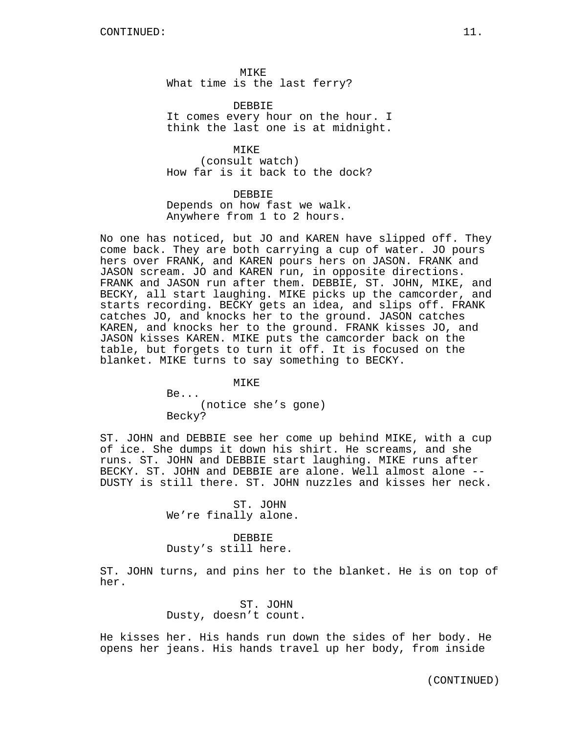MIKE What time is the last ferry?

DEBBIE It comes every hour on the hour. I think the last one is at midnight.

MTKF. (consult watch) How far is it back to the dock?

DEBBIE Depends on how fast we walk. Anywhere from 1 to 2 hours.

No one has noticed, but JO and KAREN have slipped off. They come back. They are both carrying a cup of water. JO pours hers over FRANK, and KAREN pours hers on JASON. FRANK and JASON scream. JO and KAREN run, in opposite directions. FRANK and JASON run after them. DEBBIE, ST. JOHN, MIKE, and BECKY, all start laughing. MIKE picks up the camcorder, and starts recording. BECKY gets an idea, and slips off. FRANK catches JO, and knocks her to the ground. JASON catches KAREN, and knocks her to the ground. FRANK kisses JO, and JASON kisses KAREN. MIKE puts the camcorder back on the table, but forgets to turn it off. It is focused on the blanket. MIKE turns to say something to BECKY.

> MIKE Be... (notice she's gone) Becky?

ST. JOHN and DEBBIE see her come up behind MIKE, with a cup of ice. She dumps it down his shirt. He screams, and she runs. ST. JOHN and DEBBIE start laughing. MIKE runs after BECKY. ST. JOHN and DEBBIE are alone. Well almost alone -- DUSTY is still there. ST. JOHN nuzzles and kisses her neck.

> ST. JOHN We're finally alone.

DEBBIE Dusty's still here.

ST. JOHN turns, and pins her to the blanket. He is on top of her.

> ST. JOHN Dusty, doesn't count.

He kisses her. His hands run down the sides of her body. He opens her jeans. His hands travel up her body, from inside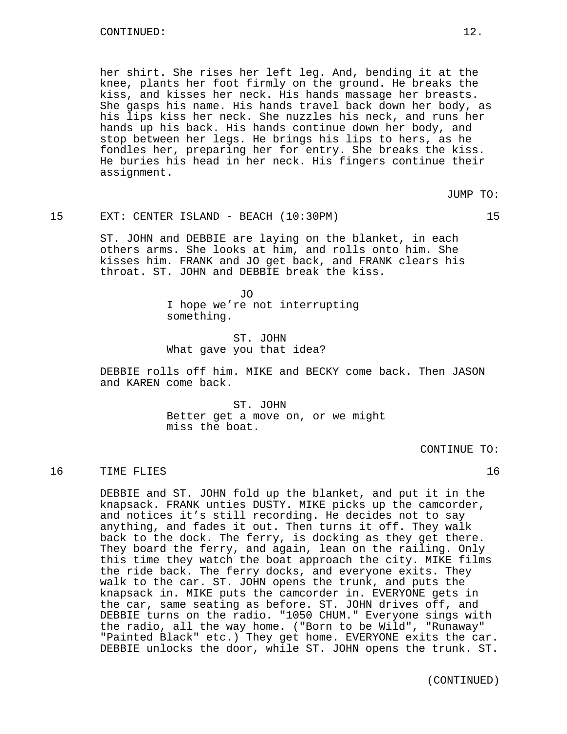her shirt. She rises her left leg. And, bending it at the knee, plants her foot firmly on the ground. He breaks the kiss, and kisses her neck. His hands massage her breasts. She gasps his name. His hands travel back down her body, as his lips kiss her neck. She nuzzles his neck, and runs her hands up his back. His hands continue down her body, and stop between her legs. He brings his lips to hers, as he fondles her, preparing her for entry. She breaks the kiss. He buries his head in her neck. His fingers continue their assignment.

JUMP TO:

## 15 EXT: CENTER ISLAND - BEACH (10:30PM) 15

ST. JOHN and DEBBIE are laying on the blanket, in each others arms. She looks at him, and rolls onto him. She kisses him. FRANK and JO get back, and FRANK clears his throat. ST. JOHN and DEBBIE break the kiss.

> JO I hope we're not interrupting something.

ST. JOHN What gave you that idea?

DEBBIE rolls off him. MIKE and BECKY come back. Then JASON and KAREN come back.

> ST. JOHN Better get a move on, or we might miss the boat.

> > CONTINUE TO:

16 TIME FLIES 2018 16

DEBBIE and ST. JOHN fold up the blanket, and put it in the knapsack. FRANK unties DUSTY. MIKE picks up the camcorder, and notices it's still recording. He decides not to say anything, and fades it out. Then turns it off. They walk back to the dock. The ferry, is docking as they get there. They board the ferry, and again, lean on the railing. Only this time they watch the boat approach the city. MIKE films the ride back. The ferry docks, and everyone exits. They walk to the car. ST. JOHN opens the trunk, and puts the knapsack in. MIKE puts the camcorder in. EVERYONE gets in the car, same seating as before. ST. JOHN drives off, and DEBBIE turns on the radio. "1050 CHUM." Everyone sings with the radio, all the way home. ("Born to be Wild", "Runaway" "Painted Black" etc.) They get home. EVERYONE exits the car. DEBBIE unlocks the door, while ST. JOHN opens the trunk. ST.

(CONTINUED)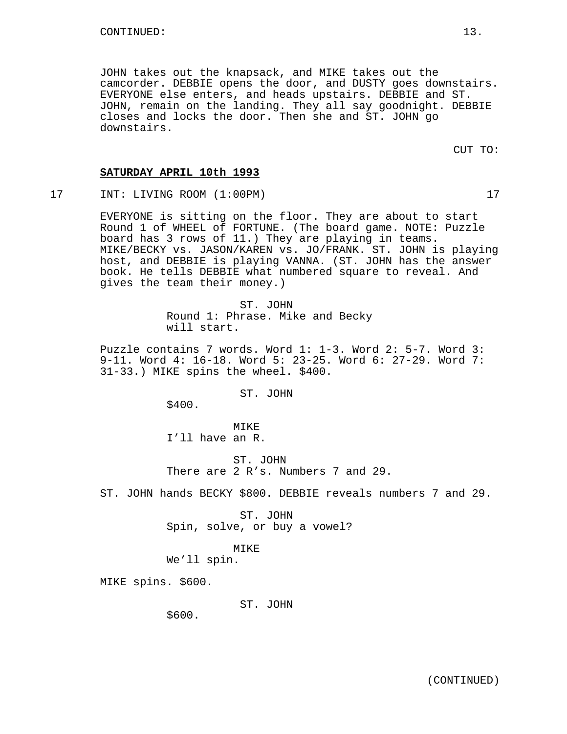JOHN takes out the knapsack, and MIKE takes out the camcorder. DEBBIE opens the door, and DUSTY goes downstairs. EVERYONE else enters, and heads upstairs. DEBBIE and ST. JOHN, remain on the landing. They all say goodnight. DEBBIE closes and locks the door. Then she and ST. JOHN go downstairs.

# **SATURDAY APRIL 10th 1993**

17 INT: LIVING ROOM (1:00PM) 17

EVERYONE is sitting on the floor. They are about to start Round 1 of WHEEL of FORTUNE. (The board game. NOTE: Puzzle board has 3 rows of 11.) They are playing in teams. MIKE/BECKY vs. JASON/KAREN vs. JO/FRANK. ST. JOHN is playing host, and DEBBIE is playing VANNA. (ST. JOHN has the answer book. He tells DEBBIE what numbered square to reveal. And gives the team their money.)

> ST. JOHN Round 1: Phrase. Mike and Becky will start.

Puzzle contains 7 words. Word 1: 1-3. Word 2: 5-7. Word 3: 9-11. Word 4: 16-18. Word 5: 23-25. Word 6: 27-29. Word 7: 31-33.) MIKE spins the wheel. \$400.

ST. JOHN

\$400.

MTK<sub>E</sub> I'll have an R.

ST. JOHN There are 2 R's. Numbers 7 and 29.

ST. JOHN hands BECKY \$800. DEBBIE reveals numbers 7 and 29.

ST. JOHN Spin, solve, or buy a vowel?

MIKE

We'll spin.

MIKE spins. \$600.

ST. JOHN

\$600.

CUT TO: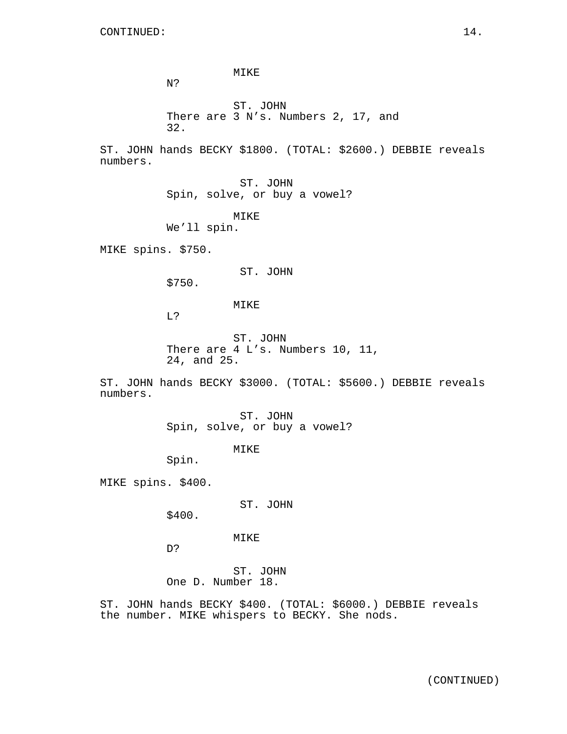N?

ST. JOHN There are 3 N's. Numbers 2, 17, and 32.

ST. JOHN hands BECKY \$1800. (TOTAL: \$2600.) DEBBIE reveals numbers.

> ST. JOHN Spin, solve, or buy a vowel?

MIKE

MIKE We'll spin.

MIKE spins. \$750.

ST. JOHN

\$750.

MIKE

L?

ST. JOHN There are 4 L's. Numbers 10, 11, 24, and 25.

ST. JOHN hands BECKY \$3000. (TOTAL: \$5600.) DEBBIE reveals numbers.

> ST. JOHN Spin, solve, or buy a vowel?

> > MIKE

Spin.

MIKE spins. \$400.

ST. JOHN

\$400.

MIKE

D?

ST. JOHN One D. Number 18.

ST. JOHN hands BECKY \$400. (TOTAL: \$6000.) DEBBIE reveals the number. MIKE whispers to BECKY. She nods.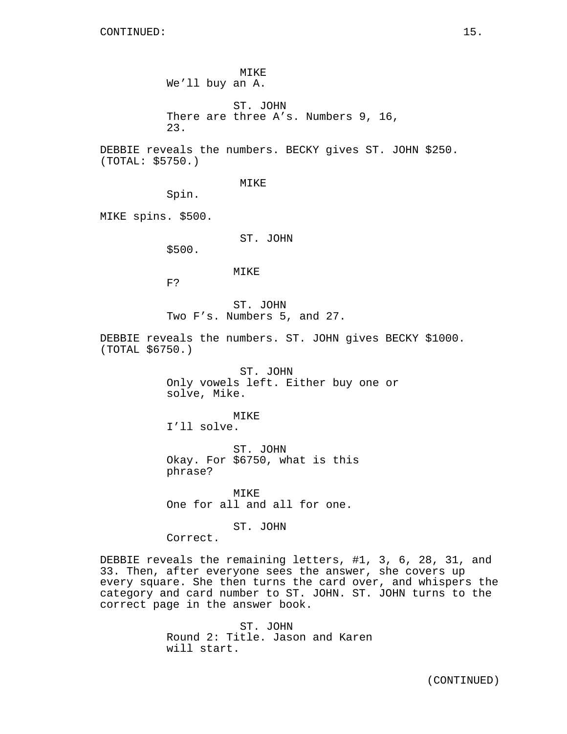MIKE We'll buy an A.

ST. JOHN There are three A's. Numbers 9, 16, 23.

DEBBIE reveals the numbers. BECKY gives ST. JOHN \$250. (TOTAL: \$5750.)

MIKE

Spin.

MIKE spins. \$500.

ST. JOHN

\$500.

#### MIKE

F?

ST. JOHN Two F's. Numbers 5, and 27.

DEBBIE reveals the numbers. ST. JOHN gives BECKY \$1000. (TOTAL \$6750.)

> ST. JOHN Only vowels left. Either buy one or solve, Mike.

MIKE I'll solve.

ST. JOHN Okay. For \$6750, what is this phrase?

MIKE One for all and all for one.

ST. JOHN

Correct.

DEBBIE reveals the remaining letters, #1, 3, 6, 28, 31, and 33. Then, after everyone sees the answer, she covers up every square. She then turns the card over, and whispers the category and card number to ST. JOHN. ST. JOHN turns to the correct page in the answer book.

> ST. JOHN Round 2: Title. Jason and Karen will start.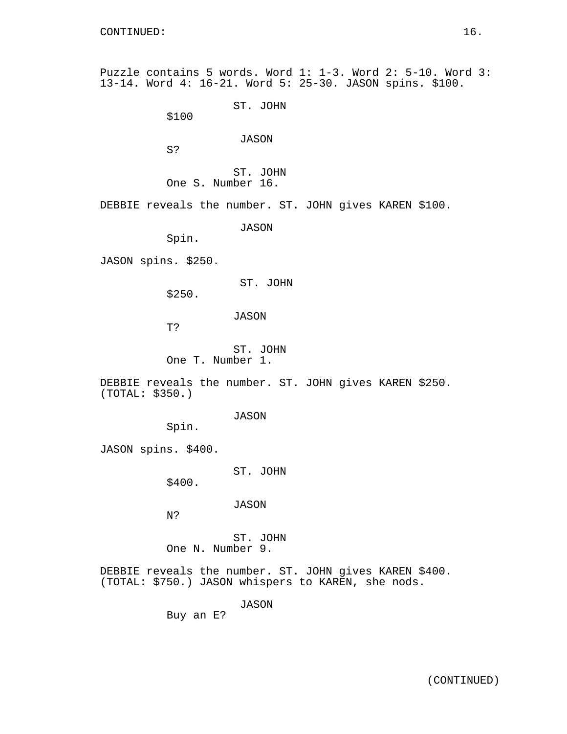Puzzle contains 5 words. Word 1: 1-3. Word 2: 5-10. Word 3: 13-14. Word 4: 16-21. Word 5: 25-30. JASON spins. \$100. ST. JOHN \$100 JASON S? ST. JOHN One S. Number 16. DEBBIE reveals the number. ST. JOHN gives KAREN \$100. JASON Spin. JASON spins. \$250. ST. JOHN \$250. JASON T? ST. JOHN One T. Number 1. DEBBIE reveals the number. ST. JOHN gives KAREN \$250. (TOTAL: \$350.) JASON Spin. JASON spins. \$400.

ST. JOHN

\$400.

JASON

N?

ST. JOHN One N. Number 9.

DEBBIE reveals the number. ST. JOHN gives KAREN \$400. (TOTAL: \$750.) JASON whispers to KAREN, she nods.

JASON

Buy an E?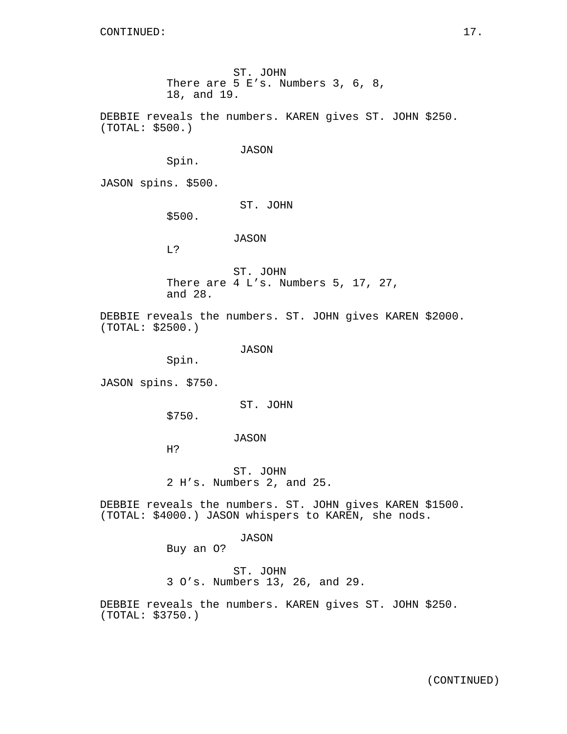(TOTAL: \$500.)

JASON spins. \$500.

ST. JOHN There are 4 L's. Numbers 5, 17, 27, and 28.

DEBBIE reveals the numbers. ST. JOHN gives KAREN \$2000. (TOTAL: \$2500.)

JASON

ST. JOHN

JASON

ST. JOHN

JASON

18, and 19.

Spin.

\$500.

L?

There are 5 E's. Numbers 3, 6, 8,

DEBBIE reveals the numbers. KAREN gives ST. JOHN \$250.

Spin.

JASON spins. \$750.

ST. JOHN

\$750.

JASON

H?

ST. JOHN 2 H's. Numbers 2, and 25.

DEBBIE reveals the numbers. ST. JOHN gives KAREN \$1500. (TOTAL: \$4000.) JASON whispers to KAREN, she nods.

JASON

Buy an O?

ST. JOHN 3 O's. Numbers 13, 26, and 29.

DEBBIE reveals the numbers. KAREN gives ST. JOHN \$250. (TOTAL: \$3750.)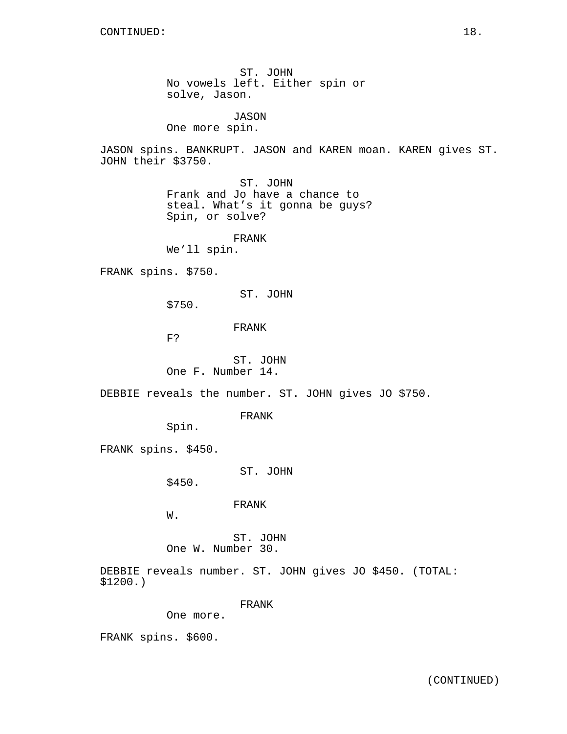ST. JOHN No vowels left. Either spin or solve, Jason.

JASON One more spin.

JASON spins. BANKRUPT. JASON and KAREN moan. KAREN gives ST. JOHN their \$3750.

> ST. JOHN Frank and Jo have a chance to steal. What's it gonna be guys? Spin, or solve?

FRANK We'll spin.

FRANK spins. \$750.

ST. JOHN

\$750.

FRANK

F?

ST. JOHN One F. Number 14.

DEBBIE reveals the number. ST. JOHN gives JO \$750.

FRANK

Spin.

FRANK spins. \$450.

ST. JOHN

\$450.

FRANK

W.

ST. JOHN One W. Number 30.

DEBBIE reveals number. ST. JOHN gives JO \$450. (TOTAL: \$1200.)

FRANK

One more.

FRANK spins. \$600.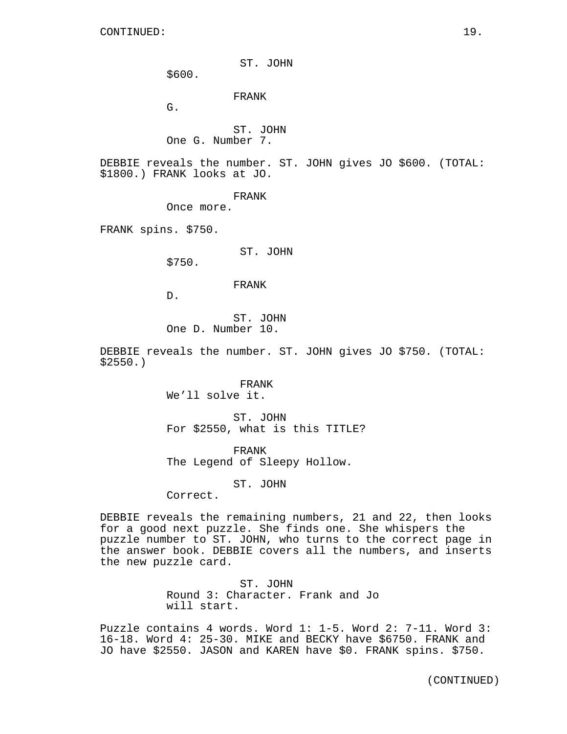ST. JOHN

\$600.

FRANK

G.

ST. JOHN

One G. Number 7.

DEBBIE reveals the number. ST. JOHN gives JO \$600. (TOTAL: \$1800.) FRANK looks at JO.

FRANK

Once more.

FRANK spins. \$750.

ST. JOHN

\$750.

## FRANK

D.

ST. JOHN One D. Number 10.

DEBBIE reveals the number. ST. JOHN gives JO \$750. (TOTAL: \$2550.)

> FRANK We'll solve it.

ST. JOHN For \$2550, what is this TITLE?

FRANK The Legend of Sleepy Hollow.

ST. JOHN

Correct.

DEBBIE reveals the remaining numbers, 21 and 22, then looks for a good next puzzle. She finds one. She whispers the puzzle number to ST. JOHN, who turns to the correct page in the answer book. DEBBIE covers all the numbers, and inserts the new puzzle card.

> ST. JOHN Round 3: Character. Frank and Jo will start.

Puzzle contains 4 words. Word 1: 1-5. Word 2: 7-11. Word 3: 16-18. Word 4: 25-30. MIKE and BECKY have \$6750. FRANK and JO have \$2550. JASON and KAREN have \$0. FRANK spins. \$750.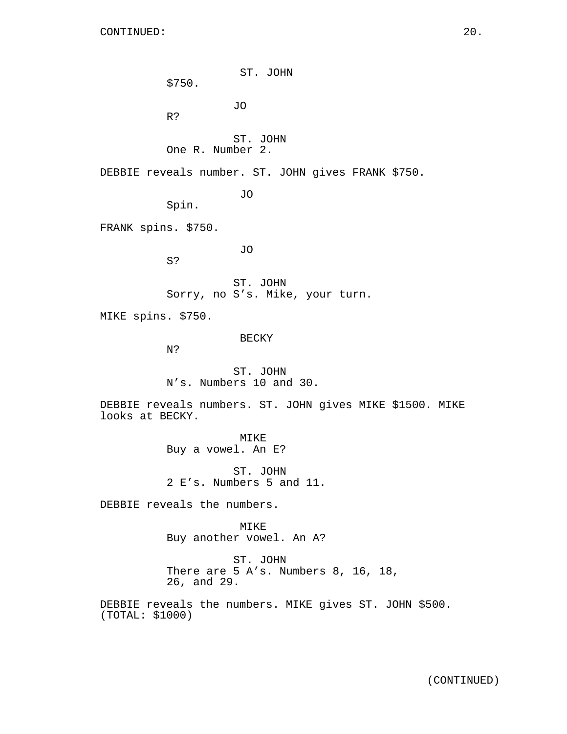ST. JOHN \$750. JO R? ST. JOHN One R. Number 2. DEBBIE reveals number. ST. JOHN gives FRANK \$750. JO Spin. FRANK spins. \$750. JO S? ST. JOHN Sorry, no S's. Mike, your turn. MIKE spins. \$750. BECKY N? ST. JOHN N's. Numbers 10 and 30. DEBBIE reveals numbers. ST. JOHN gives MIKE \$1500. MIKE looks at BECKY. MIKE Buy a vowel. An E? ST. JOHN 2 E's. Numbers 5 and 11. DEBBIE reveals the numbers. MIKE Buy another vowel. An A? ST. JOHN There are 5 A's. Numbers 8, 16, 18, 26, and 29. DEBBIE reveals the numbers. MIKE gives ST. JOHN \$500. (TOTAL: \$1000)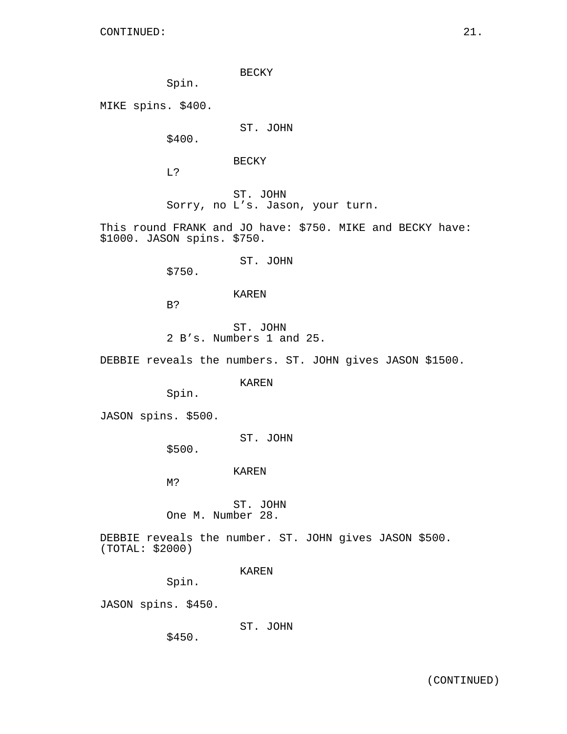BECKY

Spin.

MIKE spins. \$400.

ST. JOHN

\$400.

BECKY

L?

ST. JOHN Sorry, no L's. Jason, your turn.

This round FRANK and JO have: \$750. MIKE and BECKY have: \$1000. JASON spins. \$750.

ST. JOHN

\$750.

## KAREN

B?

ST. JOHN 2 B's. Numbers 1 and 25.

DEBBIE reveals the numbers. ST. JOHN gives JASON \$1500.

KAREN

Spin.

JASON spins. \$500.

ST. JOHN

\$500.

KAREN

M?

ST. JOHN One M. Number 28.

DEBBIE reveals the number. ST. JOHN gives JASON \$500. (TOTAL: \$2000)

KAREN

Spin.

JASON spins. \$450.

ST. JOHN

\$450.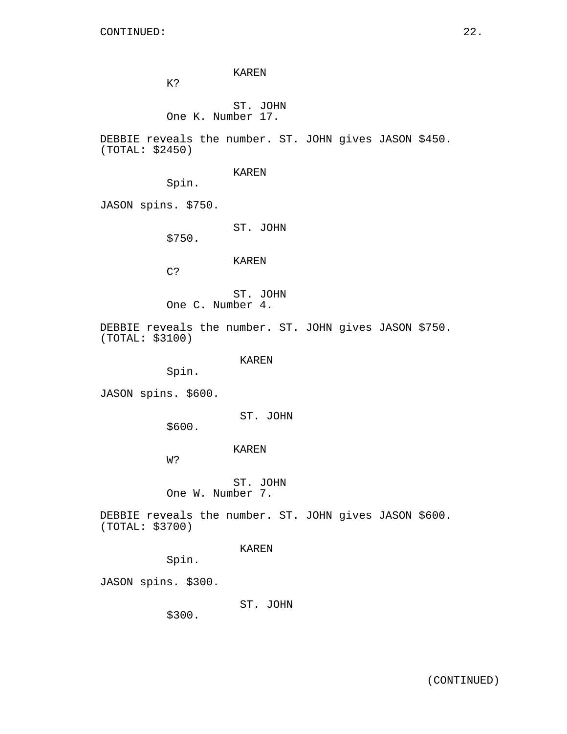KAREN

K?

# ST. JOHN One K. Number 17.

DEBBIE reveals the number. ST. JOHN gives JASON \$450. (TOTAL: \$2450)

## KAREN

Spin.

JASON spins. \$750.

ST. JOHN

\$750.

# KAREN

C?

ST. JOHN One C. Number 4.

DEBBIE reveals the number. ST. JOHN gives JASON \$750. (TOTAL: \$3100)

KAREN

Spin.

JASON spins. \$600.

ST. JOHN

\$600.

## KAREN

W?

ST. JOHN One W. Number 7.

DEBBIE reveals the number. ST. JOHN gives JASON \$600. (TOTAL: \$3700)

# KAREN

Spin.

JASON spins. \$300.

ST. JOHN

\$300.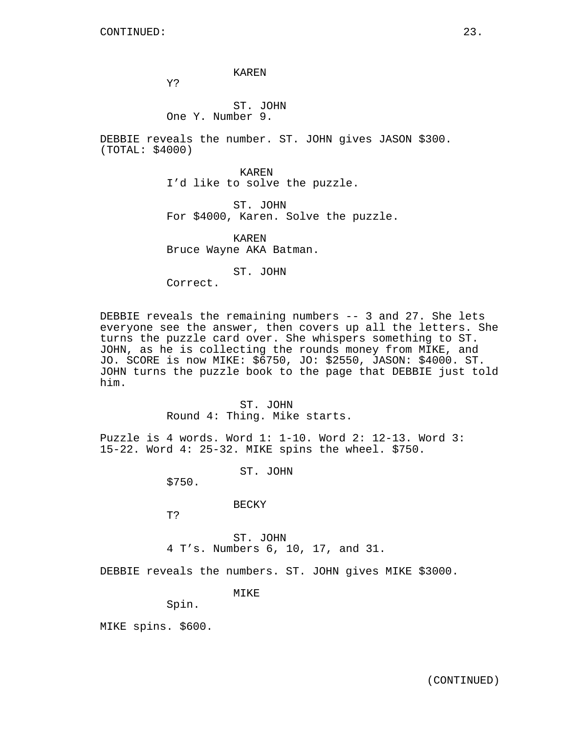KAREN

Y?

# ST. JOHN One Y. Number 9.

DEBBIE reveals the number. ST. JOHN gives JASON \$300. (TOTAL: \$4000)

> KAREN I'd like to solve the puzzle.

ST. JOHN For \$4000, Karen. Solve the puzzle.

KAREN Bruce Wayne AKA Batman.

ST. JOHN

Correct.

DEBBIE reveals the remaining numbers -- 3 and 27. She lets everyone see the answer, then covers up all the letters. She turns the puzzle card over. She whispers something to ST. JOHN, as he is collecting the rounds money from MIKE, and JO. SCORE is now MIKE: \$6750, JO: \$2550, JASON: \$4000. ST. JOHN turns the puzzle book to the page that DEBBIE just told him.

> ST. JOHN Round 4: Thing. Mike starts.

Puzzle is 4 words. Word 1: 1-10. Word 2: 12-13. Word 3: 15-22. Word 4: 25-32. MIKE spins the wheel. \$750.

ST. JOHN

\$750.

BECKY

T?

ST. JOHN 4 T's. Numbers 6, 10, 17, and 31.

DEBBIE reveals the numbers. ST. JOHN gives MIKE \$3000.

MIKE

Spin.

MIKE spins. \$600.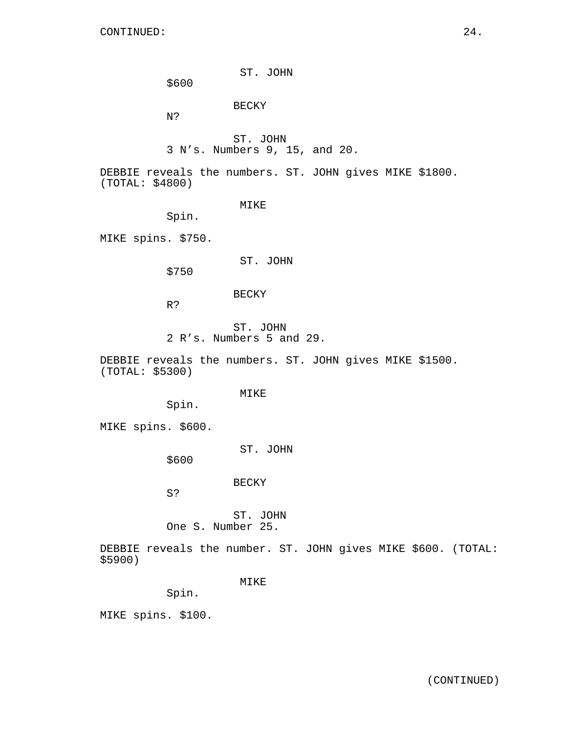ST. JOHN

\$600

# BECKY

N?

ST. JOHN 3 N's. Numbers 9, 15, and 20.

DEBBIE reveals the numbers. ST. JOHN gives MIKE \$1800. (TOTAL: \$4800)

MIKE

Spin.

MIKE spins. \$750.

ST. JOHN

\$750

## BECKY

R?

ST. JOHN 2 R's. Numbers 5 and 29.

DEBBIE reveals the numbers. ST. JOHN gives MIKE \$1500. (TOTAL: \$5300)

MIKE

Spin.

MIKE spins. \$600.

ST. JOHN

\$600

BECKY

S?

ST. JOHN One S. Number 25.

DEBBIE reveals the number. ST. JOHN gives MIKE \$600. (TOTAL: \$5900)

MIKE

Spin.

MIKE spins. \$100.

(CONTINUED)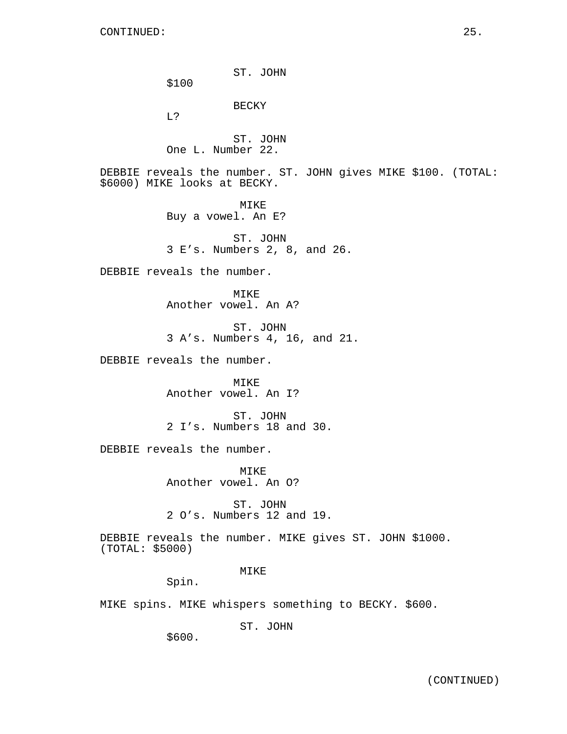ST. JOHN \$100 BECKY L? ST. JOHN One L. Number 22. DEBBIE reveals the number. ST. JOHN gives MIKE \$100. (TOTAL: \$6000) MIKE looks at BECKY. MIKE Buy a vowel. An E? ST. JOHN 3 E's. Numbers 2, 8, and 26. DEBBIE reveals the number. MTK<sub>E</sub> Another vowel. An A? ST. JOHN 3 A's. Numbers 4, 16, and 21. DEBBIE reveals the number. MIKE Another vowel. An I? ST. JOHN 2 I's. Numbers 18 and 30. DEBBIE reveals the number. MIKE Another vowel. An O? ST. JOHN 2 O's. Numbers 12 and 19. DEBBIE reveals the number. MIKE gives ST. JOHN \$1000. (TOTAL: \$5000) MIKE Spin. MIKE spins. MIKE whispers something to BECKY. \$600.

ST. JOHN

\$600.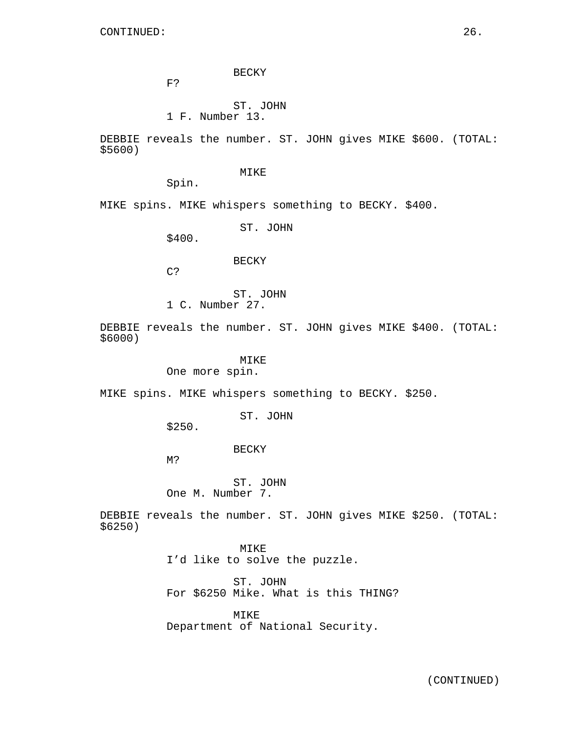BECKY

F?

ST. JOHN

1 F. Number 13.

DEBBIE reveals the number. ST. JOHN gives MIKE \$600. (TOTAL: \$5600)

MIKE

Spin.

MIKE spins. MIKE whispers something to BECKY. \$400.

ST. JOHN

\$400.

BECKY

C?

ST. JOHN

1 C. Number 27.

DEBBIE reveals the number. ST. JOHN gives MIKE \$400. (TOTAL: \$6000)

## MIKE

One more spin.

MIKE spins. MIKE whispers something to BECKY. \$250.

ST. JOHN

\$250.

BECKY

M?

ST. JOHN One M. Number 7.

DEBBIE reveals the number. ST. JOHN gives MIKE \$250. (TOTAL: \$6250)

> MIKE I'd like to solve the puzzle.

ST. JOHN For \$6250 Mike. What is this THING?

MIKE Department of National Security.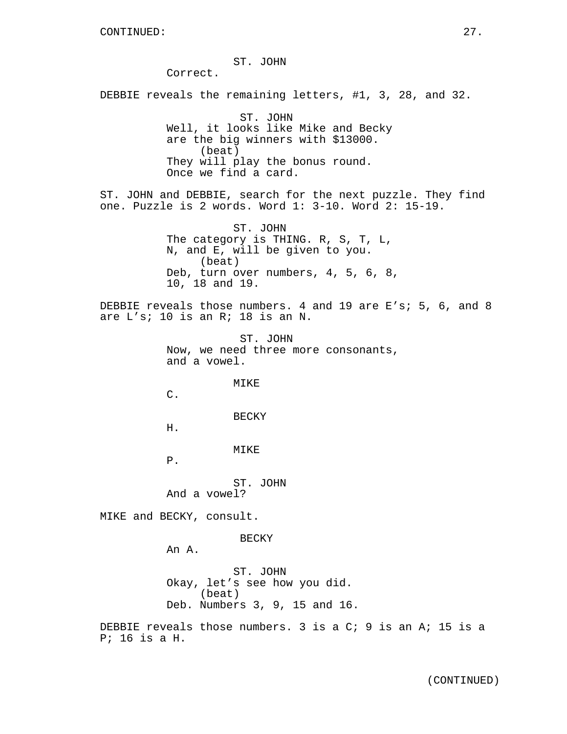#### ST. JOHN

Correct.

DEBBIE reveals the remaining letters, #1, 3, 28, and 32.

ST. JOHN Well, it looks like Mike and Becky are the big winners with \$13000. (beat) They will play the bonus round. Once we find a card.

ST. JOHN and DEBBIE, search for the next puzzle. They find one. Puzzle is 2 words. Word 1: 3-10. Word 2: 15-19.

> ST. JOHN The category is THING. R, S, T, L, N, and E, will be given to you. (beat) Deb, turn over numbers, 4, 5, 6, 8, 10, 18 and 19.

DEBBIE reveals those numbers. 4 and 19 are E's; 5, 6, and 8 are L's; 10 is an R; 18 is an N.

> ST. JOHN Now, we need three more consonants, and a vowel.

> > MIKE

C.

BECKY

H.

MIKE

P.

ST. JOHN And a vowel?

MIKE and BECKY, consult.

BECKY

An A.

ST. JOHN Okay, let's see how you did. (beat) Deb. Numbers 3, 9, 15 and 16.

DEBBIE reveals those numbers. 3 is a C; 9 is an A; 15 is a P; 16 is a H.

(CONTINUED)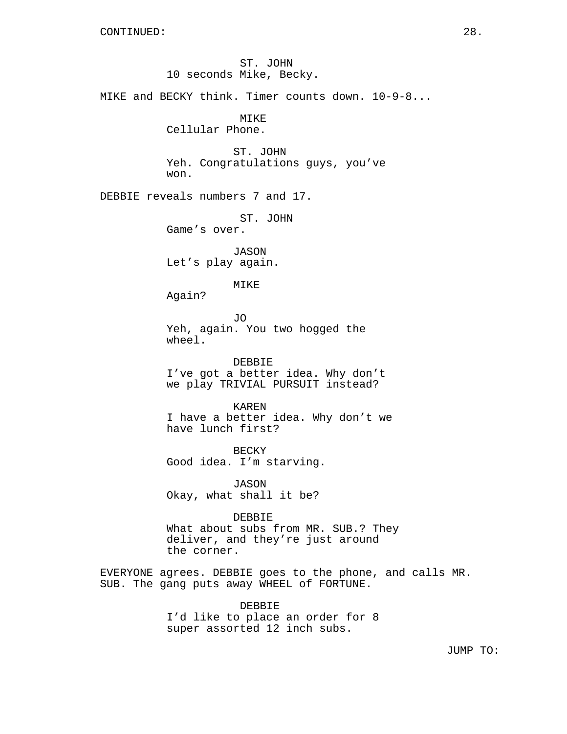ST. JOHN 10 seconds Mike, Becky. MIKE and BECKY think. Timer counts down. 10-9-8... MIKE Cellular Phone. ST. JOHN Yeh. Congratulations guys, you've won. DEBBIE reveals numbers 7 and 17. ST. JOHN Game's over. JASON Let's play again. MIKE Again? JO Yeh, again. You two hogged the wheel. DEBBIE I've got a better idea. Why don't we play TRIVIAL PURSUIT instead? KAREN I have a better idea. Why don't we have lunch first? BECKY Good idea. I'm starving. JASON Okay, what shall it be? DEBBIE What about subs from MR. SUB.? They deliver, and they're just around the corner. EVERYONE agrees. DEBBIE goes to the phone, and calls MR. SUB. The gang puts away WHEEL of FORTUNE. DEBBIE I'd like to place an order for 8 super assorted 12 inch subs.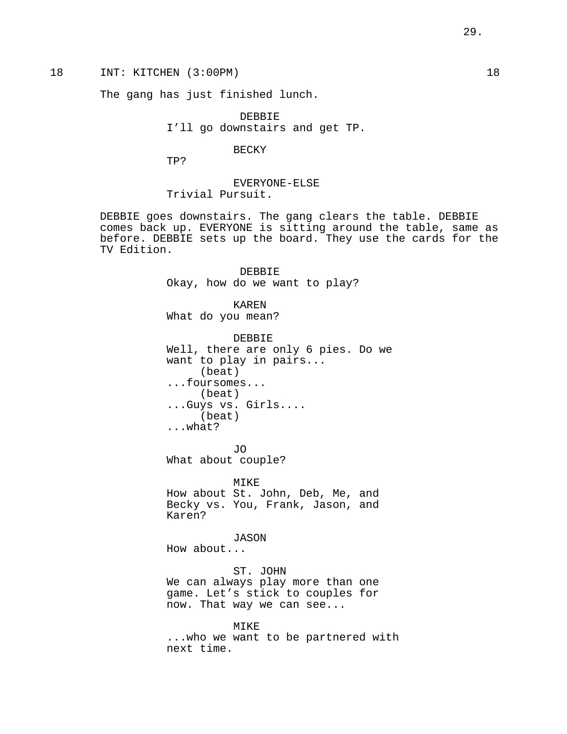# 18 INT: KITCHEN (3:00PM) 18

The gang has just finished lunch.

DEBBIE I'll go downstairs and get TP.

## BECKY

TP?

EVERYONE-ELSE Trivial Pursuit.

DEBBIE goes downstairs. The gang clears the table. DEBBIE comes back up. EVERYONE is sitting around the table, same as before. DEBBIE sets up the board. They use the cards for the TV Edition.

> DEBBIE Okay, how do we want to play? KAREN What do you mean? DEBBIE

Well, there are only 6 pies. Do we want to play in pairs... (beat) ...foursomes... (beat) ...Guys vs. Girls.... (beat) ...what?

JO What about couple?

MIKE How about St. John, Deb, Me, and Becky vs. You, Frank, Jason, and Karen?

#### JASON

How about...

ST. JOHN We can always play more than one game. Let's stick to couples for now. That way we can see...

#### MIKE

...who we want to be partnered with next time.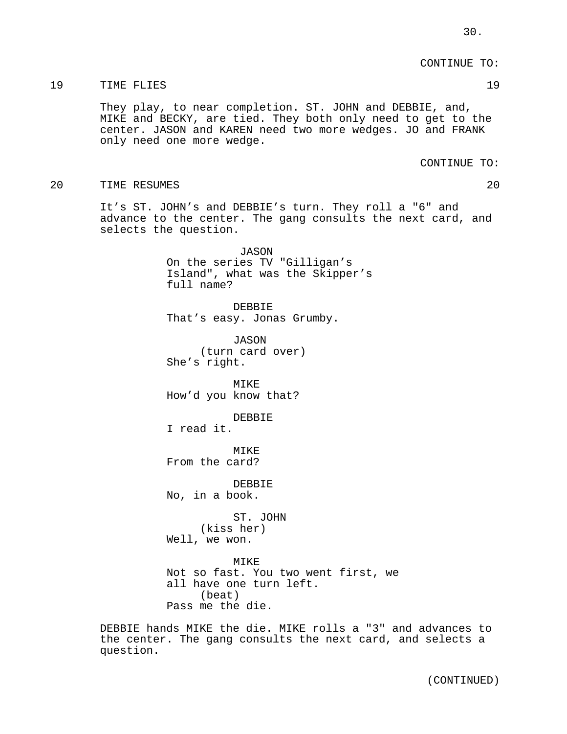CONTINUE TO:

#### 19 TIME FLIES 19

They play, to near completion. ST. JOHN and DEBBIE, and, MIKE and BECKY, are tied. They both only need to get to the center. JASON and KAREN need two more wedges. JO and FRANK only need one more wedge.

CONTINUE TO:

20 TIME RESUMES 20

It's ST. JOHN's and DEBBIE's turn. They roll a "6" and advance to the center. The gang consults the next card, and selects the question.

> JASON On the series TV "Gilligan's Island", what was the Skipper's full name?

DEBBIE That's easy. Jonas Grumby.

JASON (turn card over) She's right.

MIKE How'd you know that?

DEBBIE

I read it.

MTK<sub>F</sub> From the card?

DEBBIE No, in a book.

ST. JOHN (kiss her) Well, we won.

MIKE Not so fast. You two went first, we all have one turn left. (beat) Pass me the die.

DEBBIE hands MIKE the die. MIKE rolls a "3" and advances to the center. The gang consults the next card, and selects a question.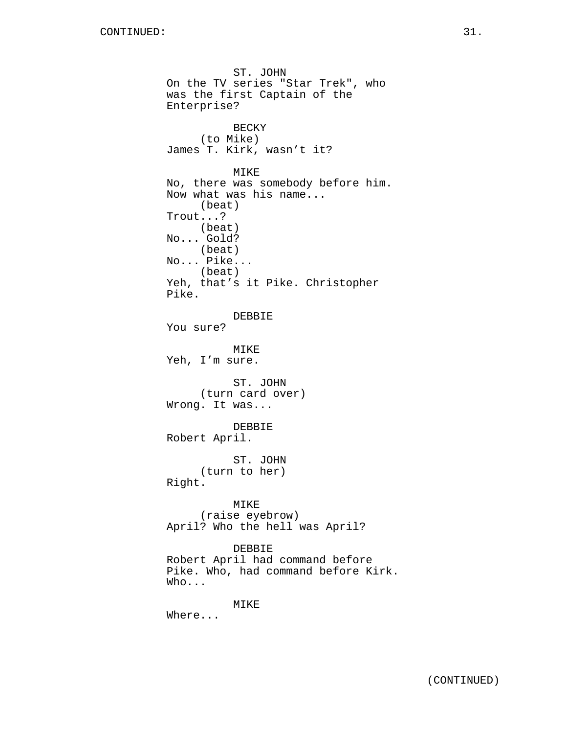ST. JOHN On the TV series "Star Trek", who was the first Captain of the Enterprise? BECKY (to Mike) James T. Kirk, wasn't it? MIKE No, there was somebody before him. Now what was his name... (beat) Trout...? (beat) No... Gold? (beat) No... Pike... (beat) Yeh, that's it Pike. Christopher Pike. DEBBIE You sure? MIKE Yeh, I'm sure. ST. JOHN (turn card over) Wrong. It was... DEBBIE Robert April. ST. JOHN (turn to her) Right. MIKE (raise eyebrow) April? Who the hell was April? DEBBIE Robert April had command before Pike. Who, had command before Kirk. Who... MIKE Where...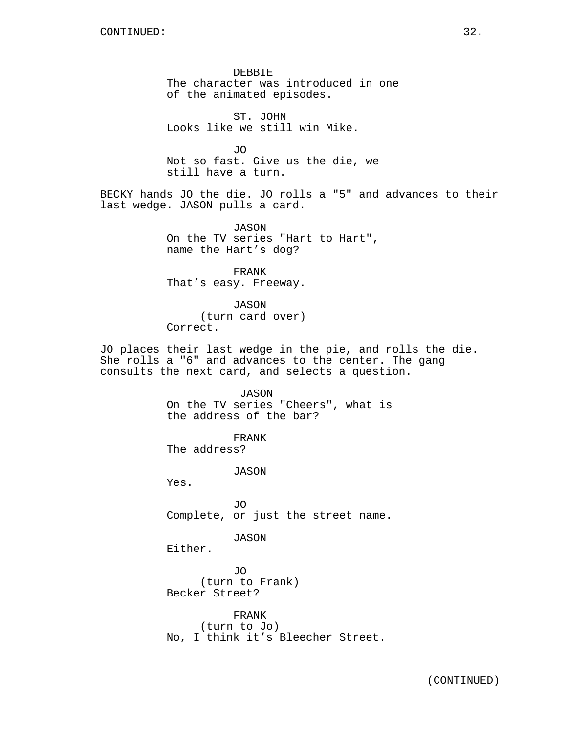DEBBIE The character was introduced in one of the animated episodes.

ST. JOHN Looks like we still win Mike.

JO Not so fast. Give us the die, we still have a turn.

BECKY hands JO the die. JO rolls a "5" and advances to their last wedge. JASON pulls a card.

> JASON On the TV series "Hart to Hart", name the Hart's dog?

FRANK That's easy. Freeway.

JASON (turn card over) Correct.

JO places their last wedge in the pie, and rolls the die. She rolls a "6" and advances to the center. The gang consults the next card, and selects a question.

> JASON On the TV series "Cheers", what is the address of the bar?

FRANK The address?

JASON

Yes.

JO Complete, or just the street name.

JASON

Either.

JO (turn to Frank) Becker Street?

FRANK (turn to Jo) No, I think it's Bleecher Street.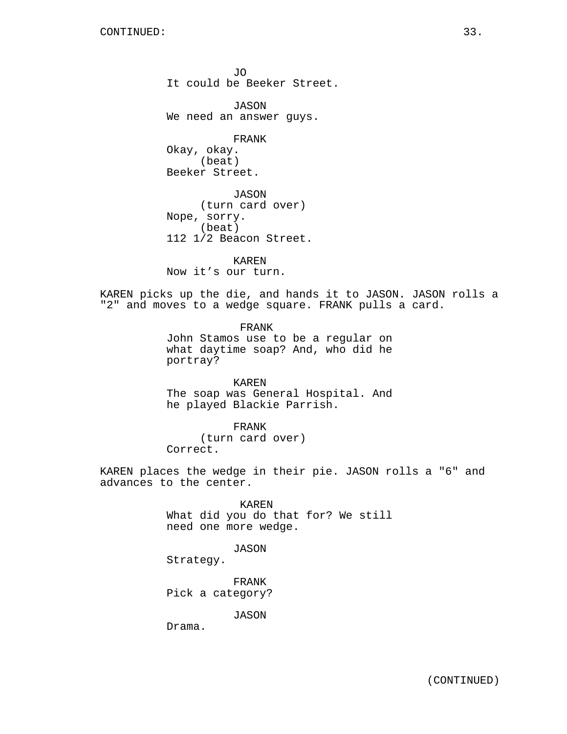JO It could be Beeker Street.

JASON We need an answer guys.

FRANK

Okay, okay. (beat) Beeker Street.

JASON (turn card over) Nope, sorry. (beat) 112 1/2 Beacon Street.

KAREN Now it's our turn.

KAREN picks up the die, and hands it to JASON. JASON rolls a "2" and moves to a wedge square. FRANK pulls a card.

> FRANK John Stamos use to be a regular on what daytime soap? And, who did he portray?

> KAREN The soap was General Hospital. And he played Blackie Parrish.

FRANK (turn card over) Correct.

KAREN places the wedge in their pie. JASON rolls a "6" and advances to the center.

KAREN

What did you do that for? We still need one more wedge.

JASON

Strategy.

FRANK Pick a category?

JASON

Drama.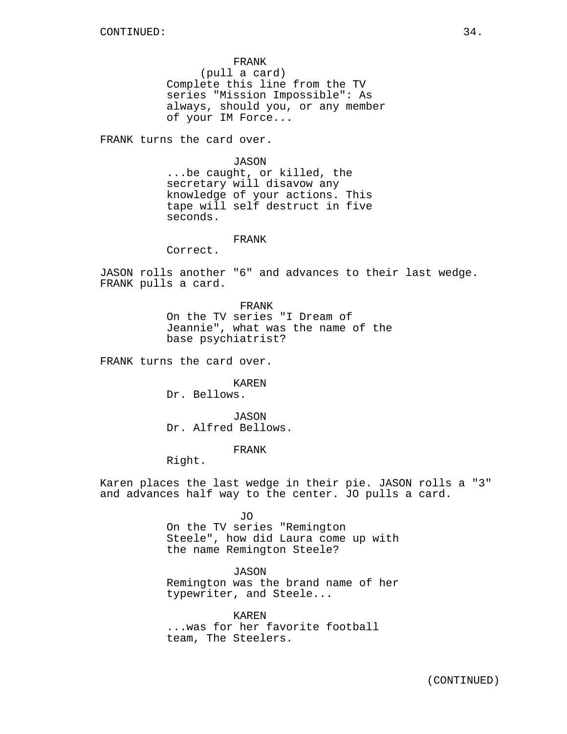FRANK (pull a card) Complete this line from the TV series "Mission Impossible": As always, should you, or any member of your IM Force...

FRANK turns the card over.

## JASON

...be caught, or killed, the secretary will disavow any knowledge of your actions. This tape will self destruct in five seconds.

## FRANK

Correct.

JASON rolls another "6" and advances to their last wedge. FRANK pulls a card.

> FRANK On the TV series "I Dream of Jeannie", what was the name of the base psychiatrist?

FRANK turns the card over.

KAREN Dr. Bellows.

JASON Dr. Alfred Bellows.

FRANK

Right.

Karen places the last wedge in their pie. JASON rolls a "3" and advances half way to the center. JO pulls a card.

> JO On the TV series "Remington Steele", how did Laura come up with the name Remington Steele?

> JASON Remington was the brand name of her typewriter, and Steele...

KAREN ...was for her favorite football team, The Steelers.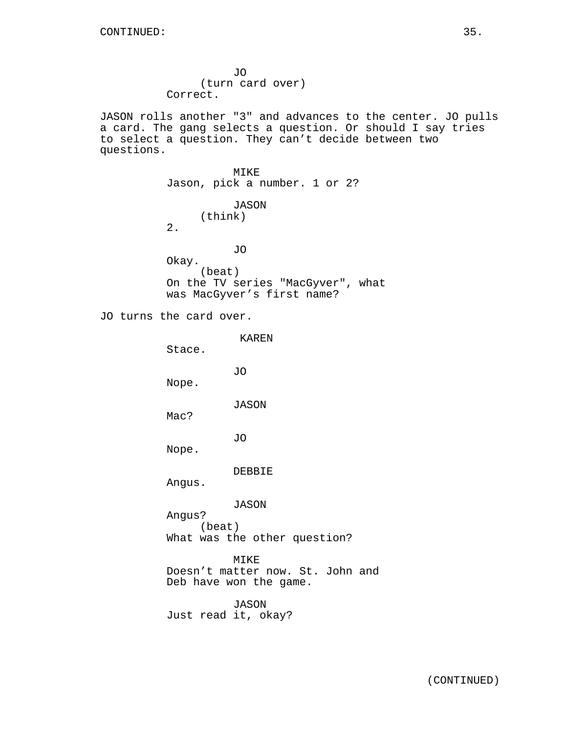JO (turn card over) Correct. JASON rolls another "3" and advances to the center. JO pulls a card. The gang selects a question. Or should I say tries to select a question. They can't decide between two questions. MIKE Jason, pick a number. 1 or 2? JASON (think) 2. JO Okay. (beat) On the TV series "MacGyver", what was MacGyver's first name? JO turns the card over. KAREN

Stace. JO Nope. JASON Mac? JO Nope. DEBBIE Angus. JASON Angus? (beat) What was the other question? MIKE Doesn't matter now. St. John and Deb have won the game. JASON Just read it, okay?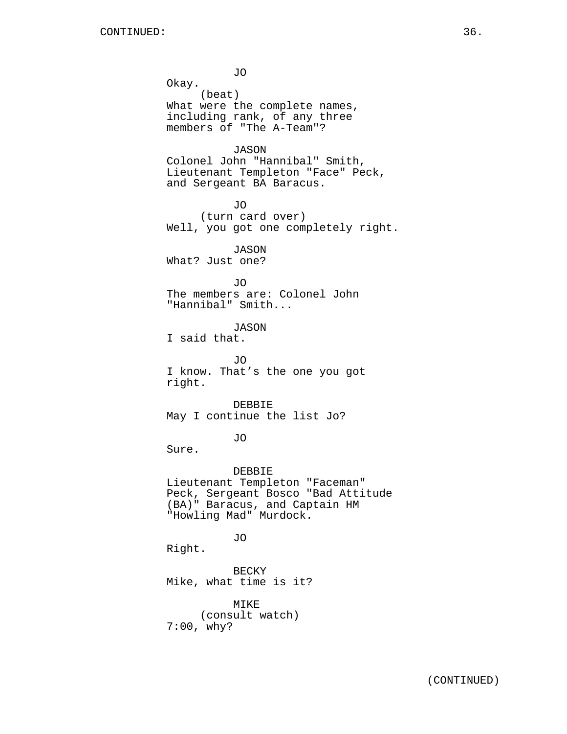JO Okay. (beat) What were the complete names, including rank, of any three members of "The A-Team"? **JASON** Colonel John "Hannibal" Smith, Lieutenant Templeton "Face" Peck, and Sergeant BA Baracus. JO (turn card over) Well, you got one completely right. JASON What? Just one? JO The members are: Colonel John "Hannibal" Smith... JASON I said that. JO I know. That's the one you got right. DEBBIE May I continue the list Jo? JO Sure. DEBBIE Lieutenant Templeton "Faceman" Peck, Sergeant Bosco "Bad Attitude (BA)" Baracus, and Captain HM "Howling Mad" Murdock. JO Right. BECKY Mike, what time is it? MIKE (consult watch) 7:00, why?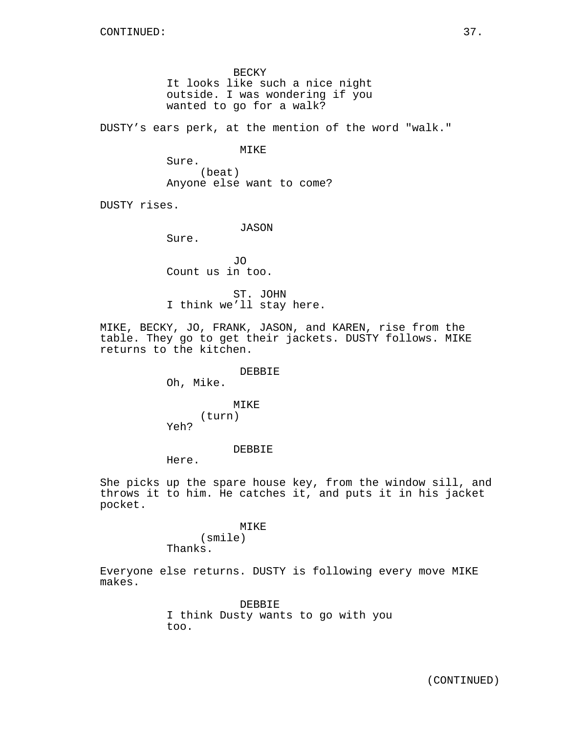BECKY It looks like such a nice night outside. I was wondering if you wanted to go for a walk?

DUSTY's ears perk, at the mention of the word "walk."

MIKE

Sure. (beat) Anyone else want to come?

DUSTY rises.

JASON

Sure.

JO Count us in too.

ST. JOHN I think we'll stay here.

MIKE, BECKY, JO, FRANK, JASON, and KAREN, rise from the table. They go to get their jackets. DUSTY follows. MIKE returns to the kitchen.

DEBBIE

Oh, Mike.

MIKE (turn) Yeh?

## DEBBIE

Here.

She picks up the spare house key, from the window sill, and throws it to him. He catches it, and puts it in his jacket pocket.

#### MIKE

(smile) Thanks.

Everyone else returns. DUSTY is following every move MIKE makes.

> DEBBIE I think Dusty wants to go with you too.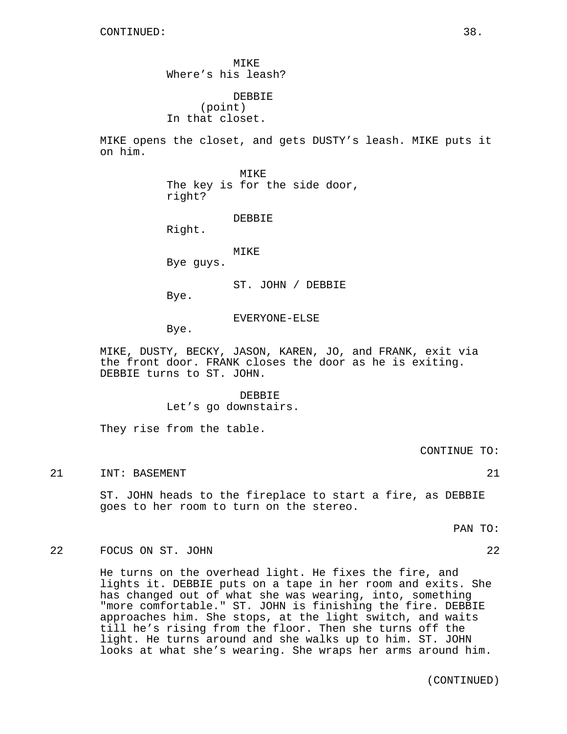MIKE Where's his leash? DEBBIE

(point) In that closet.

MIKE opens the closet, and gets DUSTY's leash. MIKE puts it on him.

> MIKE The key is for the side door, right?

> > DEBBIE

Right.

MIKE

Bye guys.

ST. JOHN / DEBBIE

Bye.

EVERYONE-ELSE

Bye.

MIKE, DUSTY, BECKY, JASON, KAREN, JO, and FRANK, exit via the front door. FRANK closes the door as he is exiting. DEBBIE turns to ST. JOHN.

> DEBBIE Let's go downstairs.

They rise from the table.

CONTINUE TO:

21 INT: BASEMENT 21 21

ST. JOHN heads to the fireplace to start a fire, as DEBBIE goes to her room to turn on the stereo.

PAN TO:

# 22 FOCUS ON ST. JOHN 22

He turns on the overhead light. He fixes the fire, and lights it. DEBBIE puts on a tape in her room and exits. She has changed out of what she was wearing, into, something "more comfortable." ST. JOHN is finishing the fire. DEBBIE approaches him. She stops, at the light switch, and waits till he's rising from the floor. Then she turns off the light. He turns around and she walks up to him. ST. JOHN looks at what she's wearing. She wraps her arms around him.

(CONTINUED)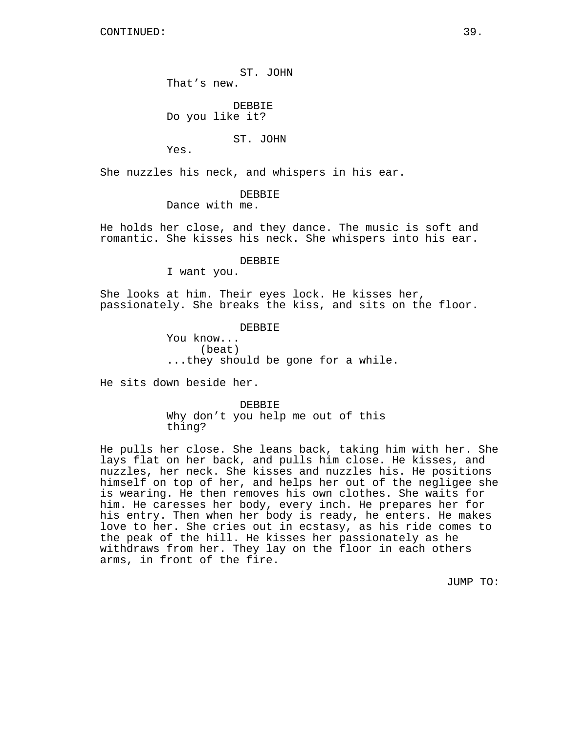ST. JOHN That's new.

DEBBIE Do you like it?

ST. JOHN

Yes.

She nuzzles his neck, and whispers in his ear.

DEBBIE

Dance with me.

He holds her close, and they dance. The music is soft and romantic. She kisses his neck. She whispers into his ear.

DEBBIE

I want you.

She looks at him. Their eyes lock. He kisses her, passionately. She breaks the kiss, and sits on the floor.

> DEBBIE You know... (beat) ...they should be gone for a while.

He sits down beside her.

DEBBIE Why don't you help me out of this thing?

He pulls her close. She leans back, taking him with her. She lays flat on her back, and pulls him close. He kisses, and nuzzles, her neck. She kisses and nuzzles his. He positions himself on top of her, and helps her out of the negligee she is wearing. He then removes his own clothes. She waits for him. He caresses her body, every inch. He prepares her for his entry. Then when her body is ready, he enters. He makes love to her. She cries out in ecstasy, as his ride comes to the peak of the hill. He kisses her passionately as he withdraws from her. They lay on the floor in each others arms, in front of the fire.

JUMP TO: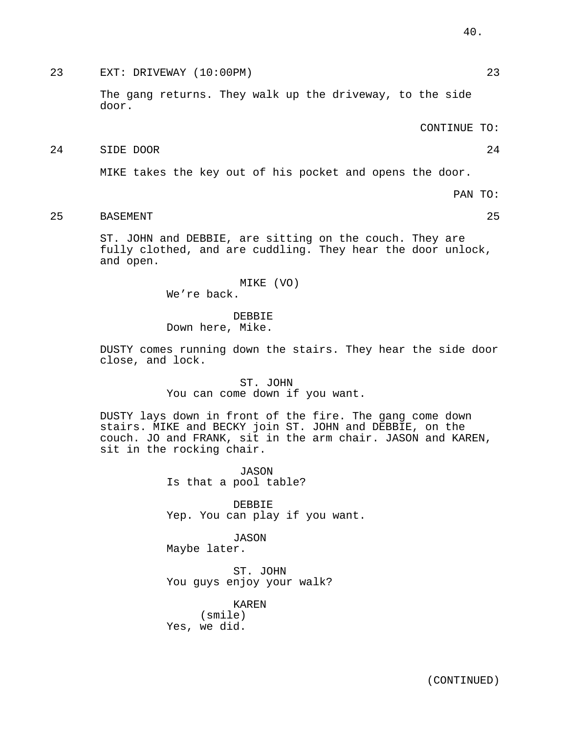# 23 EXT: DRIVEWAY (10:00PM) 23

The gang returns. They walk up the driveway, to the side door.

CONTINUE TO:

## 24 SIDE DOOR 24

MIKE takes the key out of his pocket and opens the door.

PAN TO:

# 25 BASEMENT 25

ST. JOHN and DEBBIE, are sitting on the couch. They are fully clothed, and are cuddling. They hear the door unlock, and open.

> MIKE (VO) We're back.

**DEBBIE** Down here, Mike.

DUSTY comes running down the stairs. They hear the side door close, and lock.

> ST. JOHN You can come down if you want.

DUSTY lays down in front of the fire. The gang come down stairs. MIKE and BECKY join ST. JOHN and DEBBIE, on the couch. JO and FRANK, sit in the arm chair. JASON and KAREN, sit in the rocking chair.

> JASON Is that a pool table?

DEBBIE Yep. You can play if you want.

JASON Maybe later.

ST. JOHN You guys enjoy your walk?

KAREN (smile) Yes, we did.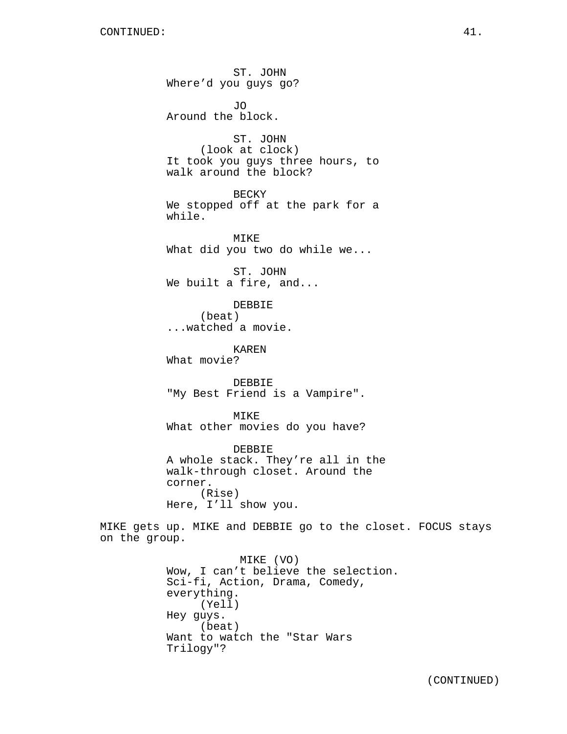ST. JOHN Where'd you guys go? JO Around the block. ST. JOHN (look at clock) It took you guys three hours, to walk around the block? BECKY We stopped off at the park for a while. MIKE What did you two do while we... ST. JOHN We built a fire, and... DEBBIE (beat) ...watched a movie. KAREN What movie? DEBBIE "My Best Friend is a Vampire". MIKE What other movies do you have? DEBBIE A whole stack. They're all in the walk-through closet. Around the corner. (Rise) Here, I'll show you. MIKE gets up. MIKE and DEBBIE go to the closet. FOCUS stays on the group. MIKE (VO) Wow, I can't believe the selection. Sci-fi, Action, Drama, Comedy, everything. (Yell) Hey guys. (beat) Want to watch the "Star Wars

Trilogy"?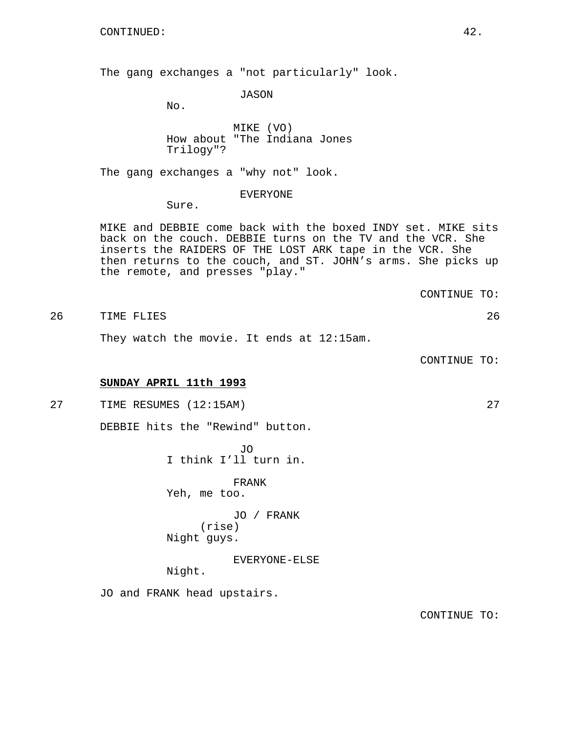The gang exchanges a "not particularly" look.

JASON

No.

MIKE (VO) How about "The Indiana Jones Trilogy"?

The gang exchanges a "why not" look.

## EVERYONE

Sure.

MIKE and DEBBIE come back with the boxed INDY set. MIKE sits back on the couch. DEBBIE turns on the TV and the VCR. She inserts the RAIDERS OF THE LOST ARK tape in the VCR. She then returns to the couch, and ST. JOHN's arms. She picks up the remote, and presses "play."

CONTINUE TO:

# 26 TIME FLIES 26

They watch the movie. It ends at 12:15am.

CONTINUE TO:

# **SUNDAY APRIL 11th 1993**

27 TIME RESUMES (12:15AM) 27

DEBBIE hits the "Rewind" button.

JO I think I'll turn in.

FRANK Yeh, me too.

JO / FRANK (rise) Night guys.

EVERYONE-ELSE

Night.

JO and FRANK head upstairs.

CONTINUE TO: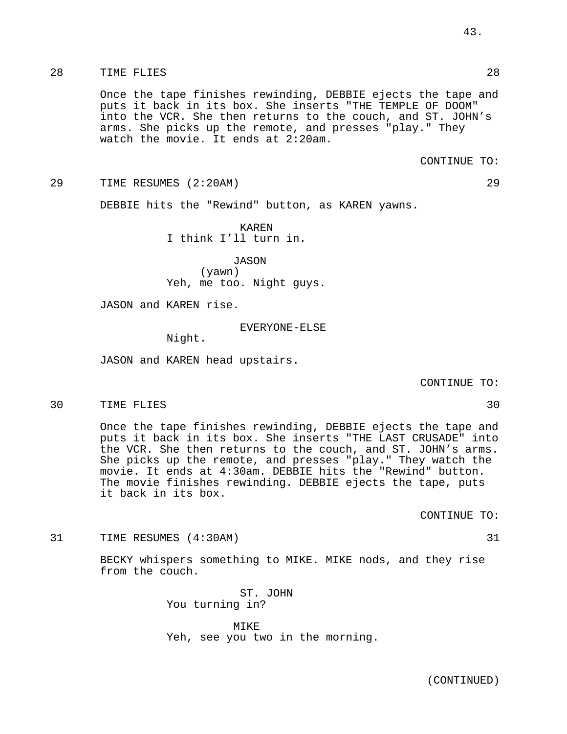# 28 TIME FLIES 28

Once the tape finishes rewinding, DEBBIE ejects the tape and puts it back in its box. She inserts "THE TEMPLE OF DOOM" into the VCR. She then returns to the couch, and ST. JOHN's arms. She picks up the remote, and presses "play." They watch the movie. It ends at 2:20am.

## CONTINUE TO:

29 TIME RESUMES (2:20AM) 29

DEBBIE hits the "Rewind" button, as KAREN yawns.

KAREN I think I'll turn in.

JASON (yawn) Yeh, me too. Night guys.

JASON and KAREN rise.

EVERYONE-ELSE

Night.

JASON and KAREN head upstairs.

CONTINUE TO:

30 TIME FLIES 30

Once the tape finishes rewinding, DEBBIE ejects the tape and puts it back in its box. She inserts "THE LAST CRUSADE" into the VCR. She then returns to the couch, and ST. JOHN's arms. She picks up the remote, and presses "play." They watch the movie. It ends at 4:30am. DEBBIE hits the "Rewind" button. The movie finishes rewinding. DEBBIE ejects the tape, puts it back in its box.

CONTINUE TO:

31 TIME RESUMES (4:30AM) 31

BECKY whispers something to MIKE. MIKE nods, and they rise from the couch.

> ST. JOHN You turning in?

MIKE Yeh, see you two in the morning.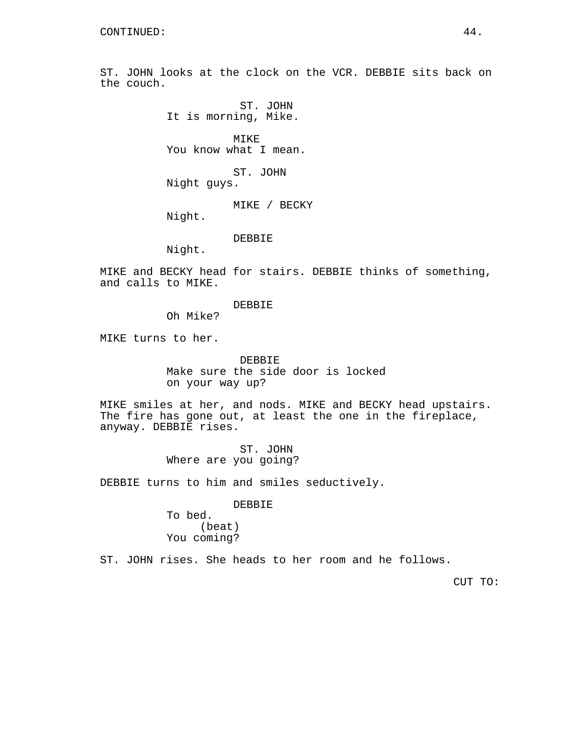ST. JOHN looks at the clock on the VCR. DEBBIE sits back on the couch.

> ST. JOHN It is morning, Mike.

MIKE You know what I mean.

ST. JOHN Night guys.

MIKE / BECKY

Night.

DEBBIE

Night.

MIKE and BECKY head for stairs. DEBBIE thinks of something, and calls to MIKE.

DEBBIE

Oh Mike?

MIKE turns to her.

DEBBIE Make sure the side door is locked on your way up?

MIKE smiles at her, and nods. MIKE and BECKY head upstairs. The fire has gone out, at least the one in the fireplace, anyway. DEBBIE rises.

> ST. JOHN Where are you going?

DEBBIE turns to him and smiles seductively.

DEBBIE

To bed. (beat) You coming?

ST. JOHN rises. She heads to her room and he follows.

CUT TO: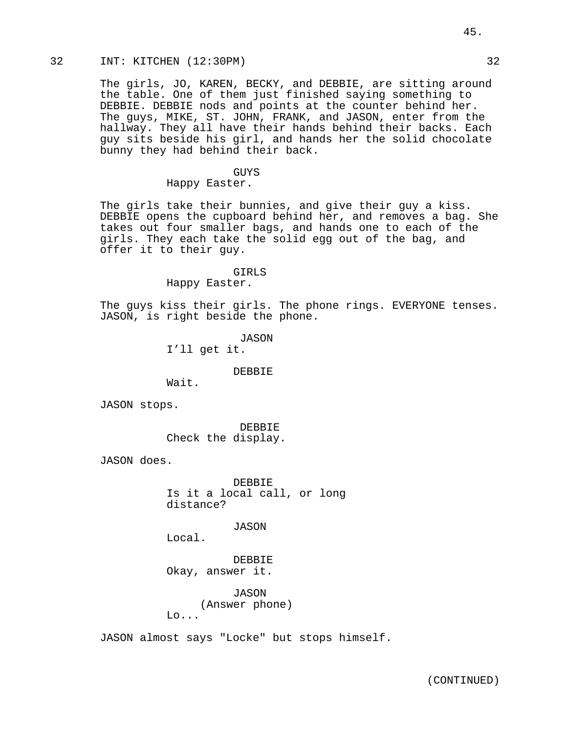# 32 INT: KITCHEN (12:30PM) 32

The girls, JO, KAREN, BECKY, and DEBBIE, are sitting around the table. One of them just finished saying something to DEBBIE. DEBBIE nods and points at the counter behind her. The guys, MIKE, ST. JOHN, FRANK, and JASON, enter from the hallway. They all have their hands behind their backs. Each guy sits beside his girl, and hands her the solid chocolate bunny they had behind their back.

## GUYS

# Happy Easter.

The girls take their bunnies, and give their guy a kiss. DEBBIE opens the cupboard behind her, and removes a bag. She takes out four smaller bags, and hands one to each of the girls. They each take the solid egg out of the bag, and offer it to their guy.

#### GIRLS

Happy Easter.

The guys kiss their girls. The phone rings. EVERYONE tenses. JASON, is right beside the phone.

> JASON I'll get it.

## DEBBIE

Wait.

JASON stops.

DEBBIE Check the display.

JASON does.

DEBBIE Is it a local call, or long distance?

JASON

Local.

DEBBIE Okay, answer it.

JASON (Answer phone)  $Lo...$ 

JASON almost says "Locke" but stops himself.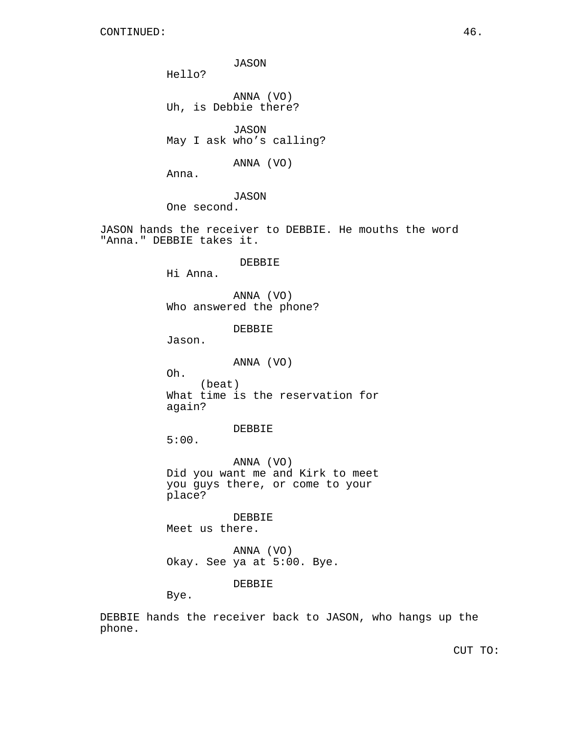JASON Hello? ANNA (VO) Uh, is Debbie there? JASON May I ask who's calling? ANNA (VO) Anna. JASON One second. JASON hands the receiver to DEBBIE. He mouths the word "Anna." DEBBIE takes it. DEBBIE Hi Anna. ANNA (VO) Who answered the phone? DEBBIE Jason. ANNA (VO) Oh. (beat) What time is the reservation for again? DEBBIE

5:00.

ANNA (VO) Did you want me and Kirk to meet you guys there, or come to your place?

DEBBIE Meet us there.

ANNA (VO) Okay. See ya at 5:00. Bye.

DEBBIE

Bye.

DEBBIE hands the receiver back to JASON, who hangs up the phone.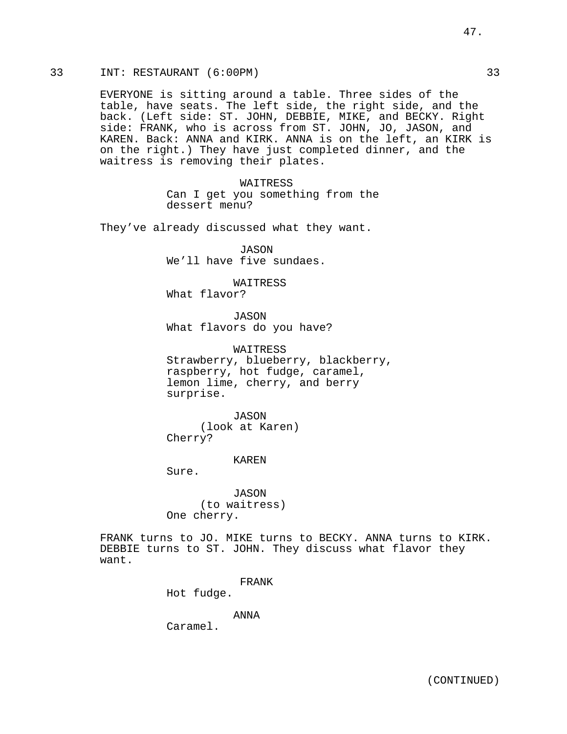# 33 INT: RESTAURANT (6:00PM) 33

EVERYONE is sitting around a table. Three sides of the table, have seats. The left side, the right side, and the back. (Left side: ST. JOHN, DEBBIE, MIKE, and BECKY. Right side: FRANK, who is across from ST. JOHN, JO, JASON, and KAREN. Back: ANNA and KIRK. ANNA is on the left, an KIRK is on the right.) They have just completed dinner, and the waitress is removing their plates.

> WAITRESS Can I get you something from the dessert menu?

They've already discussed what they want.

JASON We'll have five sundaes.

WAITRESS

What flavor?

JASON What flavors do you have?

WAITRESS Strawberry, blueberry, blackberry, raspberry, hot fudge, caramel, lemon lime, cherry, and berry surprise.

JASON (look at Karen) Cherry?

KAREN

Sure.

JASON (to waitress) One cherry.

FRANK turns to JO. MIKE turns to BECKY. ANNA turns to KIRK. DEBBIE turns to ST. JOHN. They discuss what flavor they want.

FRANK

Hot fudge.

ANNA

Caramel.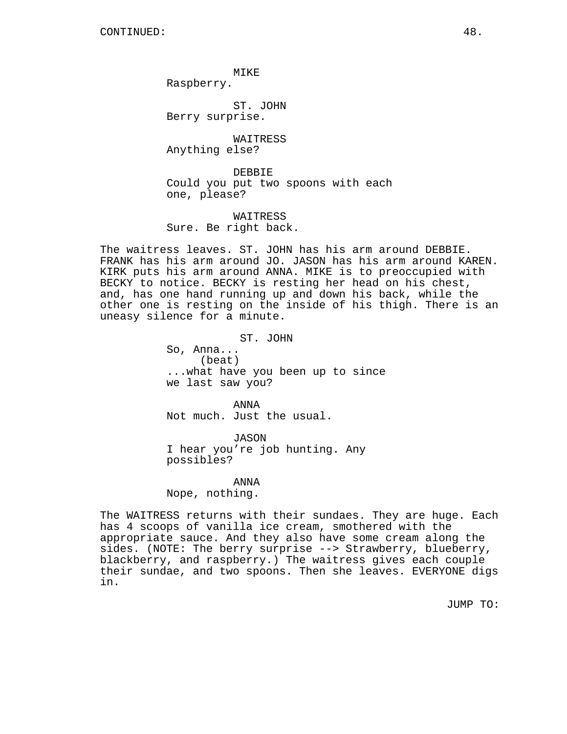MIKE

Raspberry.

ST. JOHN Berry surprise.

WAITRESS Anything else?

DEBBIE Could you put two spoons with each one, please?

WAITRESS Sure. Be right back.

The waitress leaves. ST. JOHN has his arm around DEBBIE. FRANK has his arm around JO. JASON has his arm around KAREN. KIRK puts his arm around ANNA. MIKE is to preoccupied with BECKY to notice. BECKY is resting her head on his chest, and, has one hand running up and down his back, while the other one is resting on the inside of his thigh. There is an uneasy silence for a minute.

ST. JOHN

So, Anna... (beat) ...what have you been up to since we last saw you?

ANNA Not much. Just the usual.

JASON I hear you're job hunting. Any possibles?

ANNA

Nope, nothing.

The WAITRESS returns with their sundaes. They are huge. Each has 4 scoops of vanilla ice cream, smothered with the appropriate sauce. And they also have some cream along the sides. (NOTE: The berry surprise --> Strawberry, blueberry, blackberry, and raspberry.) The waitress gives each couple their sundae, and two spoons. Then she leaves. EVERYONE digs in.

JUMP TO: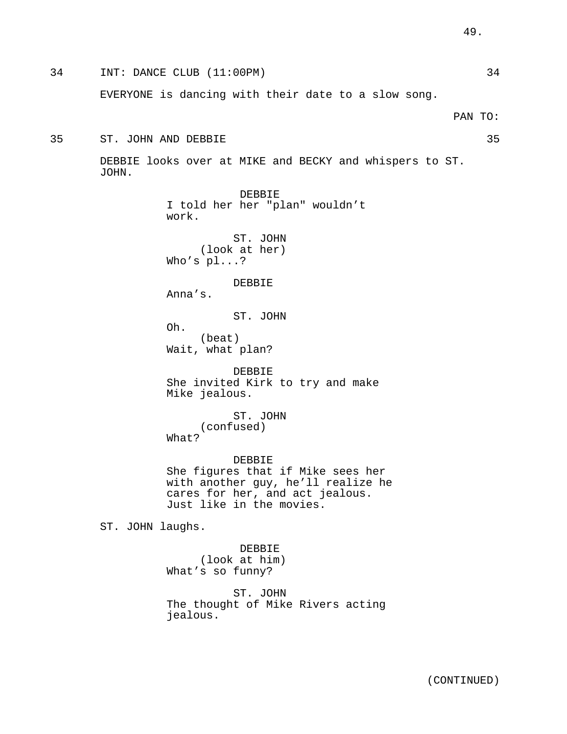34 INT: DANCE CLUB (11:00PM) 34 EVERYONE is dancing with their date to a slow song. PAN TO: 35 ST. JOHN AND DEBBIE 35 DEBBIE looks over at MIKE and BECKY and whispers to ST. JOHN. DEBBIE I told her her "plan" wouldn't work. ST. JOHN (look at her) Who's pl...? DEBBIE Anna's. ST. JOHN Oh. (beat) Wait, what plan? DEBBIE She invited Kirk to try and make Mike jealous. ST. JOHN (confused) What? DEBBIE She figures that if Mike sees her with another guy, he'll realize he cares for her, and act jealous. Just like in the movies. ST. JOHN laughs. DEBBIE (look at him) What's so funny? ST. JOHN The thought of Mike Rivers acting jealous.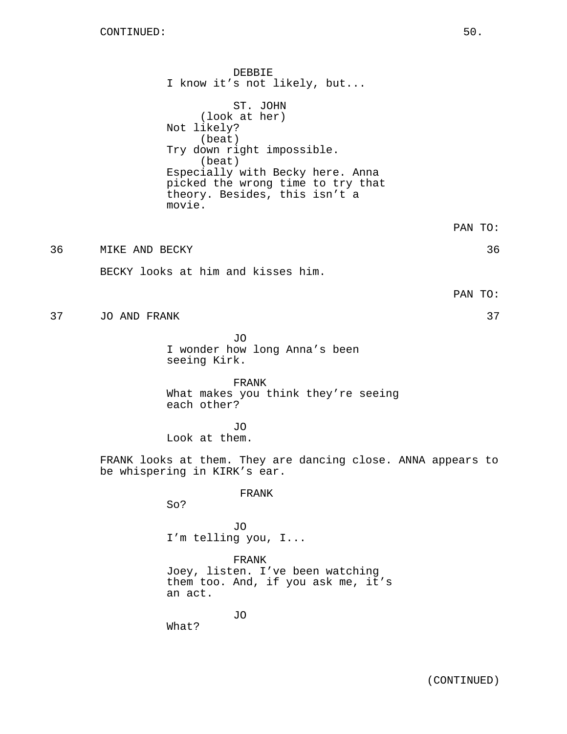DEBBIE I know it's not likely, but... ST. JOHN (look at her) Not likely? (beat) Try down right impossible. (beat) Especially with Becky here. Anna picked the wrong time to try that theory. Besides, this isn't a movie.

36 MIKE AND BECKY 36

BECKY looks at him and kisses him.

PAN TO:

PAN TO:

37 JO AND FRANK 37

JO I wonder how long Anna's been seeing Kirk.

FRANK What makes you think they're seeing each other?

JO Look at them.

FRANK looks at them. They are dancing close. ANNA appears to be whispering in KIRK's ear.

FRANK

So?

JO I'm telling you, I...

FRANK Joey, listen. I've been watching them too. And, if you ask me, it's an act.

JO

What?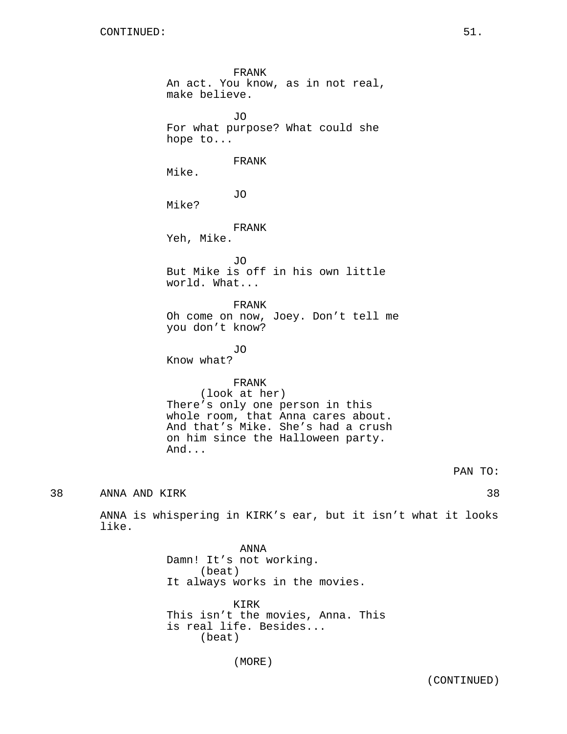like.

FRANK An act. You know, as in not real, make believe. JO For what purpose? What could she hope to... FRANK Mike. JO Mike? FRANK Yeh, Mike. JO But Mike is off in his own little world. What... FRANK Oh come on now, Joey. Don't tell me you don't know? JO Know what? FRANK (look at her) There's only one person in this whole room, that Anna cares about. And that's Mike. She's had a crush on him since the Halloween party. And... PAN TO: 38 ANNA AND KIRK 38 ANNA is whispering in KIRK's ear, but it isn't what it looks ANNA

Damn! It's not working. (beat) It always works in the movies. KIRK This isn't the movies, Anna. This is real life. Besides... (beat)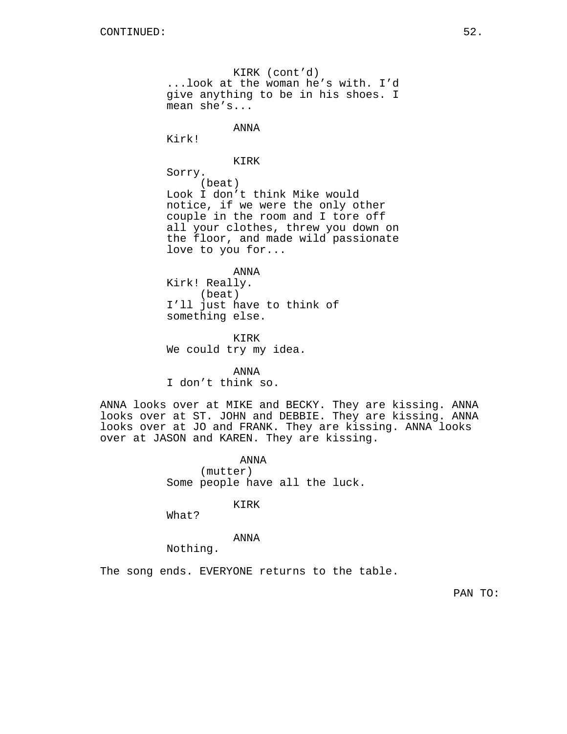KIRK (cont'd) ...look at the woman he's with. I'd give anything to be in his shoes. I mean she's...

ANNA

Kirk!

KIRK

Sorry.

(beat) Look I don't think Mike would notice, if we were the only other couple in the room and I tore off all your clothes, threw you down on the floor, and made wild passionate love to you for...

ANNA Kirk! Really. (beat) I'll just have to think of something else.

KIRK We could try my idea.

ANNA

I don't think so.

ANNA looks over at MIKE and BECKY. They are kissing. ANNA looks over at ST. JOHN and DEBBIE. They are kissing. ANNA looks over at JO and FRANK. They are kissing. ANNA looks over at JASON and KAREN. They are kissing.

> ANNA (mutter) Some people have all the luck.

> > KIRK

What?

ANNA

Nothing.

The song ends. EVERYONE returns to the table.

PAN TO: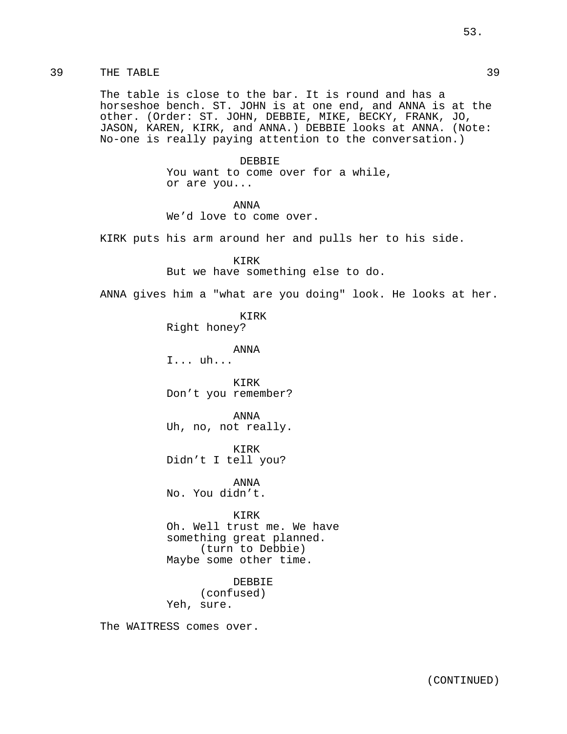39 THE TABLE 39

The table is close to the bar. It is round and has a horseshoe bench. ST. JOHN is at one end, and ANNA is at the other. (Order: ST. JOHN, DEBBIE, MIKE, BECKY, FRANK, JO, JASON, KAREN, KIRK, and ANNA.) DEBBIE looks at ANNA. (Note: No-one is really paying attention to the conversation.)

> DEBBIE You want to come over for a while, or are you...

ANNA We'd love to come over.

KIRK puts his arm around her and pulls her to his side.

KIRK But we have something else to do.

ANNA gives him a "what are you doing" look. He looks at her.

KIRK Right honey?

ANNA

I... uh...

KIRK Don't you remember?

ANNA Uh, no, not really.

KIRK Didn't I tell you?

ANNA No. You didn't.

KIRK Oh. Well trust me. We have something great planned. (turn to Debbie) Maybe some other time.

DEBBIE (confused) Yeh, sure.

The WAITRESS comes over.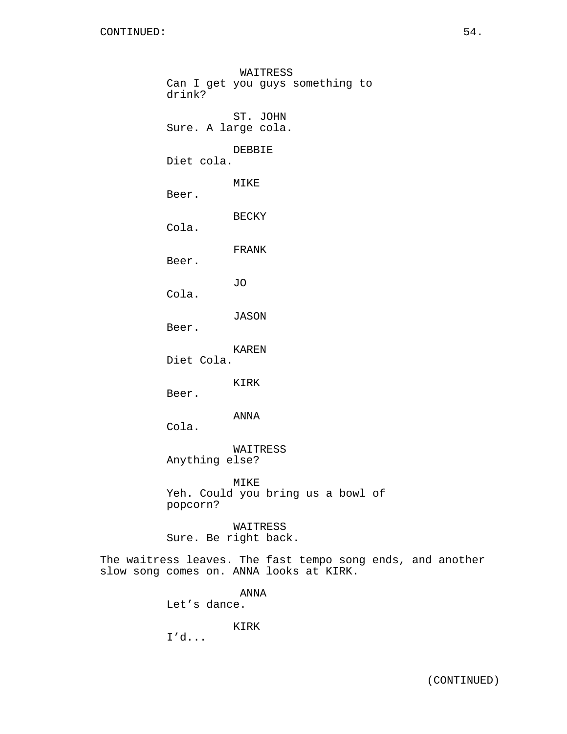WAITRESS Can I get you guys something to drink? ST. JOHN Sure. A large cola. DEBBIE Diet cola. MIKE Beer. BECKY Cola. FRANK Beer. JO Cola. JASON Beer. KAREN Diet Cola. KIRK Beer. ANNA Cola. WAITRESS Anything else? MIKE Yeh. Could you bring us a bowl of popcorn? WAITRESS Sure. Be right back.

The waitress leaves. The fast tempo song ends, and another slow song comes on. ANNA looks at KIRK.

> ANNA Let's dance.

> > KIRK

I'd...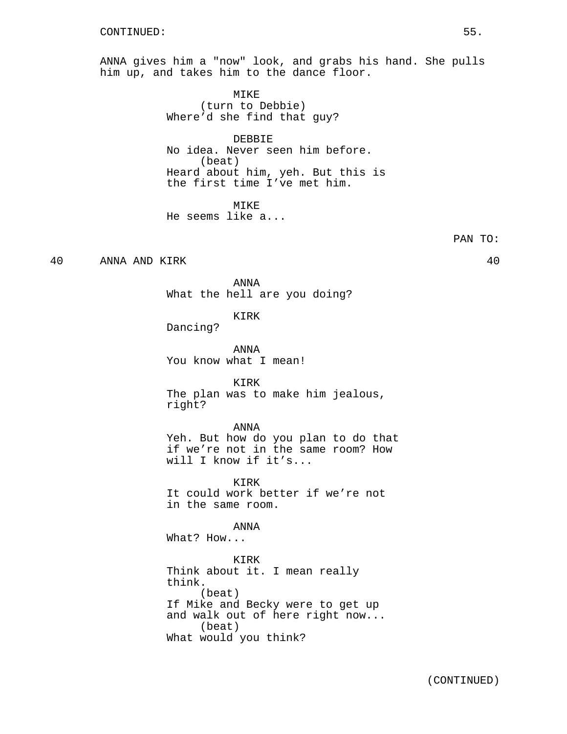ANNA gives him a "now" look, and grabs his hand. She pulls him up, and takes him to the dance floor.

> MIKE (turn to Debbie) Where'd she find that guy?

DEBBIE No idea. Never seen him before. (beat) Heard about him, yeh. But this is the first time I've met him.

**MTKE** He seems like a...

PAN TO:

40 ANNA AND KIRK 40

ANNA What the hell are you doing?

KIRK

Dancing?

ANNA You know what I mean!

KIRK The plan was to make him jealous, right?

# ANNA

Yeh. But how do you plan to do that if we're not in the same room? How will I know if it's...

KIRK It could work better if we're not in the same room.

ANNA

What? How...

KIRK Think about it. I mean really think. (beat) If Mike and Becky were to get up and walk out of here right now... (beat) What would you think?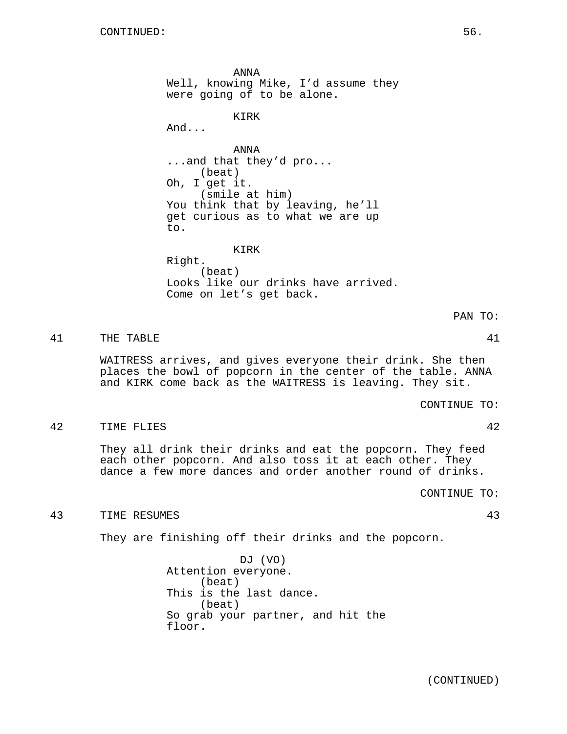ANNA Well, knowing Mike, I'd assume they were going of to be alone.

KIRK

And...

ANNA ...and that they'd pro... (beat) Oh, I get it. (smile at him) You think that by leaving, he'll get curious as to what we are up to.

KIRK

Right. (beat) Looks like our drinks have arrived. Come on let's get back.

41 THE TABLE 41

WAITRESS arrives, and gives everyone their drink. She then places the bowl of popcorn in the center of the table. ANNA and KIRK come back as the WAITRESS is leaving. They sit.

CONTINUE TO:

PAN TO:

42 TIME FLIES 42

They all drink their drinks and eat the popcorn. They feed each other popcorn. And also toss it at each other. They dance a few more dances and order another round of drinks.

CONTINUE TO:

43 TIME RESUMES 43

They are finishing off their drinks and the popcorn.

DJ (VO) Attention everyone. (beat) This is the last dance. (beat) So grab your partner, and hit the floor.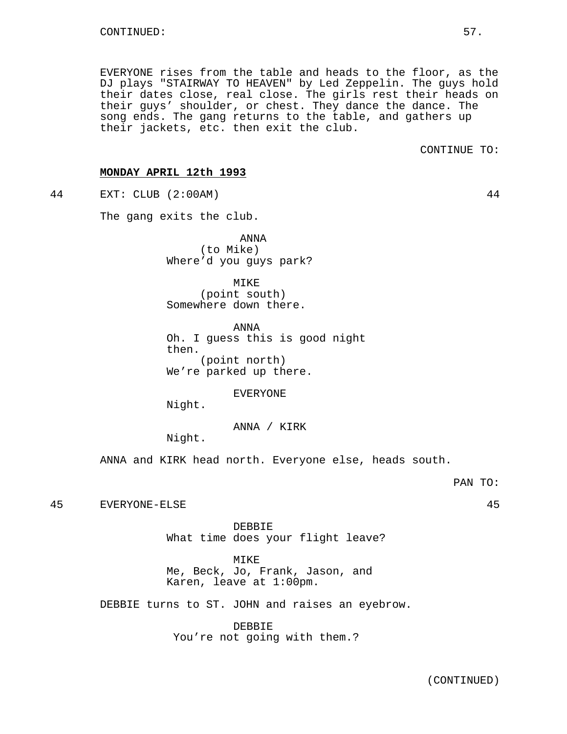EVERYONE rises from the table and heads to the floor, as the DJ plays "STAIRWAY TO HEAVEN" by Led Zeppelin. The guys hold their dates close, real close. The girls rest their heads on their guys' shoulder, or chest. They dance the dance. The song ends. The gang returns to the table, and gathers up their jackets, etc. then exit the club.

CONTINUE TO:

## **MONDAY APRIL 12th 1993**

44 EXT: CLUB (2:00AM) 44

The gang exits the club.

ANNA (to Mike) Where'd you guys park?

MIKE (point south) Somewhere down there.

ANNA Oh. I guess this is good night then. (point north) We're parked up there.

EVERYONE

Night.

ANNA / KIRK

Night.

ANNA and KIRK head north. Everyone else, heads south.

45 EVERYONE-ELSE 45

DEBBIE What time does your flight leave?

MIKE

Me, Beck, Jo, Frank, Jason, and Karen, leave at 1:00pm.

DEBBIE turns to ST. JOHN and raises an eyebrow.

DEBBIE You're not going with them.?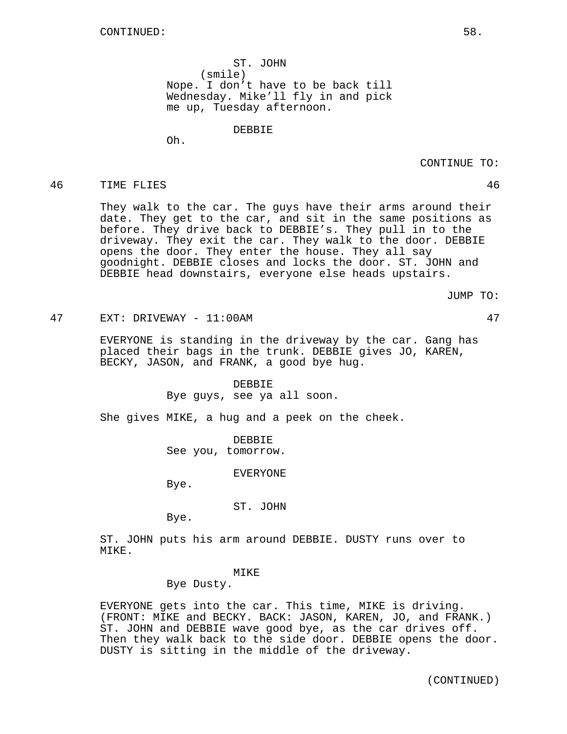ST. JOHN (smile) Nope. I don't have to be back till Wednesday. Mike'll fly in and pick me up, Tuesday afternoon.

DEBBIE

Oh.

CONTINUE TO:

## 46 TIME FLIES 46

They walk to the car. The guys have their arms around their date. They get to the car, and sit in the same positions as before. They drive back to DEBBIE's. They pull in to the driveway. They exit the car. They walk to the door. DEBBIE opens the door. They enter the house. They all say goodnight. DEBBIE closes and locks the door. ST. JOHN and DEBBIE head downstairs, everyone else heads upstairs.

JUMP TO:

47 EXT: DRIVEWAY - 11:00AM 47

EVERYONE is standing in the driveway by the car. Gang has placed their bags in the trunk. DEBBIE gives JO, KAREN, BECKY, JASON, and FRANK, a good bye hug.

### DEBBIE

Bye guys, see ya all soon.

She gives MIKE, a hug and a peek on the cheek.

DEBBIE See you, tomorrow.

EVERYONE

Bye.

ST. JOHN

Bye.

ST. JOHN puts his arm around DEBBIE. DUSTY runs over to MIKE.

## MTKE<sup>®</sup>

Bye Dusty.

EVERYONE gets into the car. This time, MIKE is driving. (FRONT: MIKE and BECKY. BACK: JASON, KAREN, JO, and FRANK.) ST. JOHN and DEBBIE wave good bye, as the car drives off. Then they walk back to the side door. DEBBIE opens the door. DUSTY is sitting in the middle of the driveway.

(CONTINUED)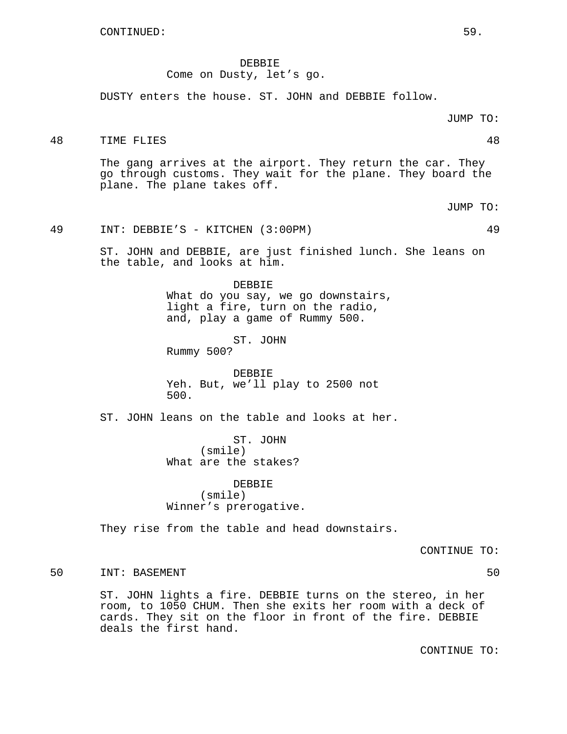DEBBIE Come on Dusty, let's go.

DUSTY enters the house. ST. JOHN and DEBBIE follow.

48 TIME FLIES 48

The gang arrives at the airport. They return the car. They go through customs. They wait for the plane. They board the plane. The plane takes off.

JUMP TO:

# 49 INT: DEBBIE'S - KITCHEN (3:00PM) 49

ST. JOHN and DEBBIE, are just finished lunch. She leans on the table, and looks at him.

> DEBBIE What do you say, we go downstairs, light a fire, turn on the radio, and, play a game of Rummy 500.

ST. JOHN Rummy 500?

DEBBIE Yeh. But, we'll play to 2500 not 500.

ST. JOHN leans on the table and looks at her.

ST. JOHN (smile) What are the stakes?

DEBBIE (smile) Winner's prerogative.

They rise from the table and head downstairs.

CONTINUE TO:

50 INT: BASEMENT 50 50

ST. JOHN lights a fire. DEBBIE turns on the stereo, in her room, to 1050 CHUM. Then she exits her room with a deck of cards. They sit on the floor in front of the fire. DEBBIE deals the first hand.

CONTINUE TO: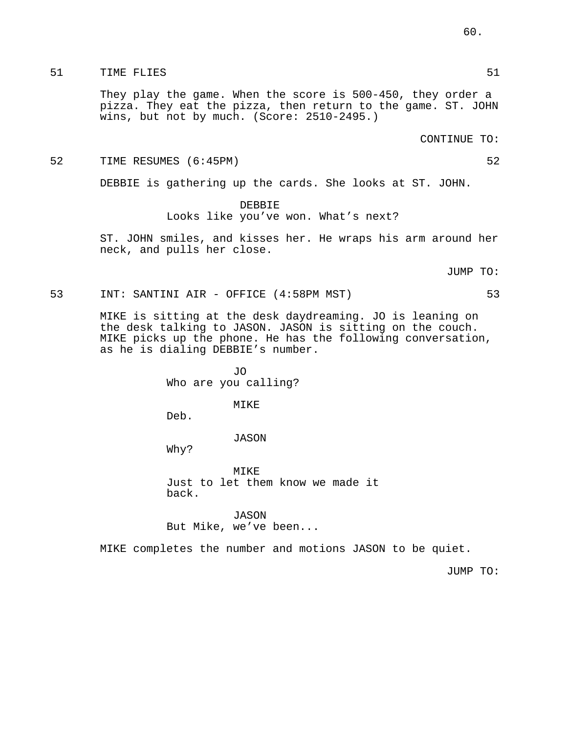# 51 TIME FLIES 51

They play the game. When the score is 500-450, they order a pizza. They eat the pizza, then return to the game. ST. JOHN wins, but not by much. (Score: 2510-2495.)

CONTINUE TO:

52 TIME RESUMES (6:45PM) 52

DEBBIE is gathering up the cards. She looks at ST. JOHN.

# DEBBIE Looks like you've won. What's next?

ST. JOHN smiles, and kisses her. He wraps his arm around her neck, and pulls her close.

JUMP TO:

```
53 INT: SANTINI AIR - OFFICE (4:58PM MST) 53
```
MIKE is sitting at the desk daydreaming. JO is leaning on the desk talking to JASON. JASON is sitting on the couch. MIKE picks up the phone. He has the following conversation, as he is dialing DEBBIE's number.

> JO Who are you calling?

# MIKE

Deb.

# JASON

Why?

MIKE Just to let them know we made it back.

JASON But Mike, we've been...

MIKE completes the number and motions JASON to be quiet.

JUMP TO: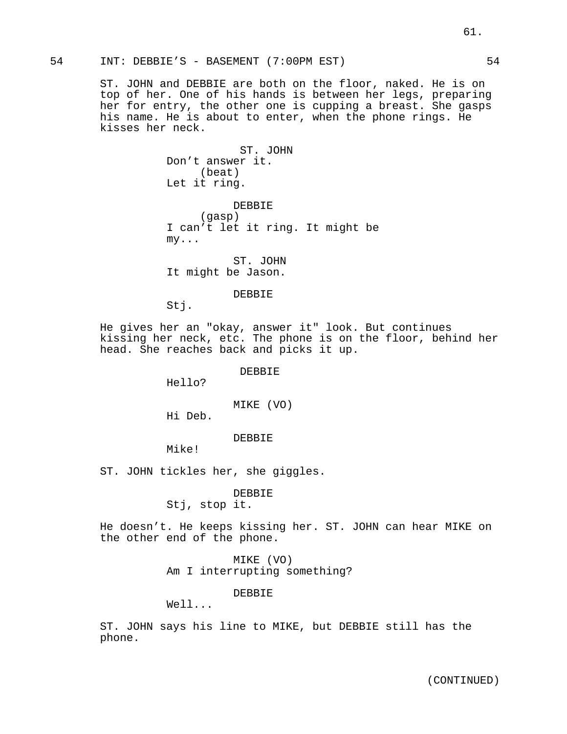54 INT: DEBBIE'S - BASEMENT (7:00PM EST) 54

ST. JOHN and DEBBIE are both on the floor, naked. He is on top of her. One of his hands is between her legs, preparing her for entry, the other one is cupping a breast. She gasps his name. He is about to enter, when the phone rings. He kisses her neck.

> ST. JOHN Don't answer it. (beat) Let it ring. DEBBIE

> (gasp) I can't let it ring. It might be my...

ST. JOHN It might be Jason.

## DEBBIE

Stj.

He gives her an "okay, answer it" look. But continues kissing her neck, etc. The phone is on the floor, behind her head. She reaches back and picks it up.

# DEBBIE

Hello?

MIKE (VO)

Hi Deb.

## DEBBIE

Mike!

ST. JOHN tickles her, she giggles.

# DEBBIE

Stj, stop it.

He doesn't. He keeps kissing her. ST. JOHN can hear MIKE on the other end of the phone.

> MIKE (VO) Am I interrupting something?

## DEBBIE

Well...

ST. JOHN says his line to MIKE, but DEBBIE still has the phone.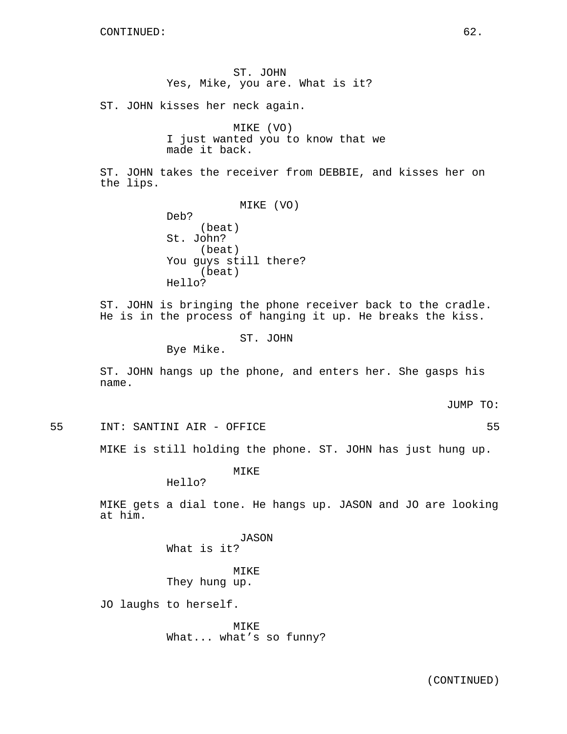ST. JOHN Yes, Mike, you are. What is it? ST. JOHN kisses her neck again. MIKE (VO) I just wanted you to know that we made it back. ST. JOHN takes the receiver from DEBBIE, and kisses her on the lips. MIKE (VO) Deb? (beat) St. John? (beat) You guys still there? (beat) Hello? ST. JOHN is bringing the phone receiver back to the cradle. He is in the process of hanging it up. He breaks the kiss. ST. JOHN Bye Mike. ST. JOHN hangs up the phone, and enters her. She gasps his name. JUMP TO: 55 INT: SANTINI AIR - OFFICE 55 MIKE is still holding the phone. ST. JOHN has just hung up.

MIKE

Hello?

MIKE gets a dial tone. He hangs up. JASON and JO are looking at him.

> JASON What is it?

MIKE They hung up.

JO laughs to herself.

MIKE What... what's so funny?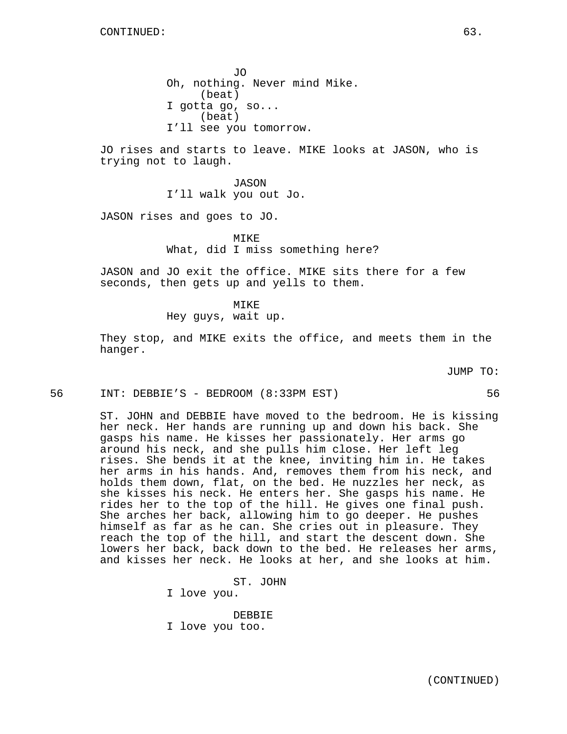JO Oh, nothing. Never mind Mike. (beat) I gotta go, so... (beat) I'll see you tomorrow.

JO rises and starts to leave. MIKE looks at JASON, who is trying not to laugh.

> JASON I'll walk you out Jo.

JASON rises and goes to JO.

MIKE What, did I miss something here?

JASON and JO exit the office. MIKE sits there for a few seconds, then gets up and yells to them.

MIKE

Hey guys, wait up.

They stop, and MIKE exits the office, and meets them in the hanger.

JUMP TO:

56 INT: DEBBIE'S - BEDROOM (8:33PM EST) 56

ST. JOHN and DEBBIE have moved to the bedroom. He is kissing her neck. Her hands are running up and down his back. She gasps his name. He kisses her passionately. Her arms go around his neck, and she pulls him close. Her left leg rises. She bends it at the knee, inviting him in. He takes her arms in his hands. And, removes them from his neck, and holds them down, flat, on the bed. He nuzzles her neck, as she kisses his neck. He enters her. She gasps his name. He rides her to the top of the hill. He gives one final push. She arches her back, allowing him to go deeper. He pushes himself as far as he can. She cries out in pleasure. They reach the top of the hill, and start the descent down. She lowers her back, back down to the bed. He releases her arms, and kisses her neck. He looks at her, and she looks at him.

> ST. JOHN I love you. DEBBIE I love you too.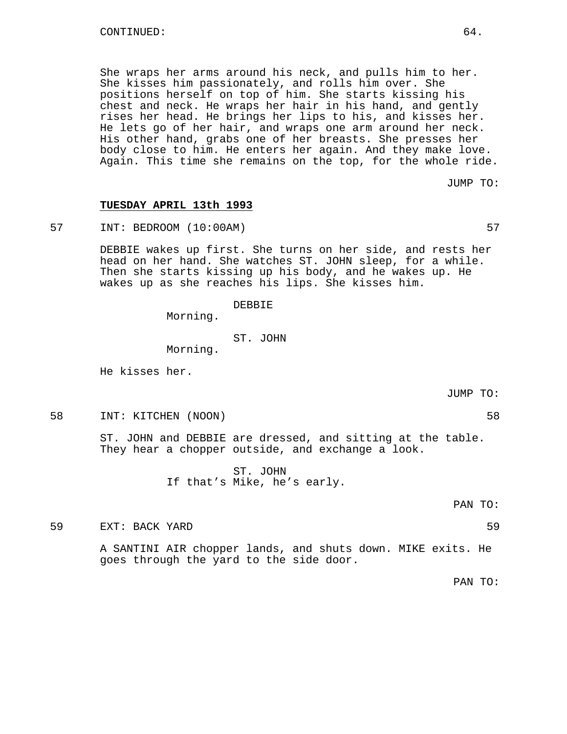She wraps her arms around his neck, and pulls him to her. She kisses him passionately, and rolls him over. She positions herself on top of him. She starts kissing his chest and neck. He wraps her hair in his hand, and gently rises her head. He brings her lips to his, and kisses her. He lets go of her hair, and wraps one arm around her neck. His other hand, grabs one of her breasts. She presses her body close to him. He enters her again. And they make love. Again. This time she remains on the top, for the whole ride.

JUMP TO:

## **TUESDAY APRIL 13th 1993**

57 INT: BEDROOM (10:00AM) 57

DEBBIE wakes up first. She turns on her side, and rests her head on her hand. She watches ST. JOHN sleep, for a while. Then she starts kissing up his body, and he wakes up. He wakes up as she reaches his lips. She kisses him.

DEBBIE

Morning.

ST. JOHN

Morning.

He kisses her.

JUMP TO:

58 INT: KITCHEN (NOON) 58

ST. JOHN and DEBBIE are dressed, and sitting at the table. They hear a chopper outside, and exchange a look.

> ST. JOHN If that's Mike, he's early.

> > PAN TO:

59 EXT: BACK YARD 59

A SANTINI AIR chopper lands, and shuts down. MIKE exits. He goes through the yard to the side door.

PAN TO: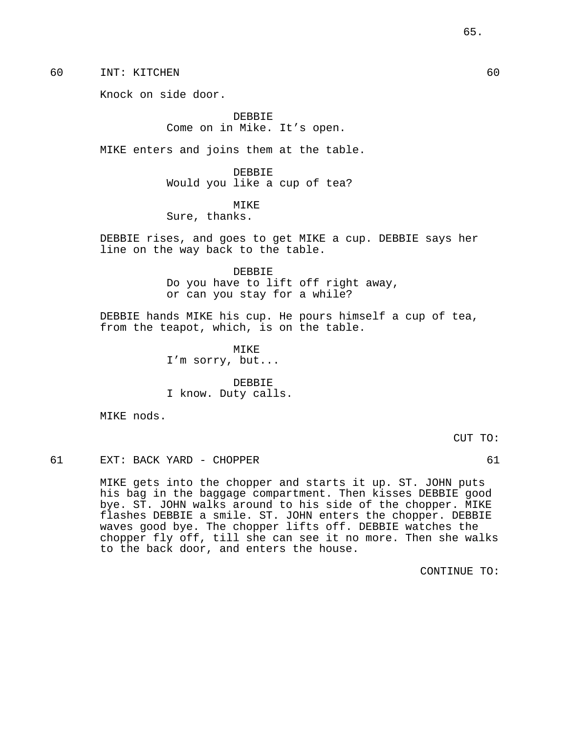60 INT: KITCHEN 60

Knock on side door.

DEBBIE Come on in Mike. It's open.

MIKE enters and joins them at the table.

DEBBIE Would you like a cup of tea?

# MIKE

Sure, thanks.

DEBBIE rises, and goes to get MIKE a cup. DEBBIE says her line on the way back to the table.

> DEBBIE Do you have to lift off right away, or can you stay for a while?

DEBBIE hands MIKE his cup. He pours himself a cup of tea, from the teapot, which, is on the table.

> MIKE I'm sorry, but...

DEBBIE I know. Duty calls.

MIKE nods.

CUT TO:

61 EXT: BACK YARD - CHOPPER 61

MIKE gets into the chopper and starts it up. ST. JOHN puts his bag in the baggage compartment. Then kisses DEBBIE good bye. ST. JOHN walks around to his side of the chopper. MIKE flashes DEBBIE a smile. ST. JOHN enters the chopper. DEBBIE waves good bye. The chopper lifts off. DEBBIE watches the chopper fly off, till she can see it no more. Then she walks to the back door, and enters the house.

CONTINUE TO:

65.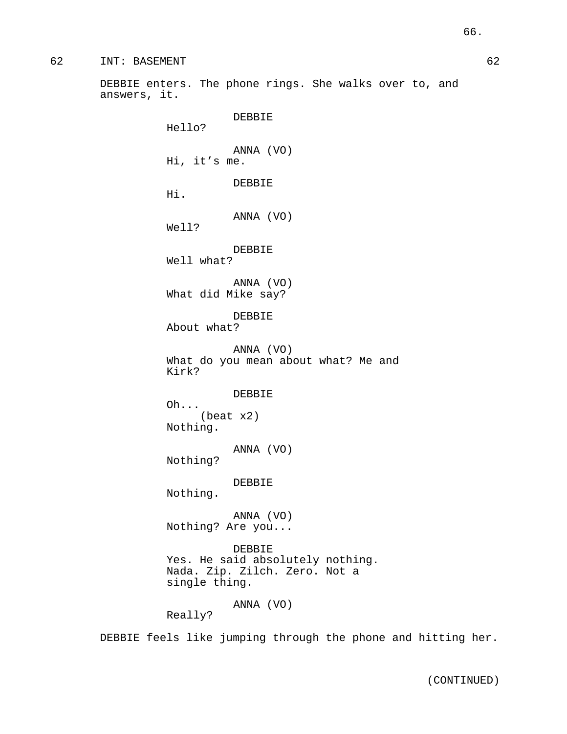DEBBIE enters. The phone rings. She walks over to, and answers, it.

> Hello? ANNA (VO)

Hi, it's me.

DEBBIE

DEBBIE

Hi.

ANNA (VO)

Well?

DEBBIE Well what?

ANNA (VO) What did Mike say?

DEBBIE About what?

ANNA (VO) What do you mean about what? Me and Kirk?

DEBBIE

Oh... (beat x2) Nothing.

ANNA (VO)

Nothing?

DEBBIE

Nothing.

ANNA (VO) Nothing? Are you...

DEBBIE Yes. He said absolutely nothing. Nada. Zip. Zilch. Zero. Not a single thing.

# ANNA (VO)

Really?

DEBBIE feels like jumping through the phone and hitting her.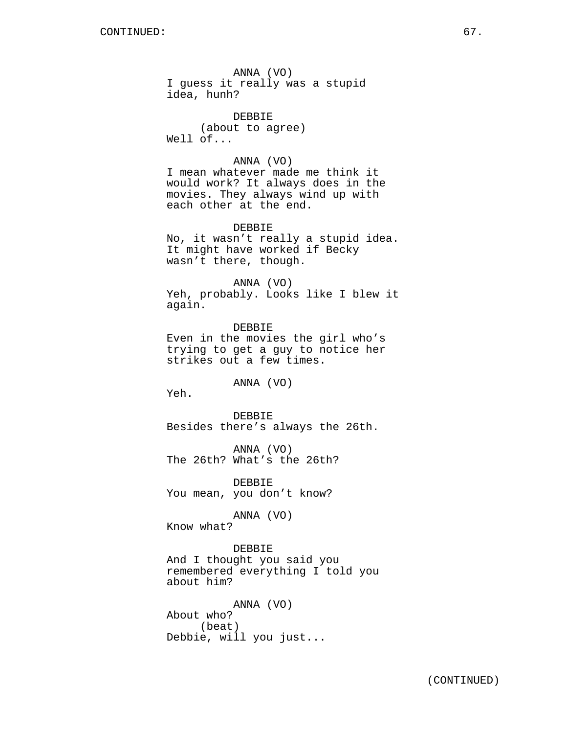ANNA (VO) I guess it really was a stupid idea, hunh?

DEBBIE (about to agree) Well of...

## ANNA (VO)

I mean whatever made me think it would work? It always does in the movies. They always wind up with each other at the end.

### DEBBIE

No, it wasn't really a stupid idea. It might have worked if Becky wasn't there, though.

#### ANNA (VO)

Yeh, probably. Looks like I blew it again.

DEBBIE Even in the movies the girl who's trying to get a guy to notice her strikes out a few times.

ANNA (VO)

Yeh.

DEBBIE Besides there's always the 26th.

ANNA (VO) The 26th? What's the 26th?

**DEBBIE** You mean, you don't know?

ANNA (VO)

Know what?

DEBBIE

And I thought you said you remembered everything I told you about him?

ANNA (VO) About who? (beat) Debbie, will you just...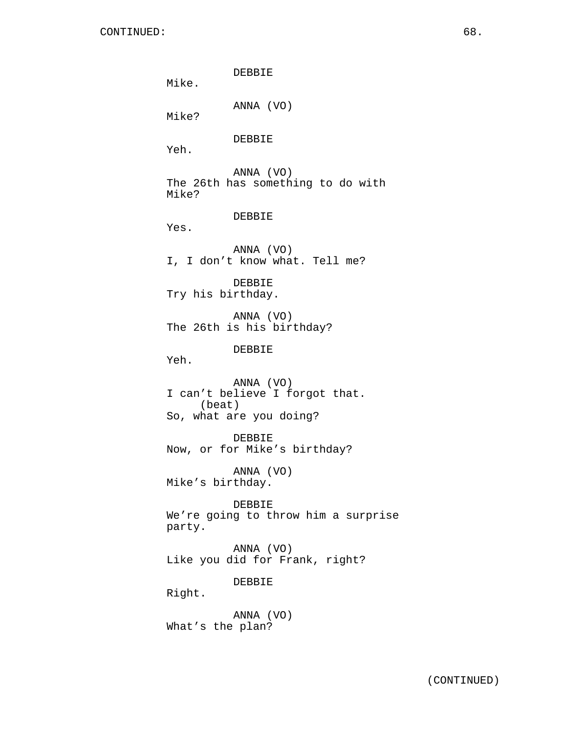DEBBIE Mike. ANNA (VO) Mike? DEBBIE Yeh. ANNA (VO) The 26th has something to do with Mike? DEBBIE Yes. ANNA (VO) I, I don't know what. Tell me? DEBBIE Try his birthday. ANNA (VO) The 26th is his birthday? DEBBIE Yeh. ANNA (VO) I can't believe I forgot that. (beat) So, what are you doing? DEBBIE Now, or for Mike's birthday? ANNA (VO) Mike's birthday. DEBBIE We're going to throw him a surprise party. ANNA (VO) Like you did for Frank, right? DEBBIE Right. ANNA (VO) What's the plan?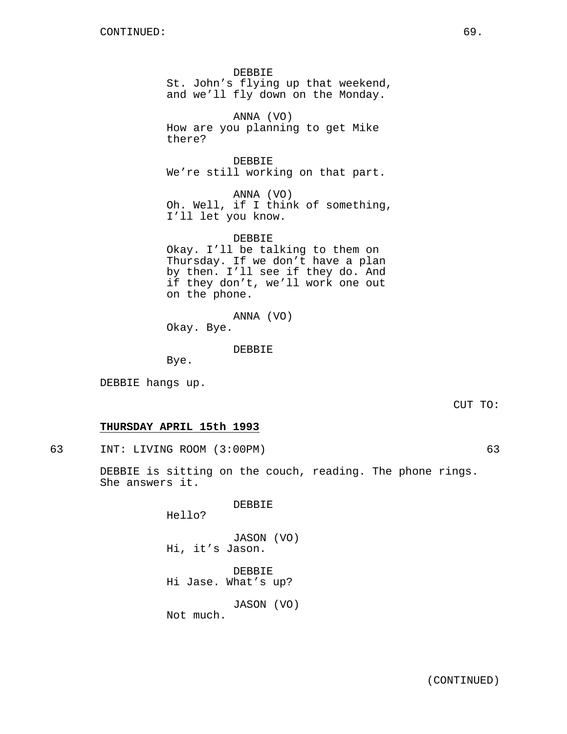DEBBIE St. John's flying up that weekend, and we'll fly down on the Monday.

ANNA (VO) How are you planning to get Mike there?

DEBBIE We're still working on that part.

ANNA (VO) Oh. Well, if I think of something, I'll let you know.

DEBBIE Okay. I'll be talking to them on Thursday. If we don't have a plan by then. I'll see if they do. And if they don't, we'll work one out on the phone.

ANNA (VO)

Okay. Bye.

DEBBIE

Bye.

DEBBIE hangs up.

CUT TO:

# **THURSDAY APRIL 15th 1993**

63 INT: LIVING ROOM (3:00PM) 63

DEBBIE is sitting on the couch, reading. The phone rings. She answers it.

DEBBIE

Hello?

JASON (VO) Hi, it's Jason.

DEBBIE Hi Jase. What's up?

JASON (VO)

Not much.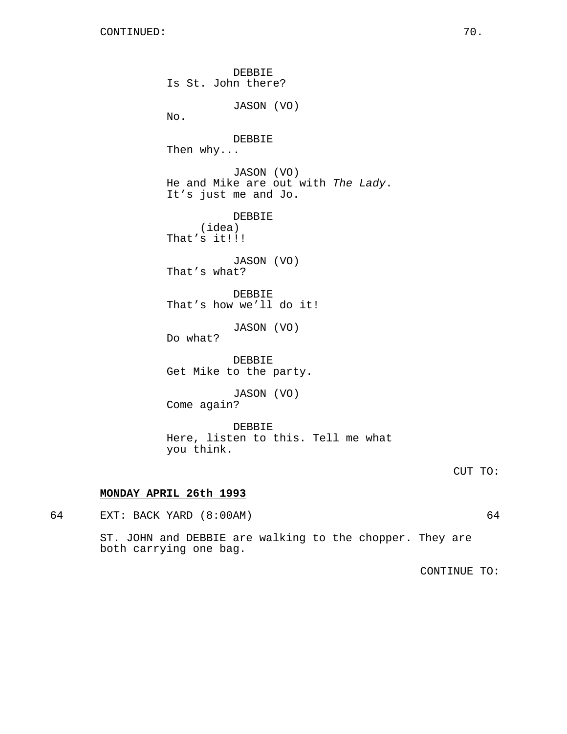DEBBIE Is St. John there? JASON (VO) No. DEBBIE Then why... JASON (VO) He and Mike are out with The Lady. It's just me and Jo. DEBBIE (idea) That's it!!! JASON (VO) That's what? DEBBIE That's how we'll do it! JASON (VO) Do what? DEBBIE Get Mike to the party. JASON (VO) Come again? DEBBIE Here, listen to this. Tell me what you think.

## CUT TO:

# **MONDAY APRIL 26th 1993**

64 EXT: BACK YARD (8:00AM) 64

ST. JOHN and DEBBIE are walking to the chopper. They are both carrying one bag.

CONTINUE TO: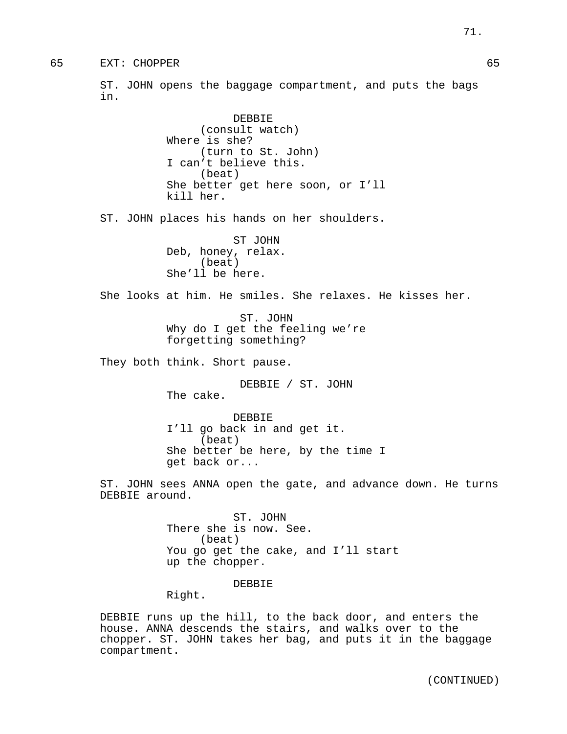ST. JOHN opens the baggage compartment, and puts the bags in.

> DEBBIE (consult watch) Where is she? (turn to St. John) I can't believe this. (beat) She better get here soon, or I'll kill her.

ST. JOHN places his hands on her shoulders.

ST JOHN Deb, honey, relax. (beat) She'll be here.

She looks at him. He smiles. She relaxes. He kisses her.

ST. JOHN Why do I get the feeling we're forgetting something?

They both think. Short pause.

DEBBIE / ST. JOHN The cake.

DEBBIE I'll go back in and get it. (beat) She better be here, by the time I get back or...

ST. JOHN sees ANNA open the gate, and advance down. He turns DEBBIE around.

> ST. JOHN There she is now. See. (beat) You go get the cake, and I'll start up the chopper.

## DEBBIE

Right.

DEBBIE runs up the hill, to the back door, and enters the house. ANNA descends the stairs, and walks over to the chopper. ST. JOHN takes her bag, and puts it in the baggage compartment.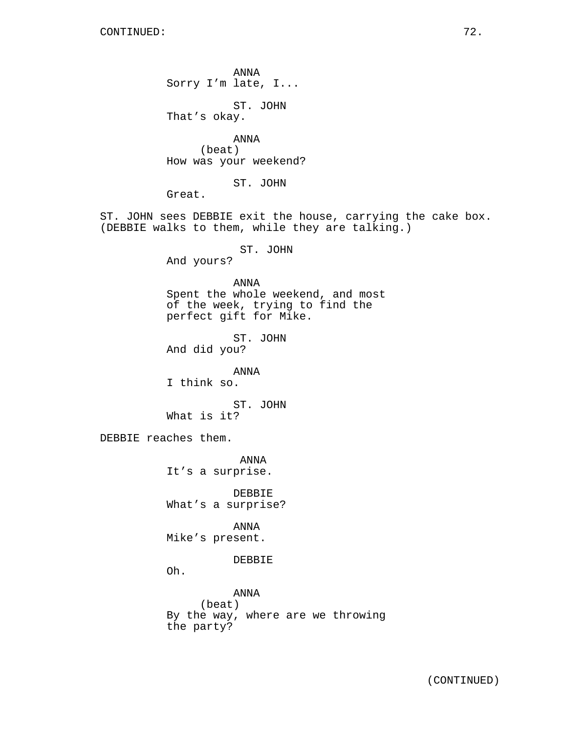ANNA Sorry I'm late, I...

ST. JOHN That's okay.

ANNA (beat) How was your weekend?

ST. JOHN

Great.

ST. JOHN sees DEBBIE exit the house, carrying the cake box. (DEBBIE walks to them, while they are talking.)

ST. JOHN

And yours?

ANNA

Spent the whole weekend, and most of the week, trying to find the perfect gift for Mike.

ST. JOHN And did you?

ANNA

I think so.

ST. JOHN What is it?

DEBBIE reaches them.

ANNA It's a surprise.

DEBBIE What's a surprise?

ANNA Mike's present.

DEBBIE

Oh.

ANNA (beat) By the way, where are we throwing the party?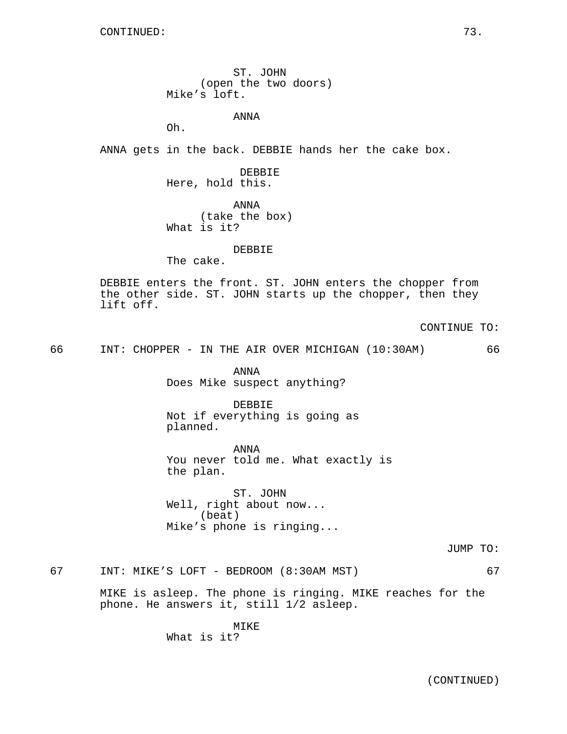ST. JOHN (open the two doors) Mike's loft.

ANNA

Oh.

ANNA gets in the back. DEBBIE hands her the cake box.

DEBBIE Here, hold this.

ANNA (take the box) What is it?

### DEBBIE

The cake.

DEBBIE enters the front. ST. JOHN enters the chopper from the other side. ST. JOHN starts up the chopper, then they lift off.

CONTINUE TO:

66 INT: CHOPPER - IN THE AIR OVER MICHIGAN (10:30AM) 66

ANNA Does Mike suspect anything?

DEBBIE Not if everything is going as planned.

ANNA You never told me. What exactly is the plan.

ST. JOHN Well, right about now... (beat) Mike's phone is ringing...

JUMP TO:

67 INT: MIKE'S LOFT - BEDROOM (8:30AM MST) 67

MIKE is asleep. The phone is ringing. MIKE reaches for the phone. He answers it, still 1/2 asleep.

> MIKE What is it?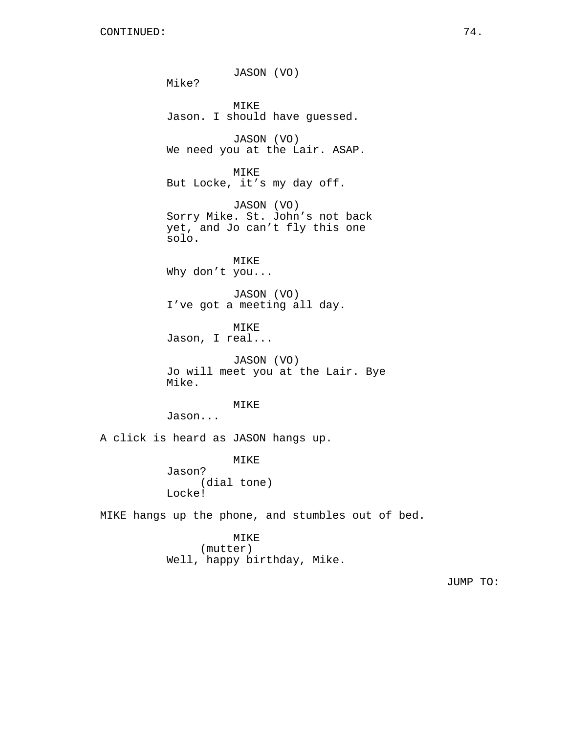JASON (VO) Mike? MIKE Jason. I should have guessed. JASON (VO) We need you at the Lair. ASAP. MIKE But Locke, it's my day off. JASON (VO) Sorry Mike. St. John's not back yet, and Jo can't fly this one solo. MIKE Why don't you... JASON (VO) I've got a meeting all day. MIKE Jason, I real... JASON (VO) Jo will meet you at the Lair. Bye Mike. MIKE Jason... A click is heard as JASON hangs up. MIKE Jason? (dial tone) Locke! MIKE hangs up the phone, and stumbles out of bed. MIKE (mutter) Well, happy birthday, Mike.

JUMP TO: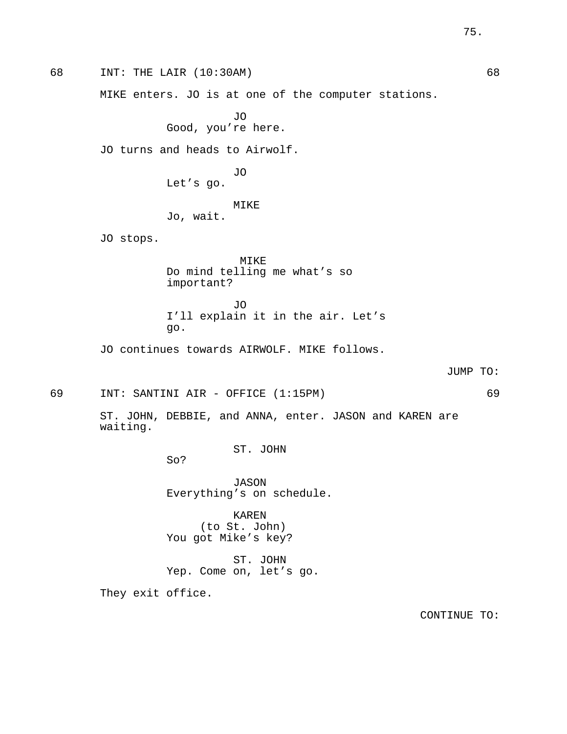68 INT: THE LAIR (10:30AM) 68 MIKE enters. JO is at one of the computer stations. JO Good, you're here. JO turns and heads to Airwolf. JO Let's go. MIKE Jo, wait. JO stops. MIKE Do mind telling me what's so important? JO I'll explain it in the air. Let's go. JO continues towards AIRWOLF. MIKE follows. JUMP TO: 69 INT: SANTINI AIR - OFFICE (1:15PM) 69 ST. JOHN, DEBBIE, and ANNA, enter. JASON and KAREN are waiting. ST. JOHN So? JASON Everything's on schedule. KAREN (to St. John) You got Mike's key? ST. JOHN Yep. Come on, let's go. They exit office.

CONTINUE TO: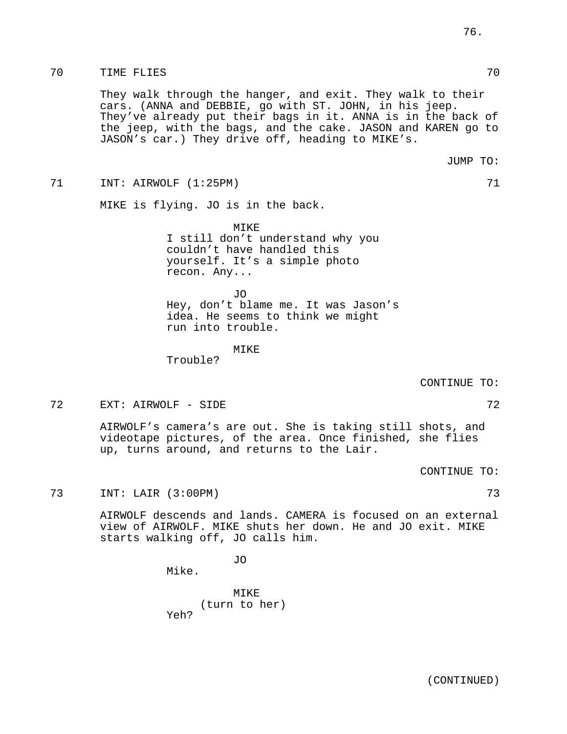## 70 TIME FLIES 70

They walk through the hanger, and exit. They walk to their cars. (ANNA and DEBBIE, go with ST. JOHN, in his jeep. They've already put their bags in it. ANNA is in the back of the jeep, with the bags, and the cake. JASON and KAREN go to JASON's car.) They drive off, heading to MIKE's.

71 INT: AIRWOLF (1:25PM) 71

MIKE is flying. JO is in the back.

MIKE I still don't understand why you couldn't have handled this yourself. It's a simple photo recon. Any...

JO Hey, don't blame me. It was Jason's idea. He seems to think we might run into trouble.

MIKE

Trouble?

CONTINUE TO:

The Subset of the SIDE of the SIDE of the SIDE of the SIDE of the SIDE of the SIDE of the SIDE of the SIDE of the SIDE of the SIDE of the SIDE of the SIDE of the SIDE of the SIDE of the SIDE of the SIDE of the SIDE of the

AIRWOLF's camera's are out. She is taking still shots, and videotape pictures, of the area. Once finished, she flies up, turns around, and returns to the Lair.

CONTINUE TO:

73 INT: LAIR (3:00PM) 73

AIRWOLF descends and lands. CAMERA is focused on an external view of AIRWOLF. MIKE shuts her down. He and JO exit. MIKE starts walking off, JO calls him.

JO

Mike.

MIKE (turn to her) Yeh?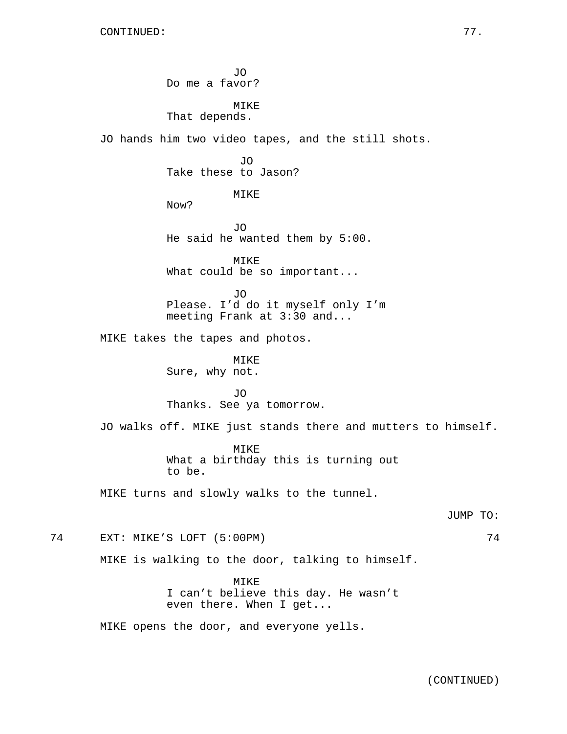JO Do me a favor? MIKE That depends. JO hands him two video tapes, and the still shots. JO Take these to Jason? MIKE Now? JO He said he wanted them by 5:00. MIKE What could be so important... JO Please. I'd do it myself only I'm meeting Frank at 3:30 and... MIKE takes the tapes and photos. MIKE Sure, why not. JO Thanks. See ya tomorrow. JO walks off. MIKE just stands there and mutters to himself. MIKE What a birthday this is turning out to be. MIKE turns and slowly walks to the tunnel. JUMP TO: 74 EXT: MIKE'S LOFT (5:00PM) 74 MIKE is walking to the door, talking to himself. MIKE I can't believe this day. He wasn't even there. When I get... MIKE opens the door, and everyone yells.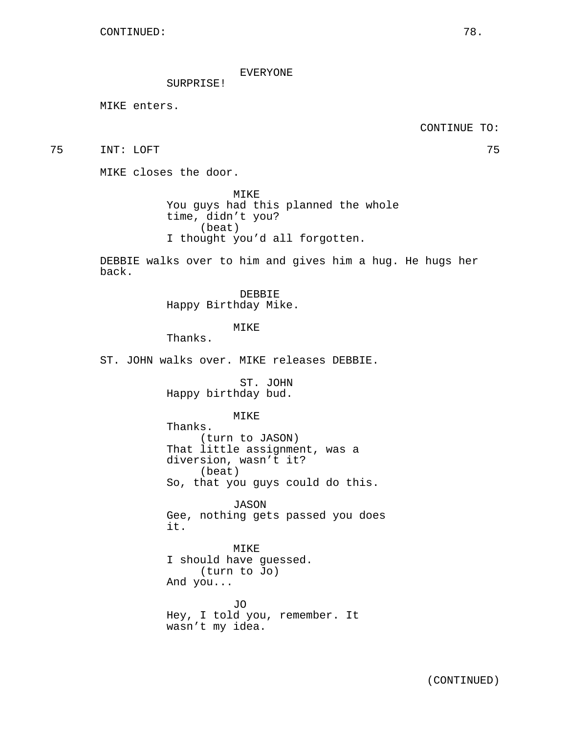## EVERYONE

SURPRISE!

MIKE enters.

CONTINUE TO:

75 INT: LOFT 75

MIKE closes the door.

MIKE You guys had this planned the whole time, didn't you? (beat) I thought you'd all forgotten.

DEBBIE walks over to him and gives him a hug. He hugs her back.

> DEBBIE Happy Birthday Mike.

> > MIKE

Thanks.

ST. JOHN walks over. MIKE releases DEBBIE.

ST. JOHN Happy birthday bud.

MIKE

Thanks. (turn to JASON) That little assignment, was a diversion, wasn't it? (beat) So, that you guys could do this.

JASON Gee, nothing gets passed you does it.

MIKE I should have guessed. (turn to Jo) And you...

JO Hey, I told you, remember. It wasn't my idea.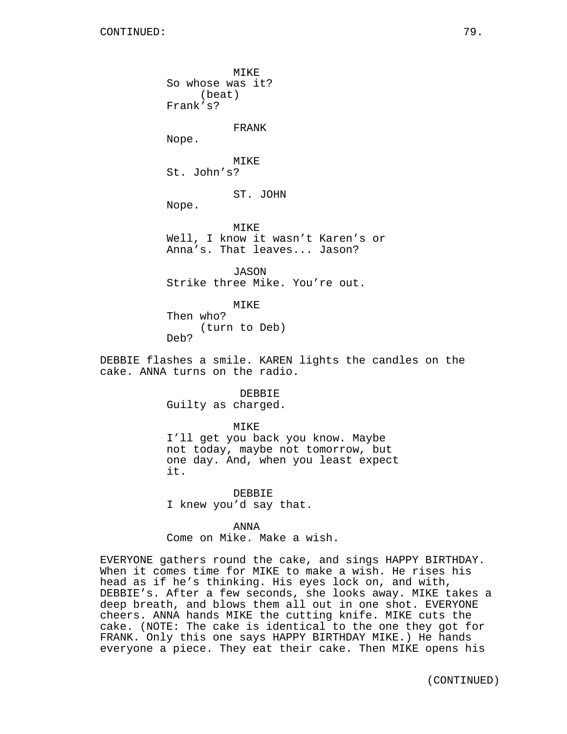MIKE So whose was it? (beat) Frank's? FRANK Nope. MIKE St. John's? ST. JOHN Nope.

MIKE Well, I know it wasn't Karen's or Anna's. That leaves... Jason?

JASON Strike three Mike. You're out.

MIKE Then who? (turn to Deb) Deb?

DEBBIE flashes a smile. KAREN lights the candles on the cake. ANNA turns on the radio.

> DEBBIE Guilty as charged.

MIKE I'll get you back you know. Maybe not today, maybe not tomorrow, but one day. And, when you least expect it.

DEBBIE I knew you'd say that.

ANNA Come on Mike. Make a wish.

EVERYONE gathers round the cake, and sings HAPPY BIRTHDAY. When it comes time for MIKE to make a wish. He rises his head as if he's thinking. His eyes lock on, and with, DEBBIE's. After a few seconds, she looks away. MIKE takes a deep breath, and blows them all out in one shot. EVERYONE cheers. ANNA hands MIKE the cutting knife. MIKE cuts the cake. (NOTE: The cake is identical to the one they got for FRANK. Only this one says HAPPY BIRTHDAY MIKE.) He hands everyone a piece. They eat their cake. Then MIKE opens his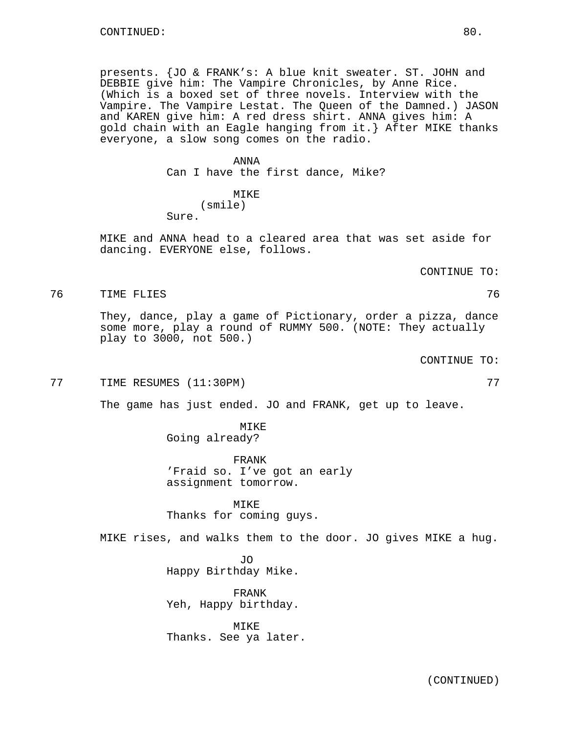presents. {JO & FRANK's: A blue knit sweater. ST. JOHN and DEBBIE give him: The Vampire Chronicles, by Anne Rice. (Which is a boxed set of three novels. Interview with the Vampire. The Vampire Lestat. The Queen of the Damned.) JASON and KAREN give him: A red dress shirt. ANNA gives him: A gold chain with an Eagle hanging from it.} After MIKE thanks everyone, a slow song comes on the radio.

### ANNA

Can I have the first dance, Mike?

## MIKE (smile) Sure.

MIKE and ANNA head to a cleared area that was set aside for dancing. EVERYONE else, follows.

CONTINUE TO:

76 TIME FLIES 76

They, dance, play a game of Pictionary, order a pizza, dance some more, play a round of RUMMY 500. (NOTE: They actually play to 3000, not 500.)

CONTINUE TO:

77 TIME RESUMES (11:30PM) 77

The game has just ended. JO and FRANK, get up to leave.

MIKE Going already?

FRANK 'Fraid so. I've got an early assignment tomorrow.

MIKE Thanks for coming guys.

MIKE rises, and walks them to the door. JO gives MIKE a hug.

JO Happy Birthday Mike.

FRANK Yeh, Happy birthday.

MIKE Thanks. See ya later.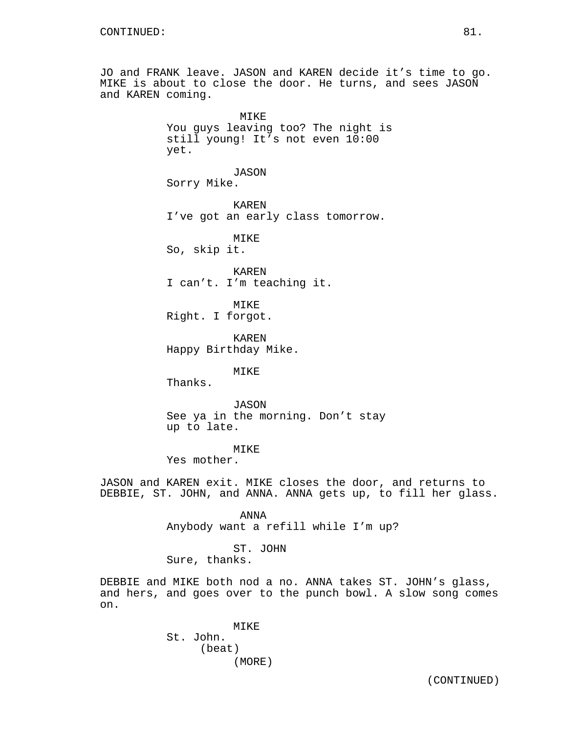JO and FRANK leave. JASON and KAREN decide it's time to go. MIKE is about to close the door. He turns, and sees JASON and KAREN coming.

> MIKE You guys leaving too? The night is still young! It's not even 10:00 yet.

> > JASON

Sorry Mike.

KAREN I've got an early class tomorrow.

MIKE So, skip it.

KAREN I can't. I'm teaching it.

MIKE Right. I forgot.

KAREN Happy Birthday Mike.

MIKE

Thanks.

JASON See ya in the morning. Don't stay up to late.

# MIKE

Yes mother.

JASON and KAREN exit. MIKE closes the door, and returns to DEBBIE, ST. JOHN, and ANNA. ANNA gets up, to fill her glass.

ANNA

Anybody want a refill while I'm up?

ST. JOHN Sure, thanks.

DEBBIE and MIKE both nod a no. ANNA takes ST. JOHN's glass, and hers, and goes over to the punch bowl. A slow song comes on.

> MIKE St. John. (beat) (MORE)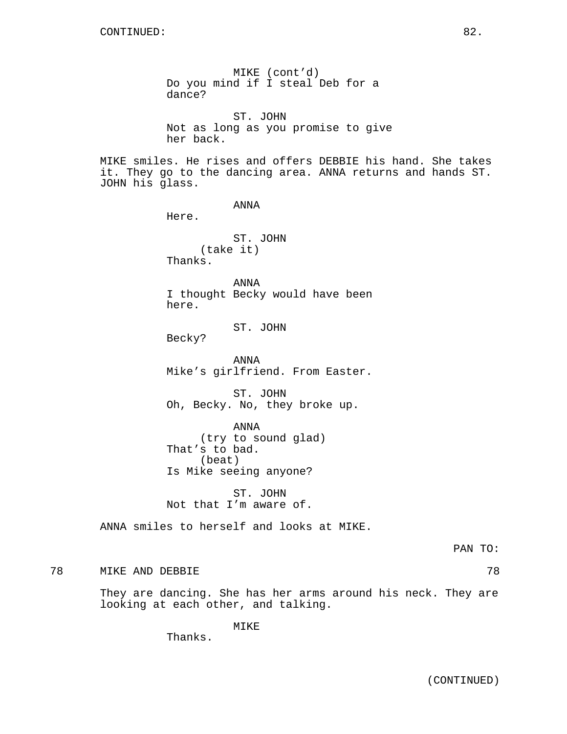MIKE (cont'd) Do you mind if I steal Deb for a dance? ST. JOHN Not as long as you promise to give her back. MIKE smiles. He rises and offers DEBBIE his hand. She takes it. They go to the dancing area. ANNA returns and hands ST. JOHN his glass. ANNA Here. ST. JOHN (take it) Thanks. ANNA I thought Becky would have been here. ST. JOHN Becky? ANNA Mike's girlfriend. From Easter. ST. JOHN Oh, Becky. No, they broke up. ANNA (try to sound glad) That's to bad. (beat) Is Mike seeing anyone? ST. JOHN Not that I'm aware of. ANNA smiles to herself and looks at MIKE. PAN TO: 78 MIKE AND DEBBIE 78

They are dancing. She has her arms around his neck. They are looking at each other, and talking.

MIKE

Thanks.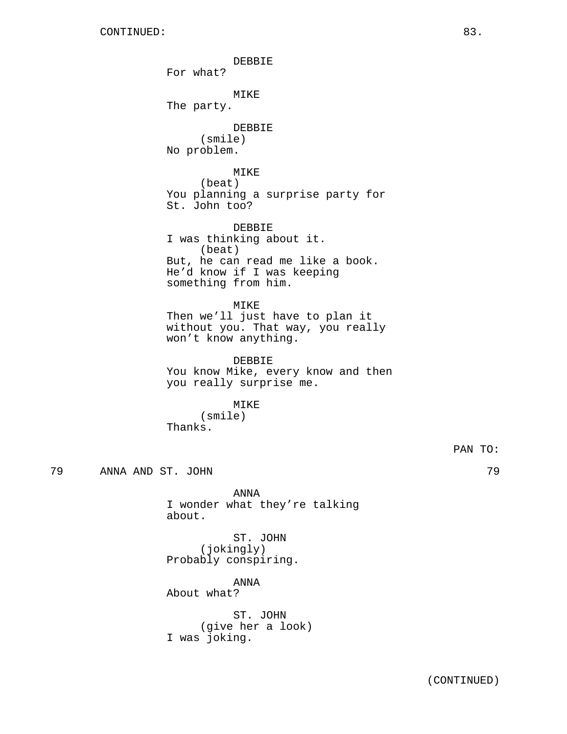DEBBIE For what? MIKE The party. DEBBIE (smile) No problem. MIKE (beat) You planning a surprise party for St. John too? DEBBIE I was thinking about it. (beat) But, he can read me like a book. He'd know if I was keeping something from him. MIKE Then we'll just have to plan it without you. That way, you really won't know anything. DEBBIE You know Mike, every know and then you really surprise me. MIKE (smile) Thanks. PAN TO: 79 ANNA AND ST. JOHN 79 ANNA I wonder what they're talking about. ST. JOHN (jokingly) Probably conspiring. ANNA About what?

> ST. JOHN (give her a look) I was joking.

(CONTINUED)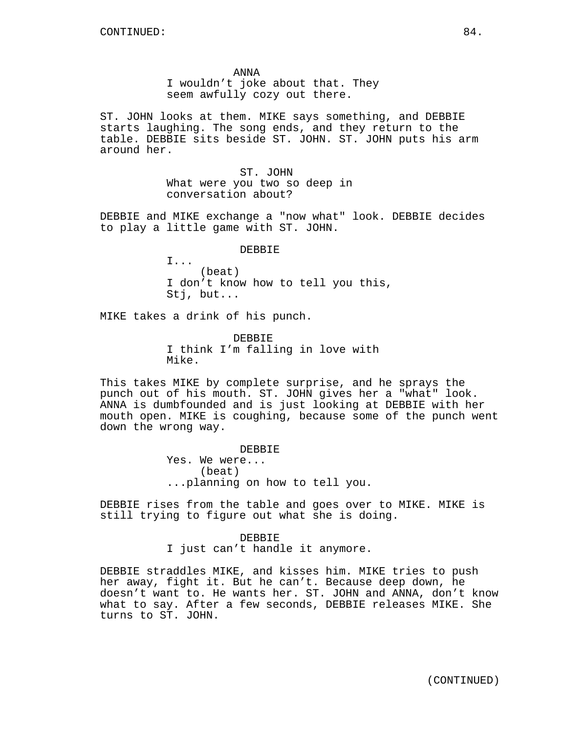ANNA I wouldn't joke about that. They seem awfully cozy out there.

ST. JOHN looks at them. MIKE says something, and DEBBIE starts laughing. The song ends, and they return to the table. DEBBIE sits beside ST. JOHN. ST. JOHN puts his arm around her.

> ST. JOHN What were you two so deep in conversation about?

DEBBIE and MIKE exchange a "now what" look. DEBBIE decides to play a little game with ST. JOHN.

## DEBBIE

(beat) I don't know how to tell you this, Stj, but...

MIKE takes a drink of his punch.

I...

DEBBIE I think I'm falling in love with Mike.

This takes MIKE by complete surprise, and he sprays the punch out of his mouth. ST. JOHN gives her a "what" look. ANNA is dumbfounded and is just looking at DEBBIE with her mouth open. MIKE is coughing, because some of the punch went down the wrong way.

> DEBBIE Yes. We were... (beat) ...planning on how to tell you.

DEBBIE rises from the table and goes over to MIKE. MIKE is still trying to figure out what she is doing.

> DEBBIE I just can't handle it anymore.

DEBBIE straddles MIKE, and kisses him. MIKE tries to push her away, fight it. But he can't. Because deep down, he doesn't want to. He wants her. ST. JOHN and ANNA, don't know what to say. After a few seconds, DEBBIE releases MIKE. She turns to ST. JOHN.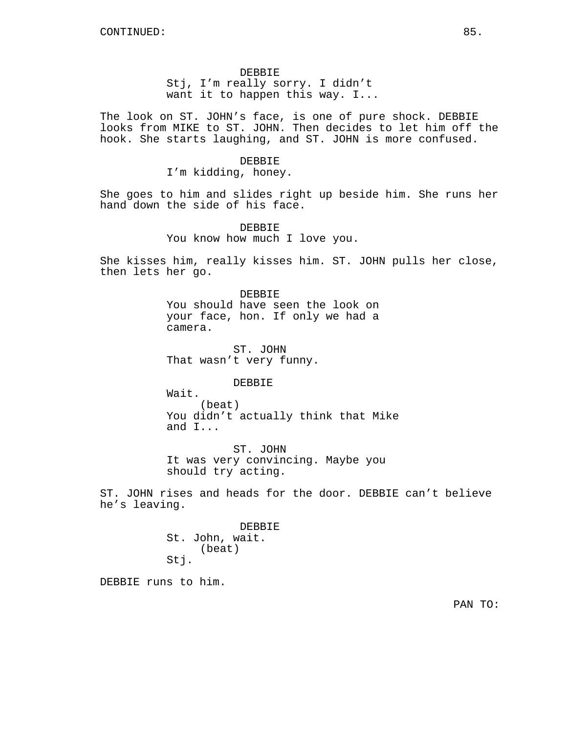## DEBBIE

Stj, I'm really sorry. I didn't want it to happen this way. I...

The look on ST. JOHN's face, is one of pure shock. DEBBIE looks from MIKE to ST. JOHN. Then decides to let him off the hook. She starts laughing, and ST. JOHN is more confused.

### DEBBIE

I'm kidding, honey.

She goes to him and slides right up beside him. She runs her hand down the side of his face.

> DEBBIE You know how much I love you.

She kisses him, really kisses him. ST. JOHN pulls her close, then lets her go.

# DEBBIE You should have seen the look on your face, hon. If only we had a camera.

ST. JOHN That wasn't very funny.

DEBBIE

Wait. (beat) You didn't actually think that Mike and I...

ST. JOHN It was very convincing. Maybe you should try acting.

ST. JOHN rises and heads for the door. DEBBIE can't believe he's leaving.

> **DEBBIE** St. John, wait. (beat) Stj.

DEBBIE runs to him.

PAN TO: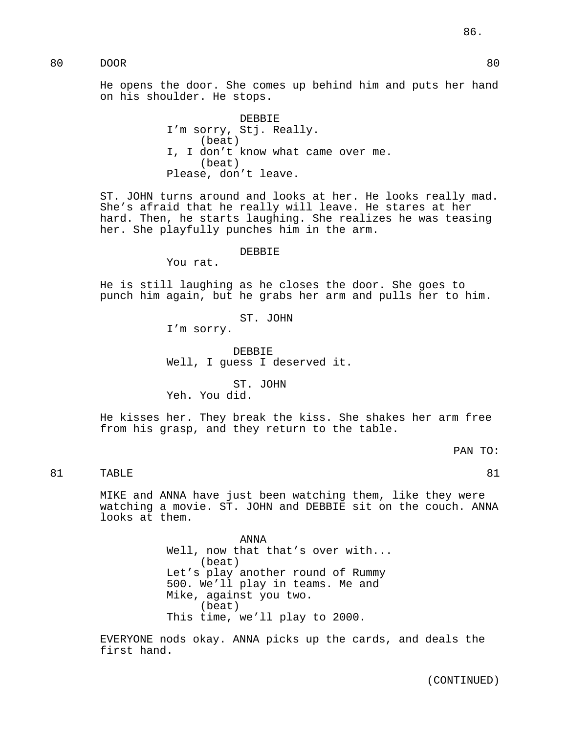He opens the door. She comes up behind him and puts her hand on his shoulder. He stops.

> DEBBIE I'm sorry, Stj. Really. (beat) I, I don't know what came over me. (beat) Please, don't leave.

ST. JOHN turns around and looks at her. He looks really mad. She's afraid that he really will leave. He stares at her hard. Then, he starts laughing. She realizes he was teasing her. She playfully punches him in the arm.

#### DEBBIE

You rat.

He is still laughing as he closes the door. She goes to punch him again, but he grabs her arm and pulls her to him.

ST. JOHN

I'm sorry.

DEBBIE Well, I guess I deserved it.

ST. JOHN Yeh. You did.

He kisses her. They break the kiss. She shakes her arm free from his grasp, and they return to the table.

PAN TO:

81 TABLE 81

MIKE and ANNA have just been watching them, like they were watching a movie. ST. JOHN and DEBBIE sit on the couch. ANNA looks at them.

> ANNA Well, now that that's over with... (beat) Let's play another round of Rummy 500. We'll play in teams. Me and Mike, against you two. (beat) This time, we'll play to 2000.

EVERYONE nods okay. ANNA picks up the cards, and deals the first hand.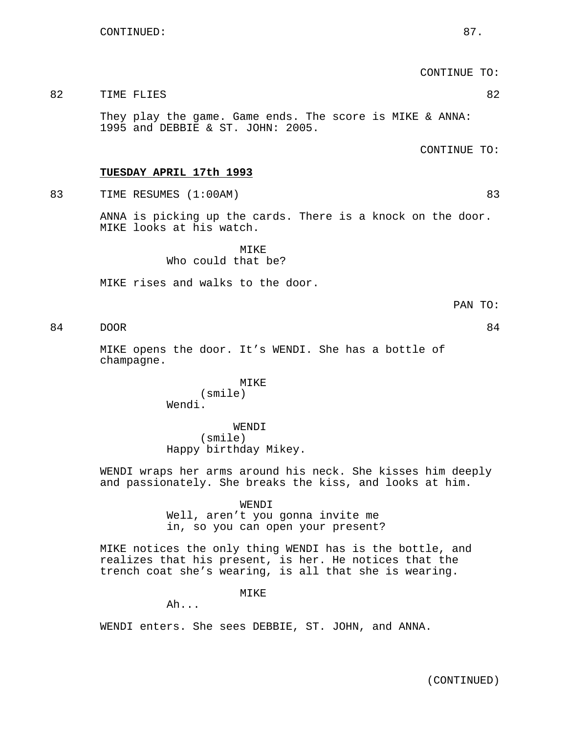CONTINUE TO:

### 82 TIME FLIES 82

They play the game. Game ends. The score is MIKE & ANNA: 1995 and DEBBIE & ST. JOHN: 2005.

CONTINUE TO:

### **TUESDAY APRIL 17th 1993**

83 TIME RESUMES (1:00AM) 83

ANNA is picking up the cards. There is a knock on the door. MIKE looks at his watch.

> MTK<sub>E</sub> Who could that be?

MIKE rises and walks to the door.

PAN TO:

84 DOOR 84

MIKE opens the door. It's WENDI. She has a bottle of champagne.

> MIKE (smile) Wendi.

WENDI (smile) Happy birthday Mikey.

WENDI wraps her arms around his neck. She kisses him deeply and passionately. She breaks the kiss, and looks at him.

### WENDI

Well, aren't you gonna invite me in, so you can open your present?

MIKE notices the only thing WENDI has is the bottle, and realizes that his present, is her. He notices that the trench coat she's wearing, is all that she is wearing.

MIKE

Ah...

WENDI enters. She sees DEBBIE, ST. JOHN, and ANNA.

(CONTINUED)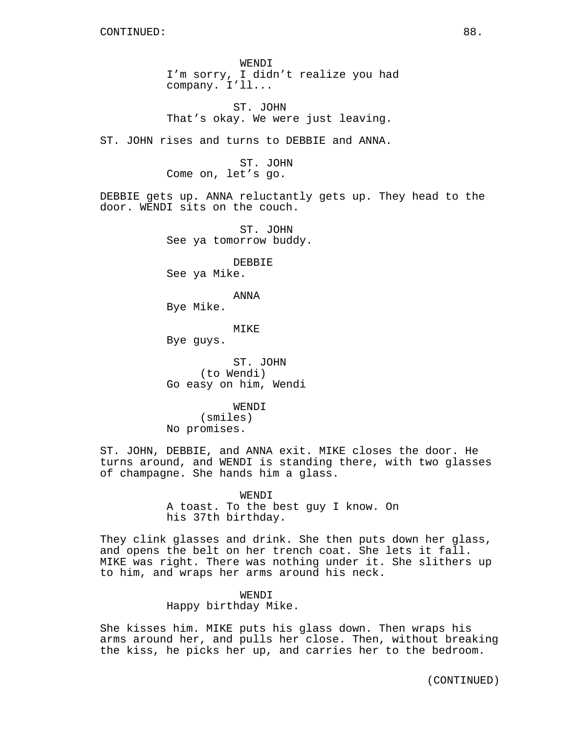WENDI I'm sorry, I didn't realize you had company. I'll...

ST. JOHN That's okay. We were just leaving.

ST. JOHN rises and turns to DEBBIE and ANNA.

ST. JOHN Come on, let's go.

DEBBIE gets up. ANNA reluctantly gets up. They head to the door. WENDI sits on the couch.

> ST. JOHN See ya tomorrow buddy.

DEBBIE See ya Mike.

ANNA

Bye Mike.

MIKE

Bye guys.

ST. JOHN (to Wendi) Go easy on him, Wendi

WENDI (smiles) No promises.

ST. JOHN, DEBBIE, and ANNA exit. MIKE closes the door. He turns around, and WENDI is standing there, with two glasses of champagne. She hands him a glass.

> WENDI A toast. To the best guy I know. On his 37th birthday.

They clink glasses and drink. She then puts down her glass, and opens the belt on her trench coat. She lets it fall. MIKE was right. There was nothing under it. She slithers up to him, and wraps her arms around his neck.

> WENDI Happy birthday Mike.

She kisses him. MIKE puts his glass down. Then wraps his arms around her, and pulls her close. Then, without breaking the kiss, he picks her up, and carries her to the bedroom.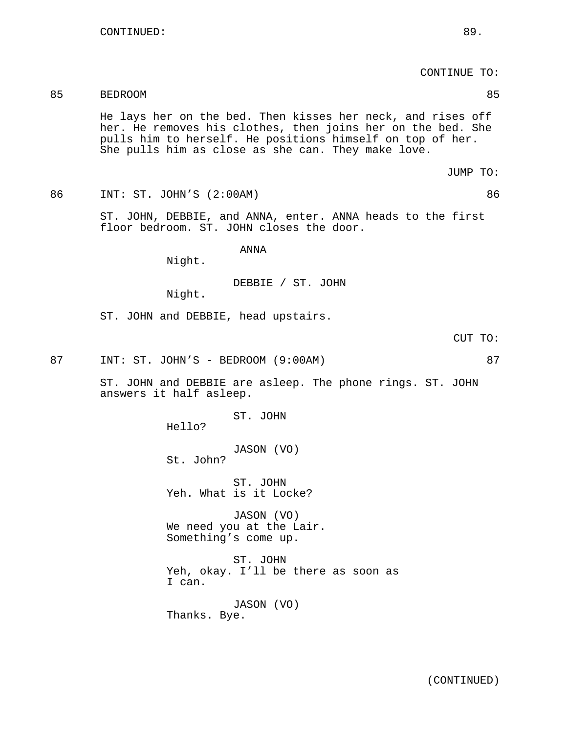CONTINUE TO:

# 85 BEDROOM 85

He lays her on the bed. Then kisses her neck, and rises off her. He removes his clothes, then joins her on the bed. She pulls him to herself. He positions himself on top of her. She pulls him as close as she can. They make love.

JUMP TO:

86 INT: ST. JOHN'S (2:00AM) 86

ST. JOHN, DEBBIE, and ANNA, enter. ANNA heads to the first floor bedroom. ST. JOHN closes the door.

ANNA

Night.

DEBBIE / ST. JOHN

Night.

ST. JOHN and DEBBIE, head upstairs.

CUT TO:

87 INT: ST. JOHN'S - BEDROOM (9:00AM) 87

ST. JOHN and DEBBIE are asleep. The phone rings. ST. JOHN answers it half asleep.

Hello?

JASON (VO) St. John?

ST. JOHN

ST. JOHN Yeh. What is it Locke?

JASON (VO) We need you at the Lair. Something's come up.

ST. JOHN Yeh, okay. I'll be there as soon as I can.

JASON (VO) Thanks. Bye.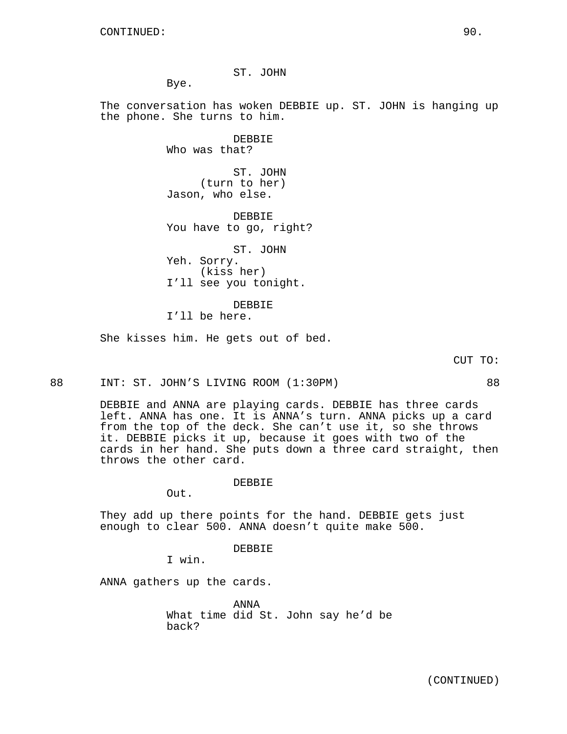ST. JOHN

Bye.

The conversation has woken DEBBIE up. ST. JOHN is hanging up the phone. She turns to him.

> DEBBIE Who was that?

ST. JOHN (turn to her) Jason, who else.

DEBBIE You have to go, right?

ST. JOHN Yeh. Sorry. (kiss her) I'll see you tonight.

DEBBIE I'll be here.

She kisses him. He gets out of bed.

CUT TO:

88 INT: ST. JOHN'S LIVING ROOM (1:30PM) 88

DEBBIE and ANNA are playing cards. DEBBIE has three cards left. ANNA has one. It is ANNA's turn. ANNA picks up a card from the top of the deck. She can't use it, so she throws it. DEBBIE picks it up, because it goes with two of the cards in her hand. She puts down a three card straight, then throws the other card.

#### DEBBIE

Out.

They add up there points for the hand. DEBBIE gets just enough to clear 500. ANNA doesn't quite make 500.

DEBBIE

I win.

ANNA gathers up the cards.

ANNA What time did St. John say he'd be back?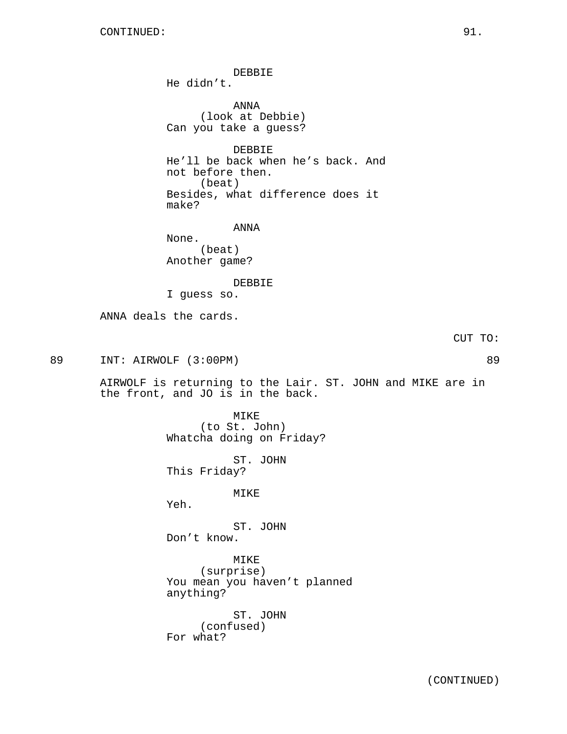DEBBIE He didn't. ANNA (look at Debbie) Can you take a guess? DEBBIE He'll be back when he's back. And not before then. (beat) Besides, what difference does it make? ANNA None. (beat) Another game? DEBBIE I guess so. ANNA deals the cards. CUT TO: 89 INT: AIRWOLF (3:00PM) 89 AIRWOLF is returning to the Lair. ST. JOHN and MIKE are in the front, and JO is in the back. MIKE (to St. John) Whatcha doing on Friday? ST. JOHN This Friday? MIKE Yeh. ST. JOHN Don't know. MIKE (surprise) You mean you haven't planned anything? ST. JOHN (confused) For what?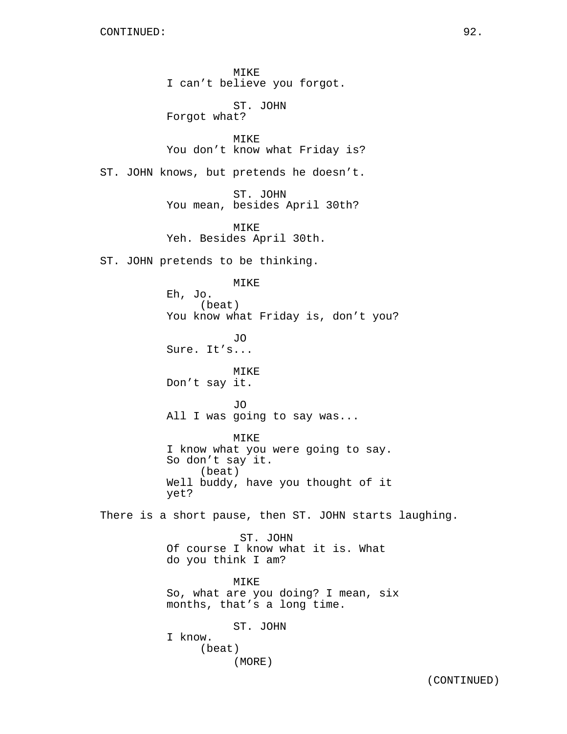MIKE I can't believe you forgot.

ST. JOHN Forgot what?

MIKE You don't know what Friday is?

ST. JOHN knows, but pretends he doesn't.

ST. JOHN You mean, besides April 30th?

MIKE Yeh. Besides April 30th.

ST. JOHN pretends to be thinking.

MIKE Eh, Jo. (beat) You know what Friday is, don't you? JO Sure. It's... MIKE Don't say it. JO All I was going to say was... MIKE I know what you were going to say. So don't say it. (beat) Well buddy, have you thought of it yet? There is a short pause, then ST. JOHN starts laughing. ST. JOHN Of course I know what it is. What do you think I am? MIKE So, what are you doing? I mean, six months, that's a long time. ST. JOHN I know. (beat)

(MORE)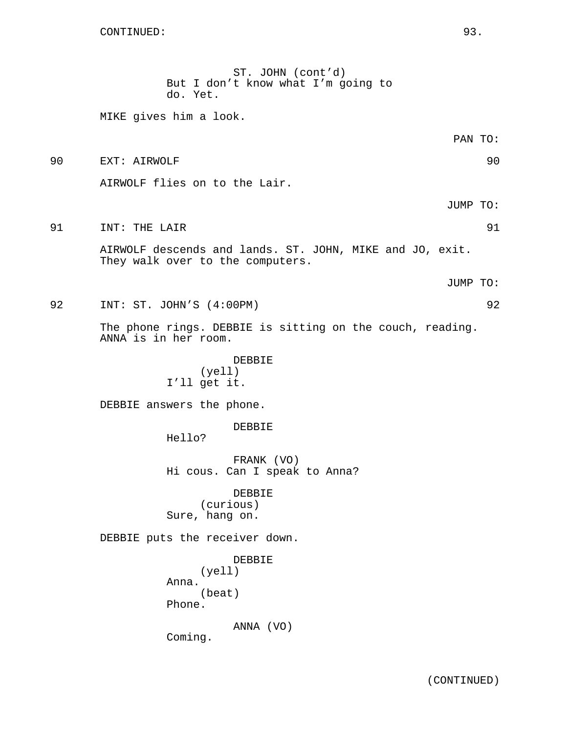ST. JOHN (cont'd) But I don't know what I'm going to do. Yet. MIKE gives him a look. PAN TO: 90 EXT: AIRWOLF 90 AIRWOLF flies on to the Lair. JUMP TO: 91 INT: THE LAIR 91 AIRWOLF descends and lands. ST. JOHN, MIKE and JO, exit. They walk over to the computers. JUMP TO: 92 INT: ST. JOHN'S (4:00PM) 92 The phone rings. DEBBIE is sitting on the couch, reading. ANNA is in her room. DEBBIE (yell) I'll get it. DEBBIE answers the phone. DEBBIE Hello? FRANK (VO) Hi cous. Can I speak to Anna? DEBBIE (curious) Sure, hang on. DEBBIE puts the receiver down. DEBBIE (yell) Anna. (beat)

Phone.

ANNA (VO)

Coming.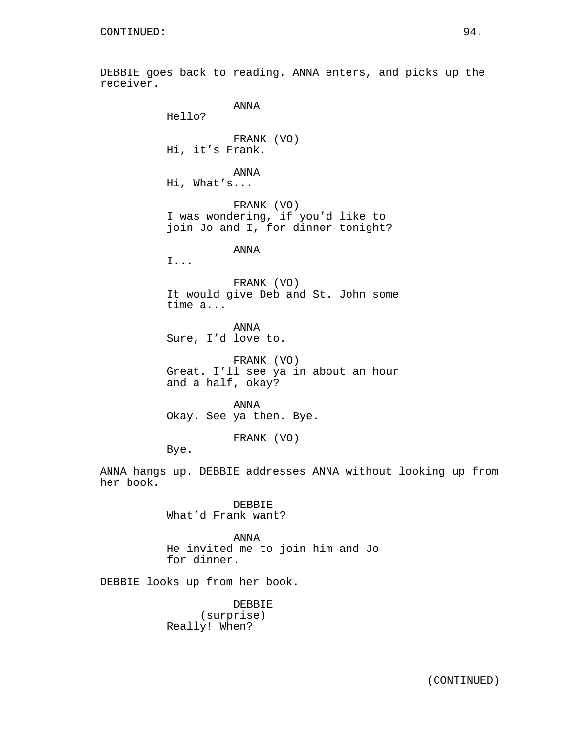DEBBIE goes back to reading. ANNA enters, and picks up the receiver. ANNA Hello? FRANK (VO) Hi, it's Frank. ANNA Hi, What's... FRANK (VO) I was wondering, if you'd like to join Jo and I, for dinner tonight? ANNA I... FRANK (VO) It would give Deb and St. John some time a... ANNA Sure, I'd love to. FRANK (VO) Great. I'll see ya in about an hour and a half, okay? ANNA Okay. See ya then. Bye. FRANK (VO) Bye. ANNA hangs up. DEBBIE addresses ANNA without looking up from her book. DEBBIE What'd Frank want?

> ANNA He invited me to join him and Jo for dinner.

DEBBIE looks up from her book.

DEBBIE (surprise) Really! When?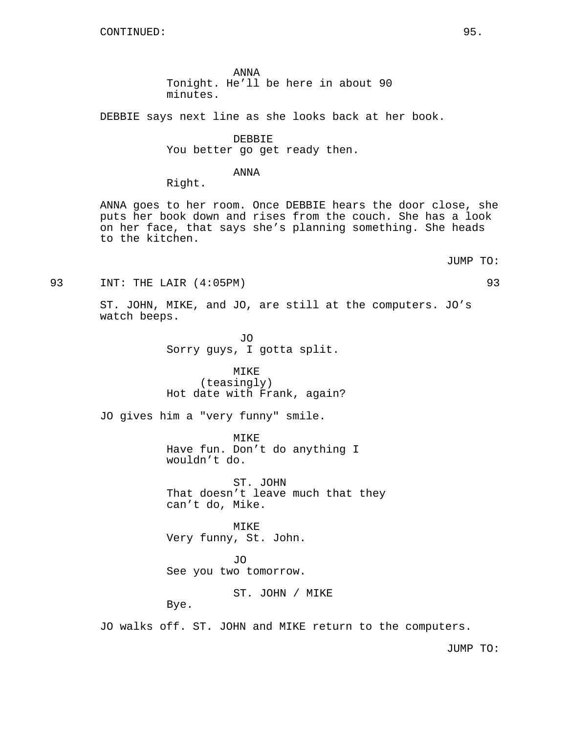ANNA Tonight. He'll be here in about 90 minutes.

DEBBIE says next line as she looks back at her book.

DEBBIE

You better go get ready then.

## ANNA

Right.

ANNA goes to her room. Once DEBBIE hears the door close, she puts her book down and rises from the couch. She has a look on her face, that says she's planning something. She heads to the kitchen.

JUMP TO:

93 INT: THE LAIR (4:05PM) 93

ST. JOHN, MIKE, and JO, are still at the computers. JO's watch beeps.

> JO Sorry guys, I gotta split.

# MIKE

(teasingly) Hot date with Frank, again?

JO gives him a "very funny" smile.

MIKE Have fun. Don't do anything I wouldn't do.

ST. JOHN That doesn't leave much that they can't do, Mike.

MIKE Very funny, St. John.

JO See you two tomorrow.

ST. JOHN / MIKE

Bye.

JO walks off. ST. JOHN and MIKE return to the computers.

JUMP TO: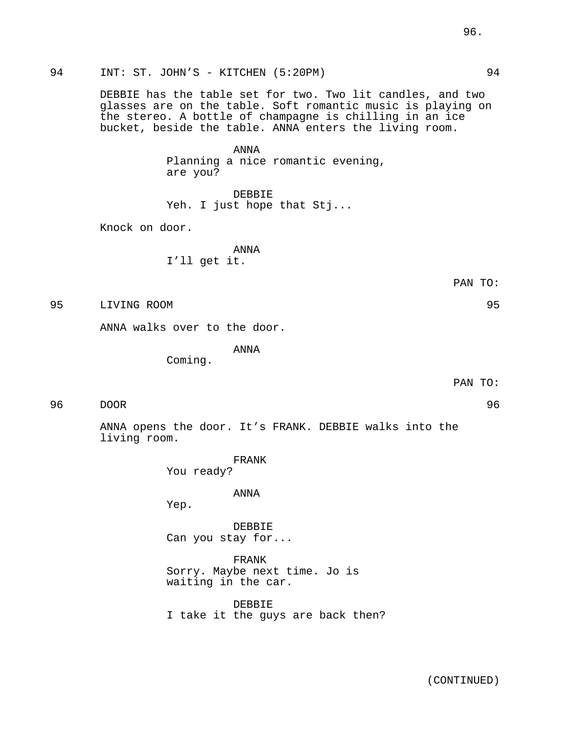94 INT: ST. JOHN'S - KITCHEN (5:20PM) 94

DEBBIE has the table set for two. Two lit candles, and two glasses are on the table. Soft romantic music is playing on the stereo. A bottle of champagne is chilling in an ice bucket, beside the table. ANNA enters the living room.

> ANNA Planning a nice romantic evening, are you?

DEBBIE Yeh. I just hope that Stj...

Knock on door.

ANNA I'll get it.

PAN TO:

95 LIVING ROOM 95

ANNA walks over to the door.

ANNA

Coming.

PAN TO:

96 DOOR 96

ANNA opens the door. It's FRANK. DEBBIE walks into the living room.

> FRANK You ready?

> > ANNA

Yep.

DEBBIE Can you stay for...

FRANK Sorry. Maybe next time. Jo is waiting in the car.

DEBBIE I take it the guys are back then?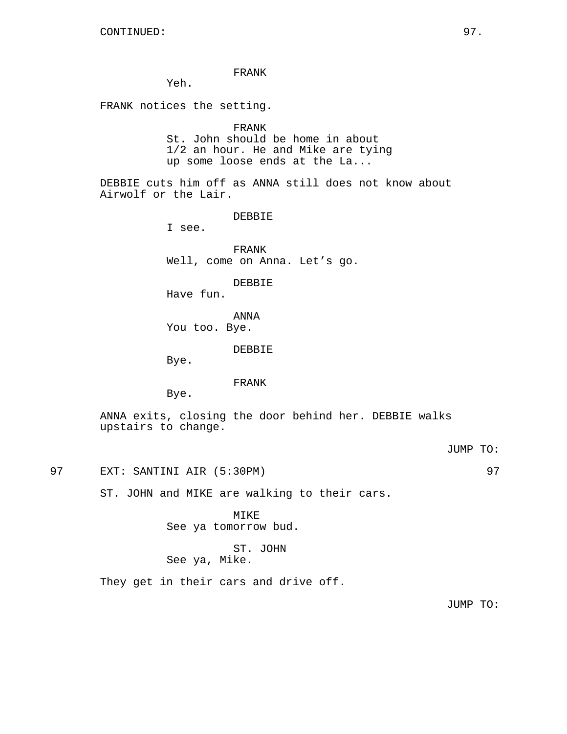### FRANK

Yeh.

FRANK notices the setting.

## FRANK

St. John should be home in about 1/2 an hour. He and Mike are tying up some loose ends at the La...

DEBBIE cuts him off as ANNA still does not know about Airwolf or the Lair.

DEBBIE

I see.

FRANK Well, come on Anna. Let's go.

### DEBBIE

Have fun.

ANNA

You too. Bye.

DEBBIE

Bye.

## FRANK

Bye.

ANNA exits, closing the door behind her. DEBBIE walks upstairs to change.

JUMP TO:

97 EXT: SANTINI AIR (5:30PM) 97

ST. JOHN and MIKE are walking to their cars.

MIKE See ya tomorrow bud.

## ST. JOHN See ya, Mike.

They get in their cars and drive off.

JUMP TO: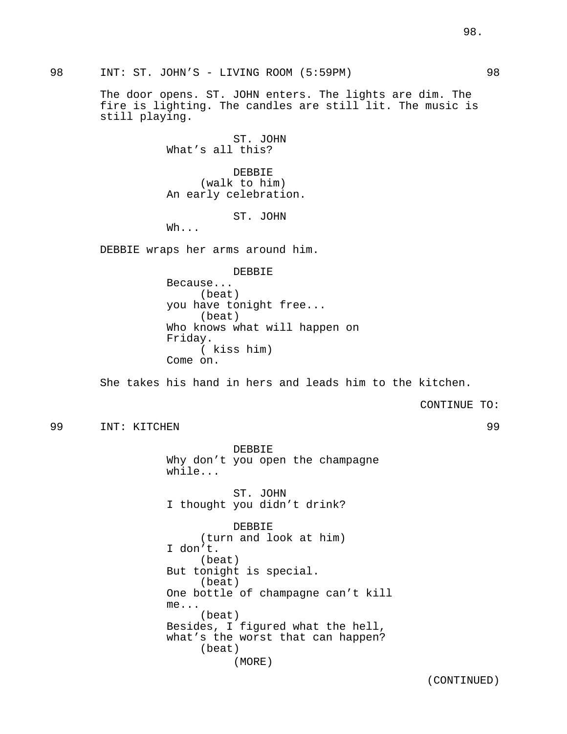98 INT: ST. JOHN'S - LIVING ROOM (5:59PM) 98

The door opens. ST. JOHN enters. The lights are dim. The fire is lighting. The candles are still lit. The music is still playing.

> ST. JOHN What's all this?

DEBBIE (walk to him) An early celebration.

ST. JOHN

Wh...

DEBBIE wraps her arms around him.

DEBBIE

Because... (beat) you have tonight free... (beat) Who knows what will happen on Friday. ( kiss him) Come on.

She takes his hand in hers and leads him to the kitchen.

CONTINUE TO:

99 INT: KITCHEN 99

DEBBIE Why don't you open the champagne while...

ST. JOHN I thought you didn't drink?

DEBBIE (turn and look at him) I don't. (beat) But tonight is special. (beat) One bottle of champagne can't kill me... (beat) Besides, I figured what the hell, what's the worst that can happen? (beat) (MORE)

(CONTINUED)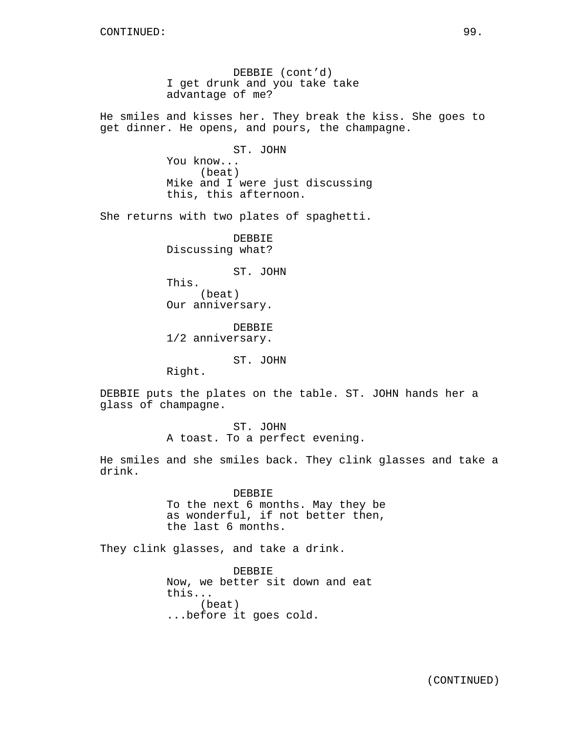DEBBIE (cont'd) I get drunk and you take take advantage of me?

He smiles and kisses her. They break the kiss. She goes to get dinner. He opens, and pours, the champagne.

> ST. JOHN You know... (beat) Mike and I were just discussing this, this afternoon.

She returns with two plates of spaghetti.

DEBBIE Discussing what?

ST. JOHN

This.

(beat) Our anniversary.

DEBBIE 1/2 anniversary.

ST. JOHN

Right.

DEBBIE puts the plates on the table. ST. JOHN hands her a glass of champagne.

> ST. JOHN A toast. To a perfect evening.

He smiles and she smiles back. They clink glasses and take a drink.

> DEBBIE To the next 6 months. May they be as wonderful, if not better then, the last 6 months.

They clink glasses, and take a drink.

DEBBIE Now, we better sit down and eat this... (beat) ...before it goes cold.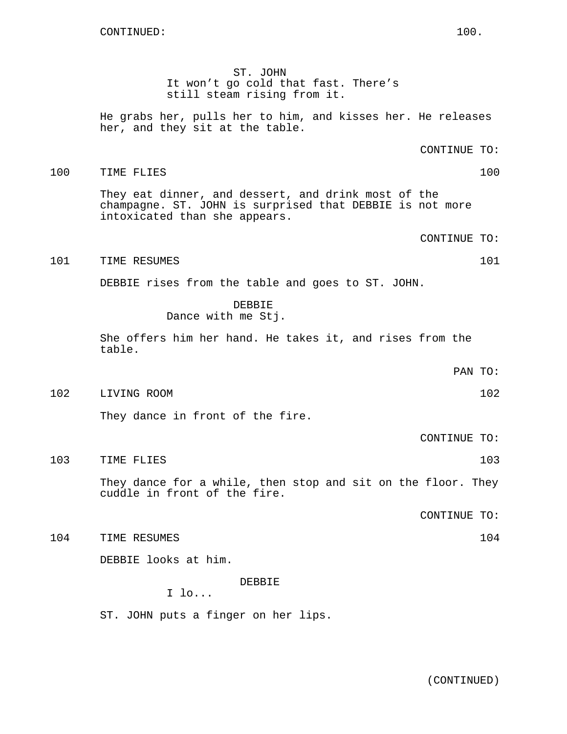ST. JOHN It won't go cold that fast. There's still steam rising from it.

100 TIME FLIES 100

He grabs her, pulls her to him, and kisses her. He releases her, and they sit at the table.

They eat dinner, and dessert, and drink most of the champagne. ST. JOHN is surprised that DEBBIE is not more intoxicated than she appears.

CONTINUE TO:

CONTINUE TO:

101 TIME RESUMES 101

DEBBIE rises from the table and goes to ST. JOHN.

DEBBIE Dance with me Stj.

She offers him her hand. He takes it, and rises from the table.

PAN TO:

102 LIVING ROOM 102

They dance in front of the fire.

CONTINUE TO:

103 TIME FLIES 103

They dance for a while, then stop and sit on the floor. They cuddle in front of the fire.

CONTINUE TO:

104 TIME RESUMES 104

DEBBIE looks at him.

DEBBIE

I lo...

ST. JOHN puts a finger on her lips.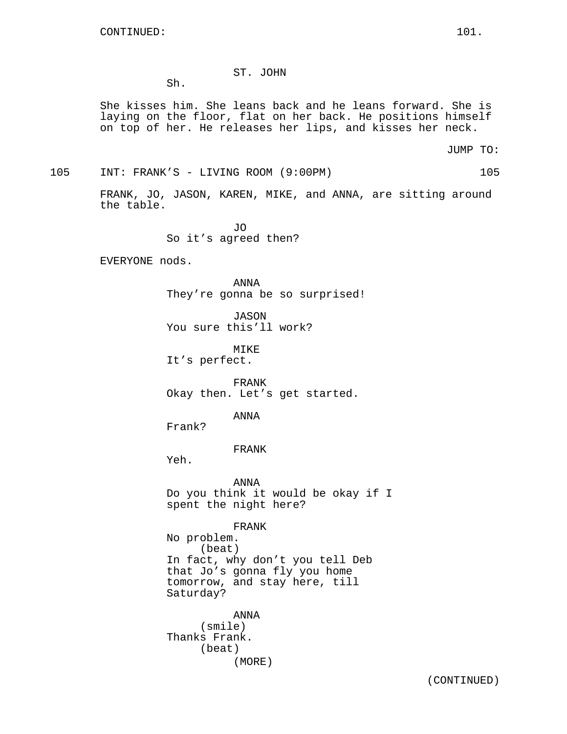# ST. JOHN

Sh.

She kisses him. She leans back and he leans forward. She is laying on the floor, flat on her back. He positions himself on top of her. He releases her lips, and kisses her neck.

JUMP TO:

105 INT: FRANK'S - LIVING ROOM (9:00PM) 105

FRANK, JO, JASON, KAREN, MIKE, and ANNA, are sitting around the table.

> JO So it's agreed then?

EVERYONE nods.

ANNA They're gonna be so surprised!

JASON You sure this'll work?

MIKE It's perfect.

FRANK Okay then. Let's get started.

ANNA

Frank?

FRANK

Yeh.

ANNA Do you think it would be okay if I spent the night here?

FRANK No problem. (beat) In fact, why don't you tell Deb that Jo's gonna fly you home tomorrow, and stay here, till Saturday?

ANNA (smile) Thanks Frank. (beat) (MORE)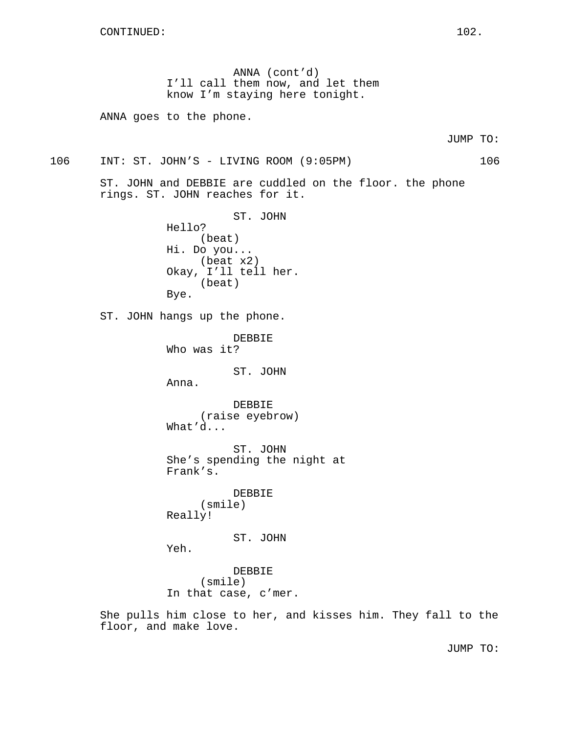ANNA (cont'd) I'll call them now, and let them know I'm staying here tonight.

ANNA goes to the phone.

106 INT: ST. JOHN'S - LIVING ROOM (9:05PM) 106

ST. JOHN and DEBBIE are cuddled on the floor. the phone rings. ST. JOHN reaches for it.

> ST. JOHN Hello? (beat) Hi. Do you... (beat x2) Okay, I'll tell her. (beat) Bye.

ST. JOHN hangs up the phone.

DEBBIE Who was it?

ST. JOHN

Anna.

DEBBIE (raise eyebrow) What'd...

ST. JOHN She's spending the night at Frank's.

DEBBIE (smile) Really!

ST. JOHN

Yeh.

DEBBIE (smile) In that case, c'mer.

She pulls him close to her, and kisses him. They fall to the floor, and make love.

JUMP TO: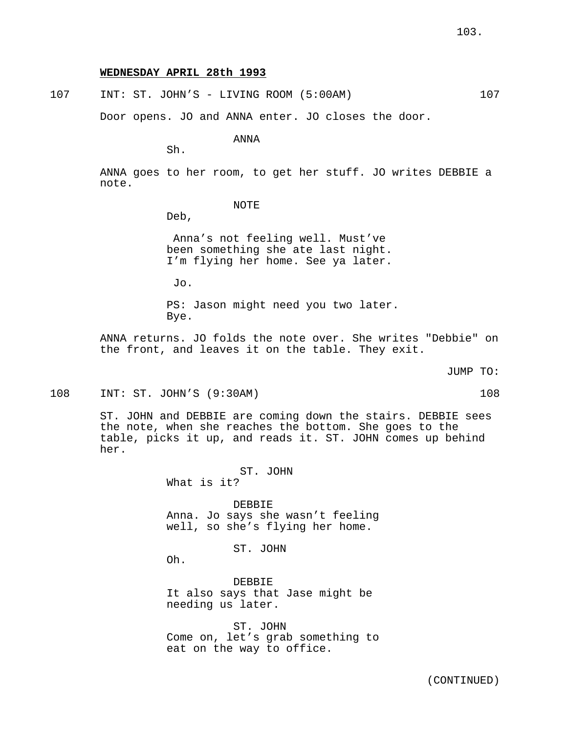# **WEDNESDAY APRIL 28th 1993**

107 INT: ST. JOHN'S - LIVING ROOM (5:00AM) 107

Door opens. JO and ANNA enter. JO closes the door.

ANNA

Sh.

ANNA goes to her room, to get her stuff. JO writes DEBBIE a note.

# NOTE

Deb,

Anna's not feeling well. Must've been something she ate last night. I'm flying her home. See ya later.

Jo.

PS: Jason might need you two later. Bye.

ANNA returns. JO folds the note over. She writes "Debbie" on the front, and leaves it on the table. They exit.

JUMP TO:

108 INT: ST. JOHN'S (9:30AM) 108

ST. JOHN and DEBBIE are coming down the stairs. DEBBIE sees the note, when she reaches the bottom. She goes to the table, picks it up, and reads it. ST. JOHN comes up behind her.

> ST. JOHN What is it?

DEBBIE Anna. Jo says she wasn't feeling well, so she's flying her home.

ST. JOHN

Oh.

DEBBIE It also says that Jase might be needing us later.

ST. JOHN Come on, let's grab something to eat on the way to office.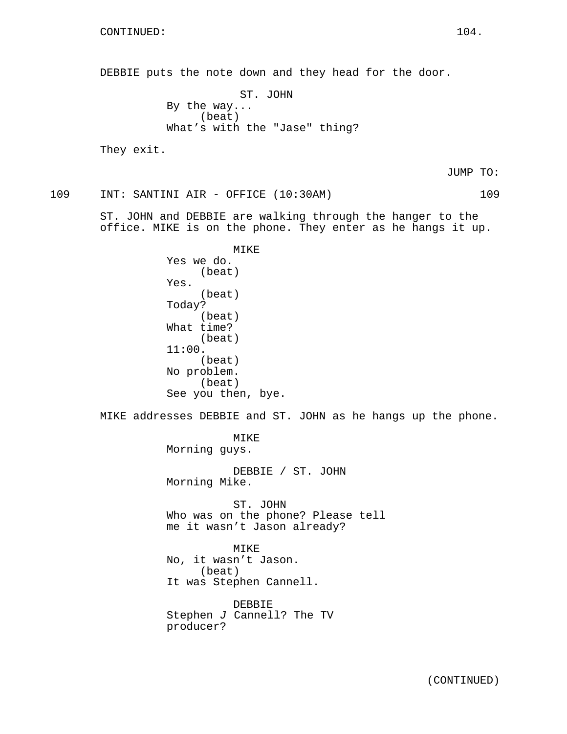DEBBIE puts the note down and they head for the door. ST. JOHN By the way... (beat) What's with the "Jase" thing? They exit.

JUMP TO:

109 INT: SANTINI AIR - OFFICE (10:30AM) 109

ST. JOHN and DEBBIE are walking through the hanger to the office. MIKE is on the phone. They enter as he hangs it up.

> MIKE Yes we do. (beat) Yes. (beat) Today? (beat) What time? (beat) 11:00. (beat) No problem. (beat) See you then, bye.

MIKE addresses DEBBIE and ST. JOHN as he hangs up the phone.

MIKE Morning guys.

DEBBIE / ST. JOHN Morning Mike.

ST. JOHN Who was on the phone? Please tell me it wasn't Jason already?

MIKE No, it wasn't Jason. (beat) It was Stephen Cannell.

DEBBIE Stephen  $J$  Cannell? The TV producer?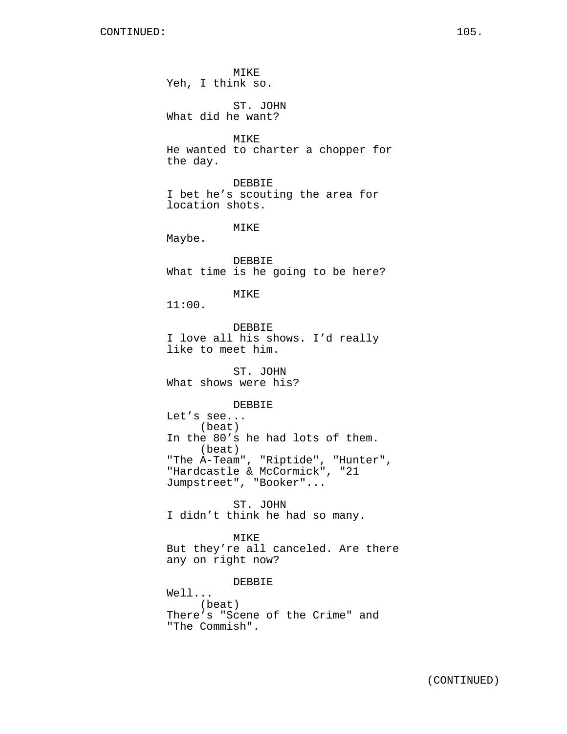MIKE Yeh, I think so. ST. JOHN What did he want? MIKE He wanted to charter a chopper for the day. DEBBIE I bet he's scouting the area for location shots. MIKE Maybe. DEBBIE What time is he going to be here? MIKE 11:00. DEBBIE I love all his shows. I'd really like to meet him. ST. JOHN What shows were his? DEBBIE Let's see... (beat) In the 80's he had lots of them. (beat) "The A-Team", "Riptide", "Hunter", "Hardcastle & McCormick", "21 Jumpstreet", "Booker"... ST. JOHN I didn't think he had so many. MIKE But they're all canceled. Are there any on right now? DEBBIE Well... (beat) There's "Scene of the Crime" and "The Commish".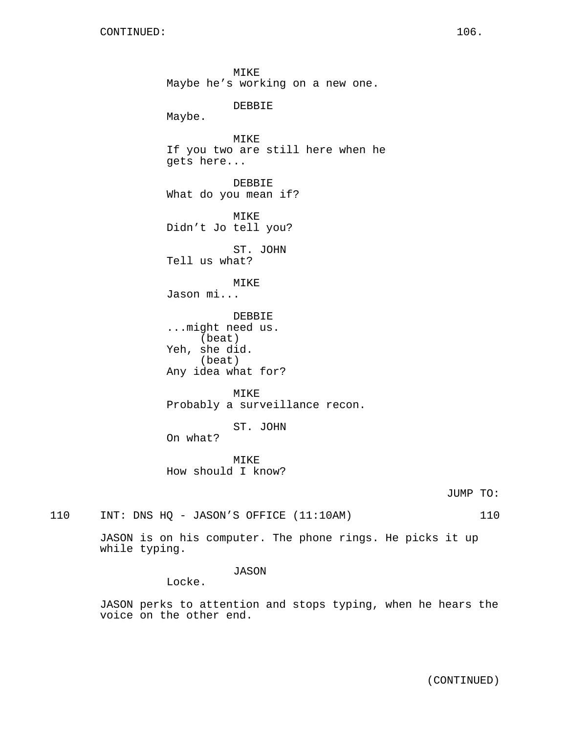MIKE Maybe he's working on a new one. DEBBIE Maybe. MIKE If you two are still here when he gets here... DEBBIE What do you mean if? MIKE Didn't Jo tell you? ST. JOHN Tell us what? MIKE Jason mi... DEBBIE ...might need us. (beat) Yeh, she did. (beat) Any idea what for? MIKE Probably a surveillance recon. ST. JOHN On what? MIKE How should I know? JUMP TO:

110 INT: DNS HQ - JASON'S OFFICE (11:10AM) 110

JASON is on his computer. The phone rings. He picks it up while typing.

JASON

Locke.

JASON perks to attention and stops typing, when he hears the voice on the other end.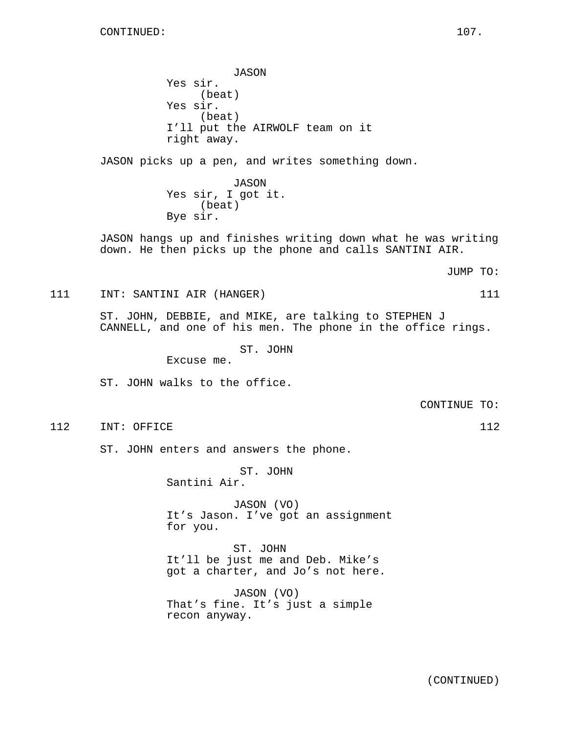JASON Yes sir. (beat) Yes sir. (beat) I'll put the AIRWOLF team on it right away.

JASON picks up a pen, and writes something down.

JASON Yes sir, I got it. (beat) Bye sir.

JASON hangs up and finishes writing down what he was writing down. He then picks up the phone and calls SANTINI AIR.

JUMP TO:

111 INT: SANTINI AIR (HANGER) 111

ST. JOHN, DEBBIE, and MIKE, are talking to STEPHEN J CANNELL, and one of his men. The phone in the office rings.

ST. JOHN

Excuse me.

ST. JOHN walks to the office.

CONTINUE TO:

112 INT: OFFICE 112 112

ST. JOHN enters and answers the phone.

ST. JOHN

Santini Air.

JASON (VO) It's Jason. I've got an assignment for you.

ST. JOHN It'll be just me and Deb. Mike's got a charter, and Jo's not here.

JASON (VO) That's fine. It's just a simple recon anyway.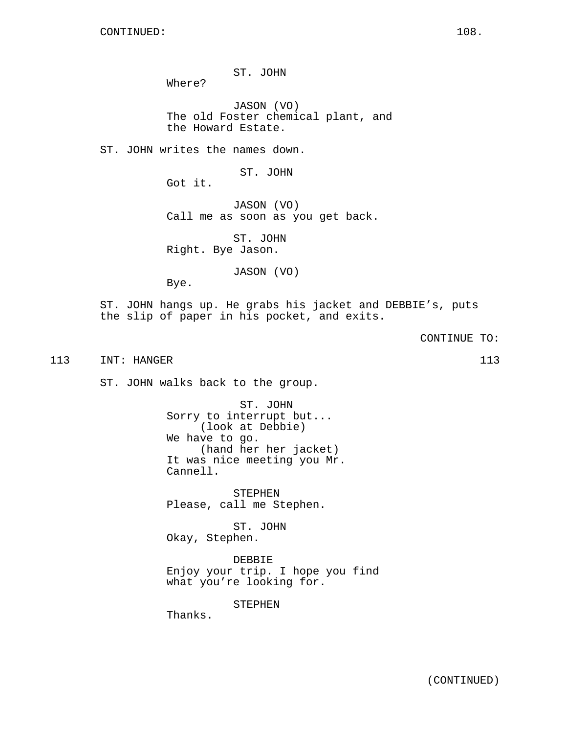ST. JOHN

JASON (VO) The old Foster chemical plant, and the Howard Estate.

ST. JOHN writes the names down.

ST. JOHN

Got it.

Where?

JASON (VO) Call me as soon as you get back.

ST. JOHN Right. Bye Jason.

JASON (VO)

Bye.

ST. JOHN hangs up. He grabs his jacket and DEBBIE's, puts the slip of paper in his pocket, and exits.

CONTINUE TO:

113 INT: HANGER 113 113

ST. JOHN walks back to the group.

ST. JOHN Sorry to interrupt but... (look at Debbie) We have to go. (hand her her jacket) It was nice meeting you Mr. Cannell.

STEPHEN Please, call me Stephen.

ST. JOHN Okay, Stephen.

DEBBIE Enjoy your trip. I hope you find what you're looking for.

STEPHEN

Thanks.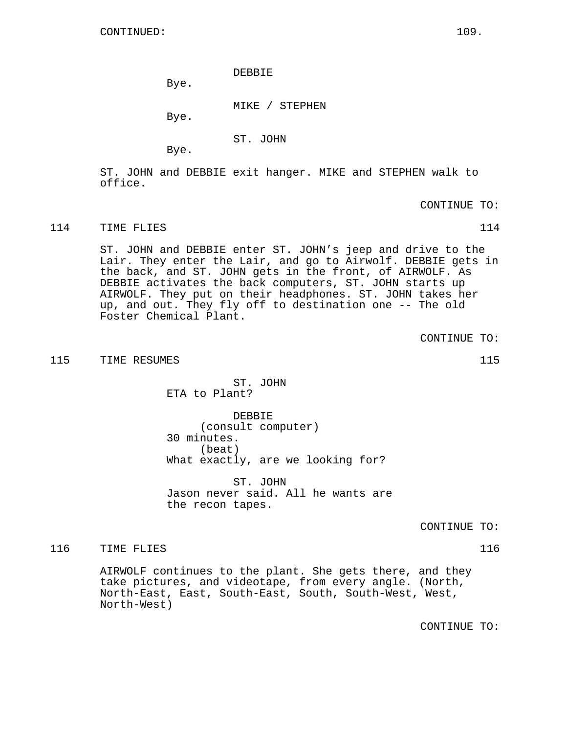DEBBIE

Bye.

MIKE / STEPHEN

Bye.

ST. JOHN

Bye.

ST. JOHN and DEBBIE exit hanger. MIKE and STEPHEN walk to office.

CONTINUE TO:

114 TIME FLIES 114

ST. JOHN and DEBBIE enter ST. JOHN's jeep and drive to the Lair. They enter the Lair, and go to Airwolf. DEBBIE gets in the back, and ST. JOHN gets in the front, of AIRWOLF. As DEBBIE activates the back computers, ST. JOHN starts up AIRWOLF. They put on their headphones. ST. JOHN takes her up, and out. They fly off to destination one -- The old Foster Chemical Plant.

CONTINUE TO:

115 TIME RESUMES 115

ST. JOHN ETA to Plant?

DEBBIE (consult computer) 30 minutes. (beat) What exactly, are we looking for?

ST. JOHN Jason never said. All he wants are the recon tapes.

CONTINUE TO:

116 TIME FLIES 116 116

AIRWOLF continues to the plant. She gets there, and they take pictures, and videotape, from every angle. (North, North-East, East, South-East, South, South-West, West, North-West)

CONTINUE TO: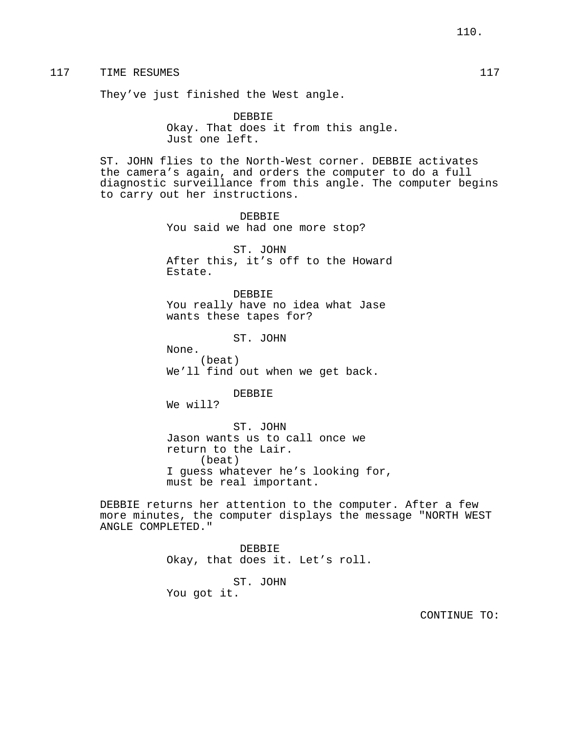# 117 TIME RESUMES 117

They've just finished the West angle.

DEBBIE Okay. That does it from this angle. Just one left.

ST. JOHN flies to the North-West corner. DEBBIE activates the camera's again, and orders the computer to do a full diagnostic surveillance from this angle. The computer begins to carry out her instructions.

> DEBBIE You said we had one more stop?

ST. JOHN After this, it's off to the Howard Estate.

DEBBIE You really have no idea what Jase wants these tapes for?

ST. JOHN

(beat) We'll find out when we get back.

DEBBIE

We will?

None.

ST. JOHN Jason wants us to call once we return to the Lair. (beat) I guess whatever he's looking for, must be real important.

DEBBIE returns her attention to the computer. After a few more minutes, the computer displays the message "NORTH WEST ANGLE COMPLETED."

> DEBBIE Okay, that does it. Let's roll. ST. JOHN You got it.

> > CONTINUE TO: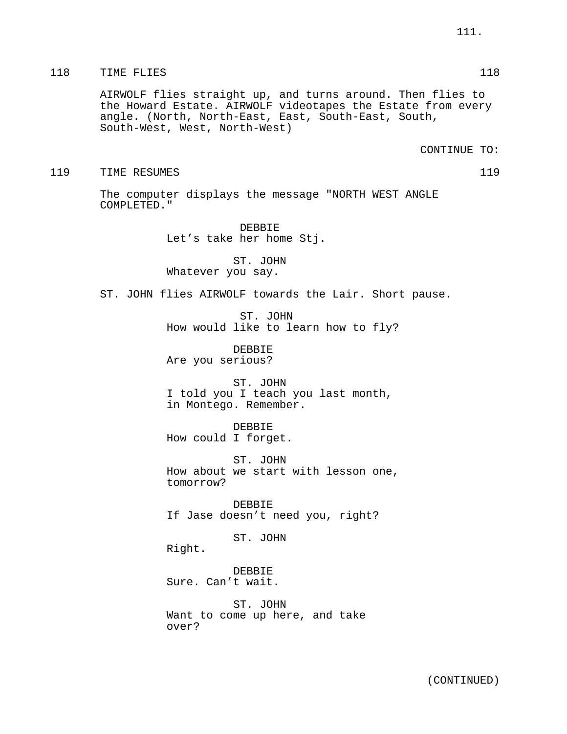#### 118 TIME FLIES 118 118

AIRWOLF flies straight up, and turns around. Then flies to the Howard Estate. AIRWOLF videotapes the Estate from every angle. (North, North-East, East, South-East, South, South-West, West, North-West)

CONTINUE TO:

#### 119 TIME RESUMES 119

The computer displays the message "NORTH WEST ANGLE COMPLETED."

> DEBBIE Let's take her home Stj.

ST. JOHN Whatever you say.

ST. JOHN flies AIRWOLF towards the Lair. Short pause.

ST. JOHN How would like to learn how to fly?

DEBBIE Are you serious?

ST. JOHN I told you I teach you last month, in Montego. Remember.

DEBBIE How could I forget.

ST. JOHN How about we start with lesson one, tomorrow?

DEBBIE If Jase doesn't need you, right?

ST. JOHN

Right.

DEBBIE Sure. Can't wait.

ST. JOHN Want to come up here, and take over?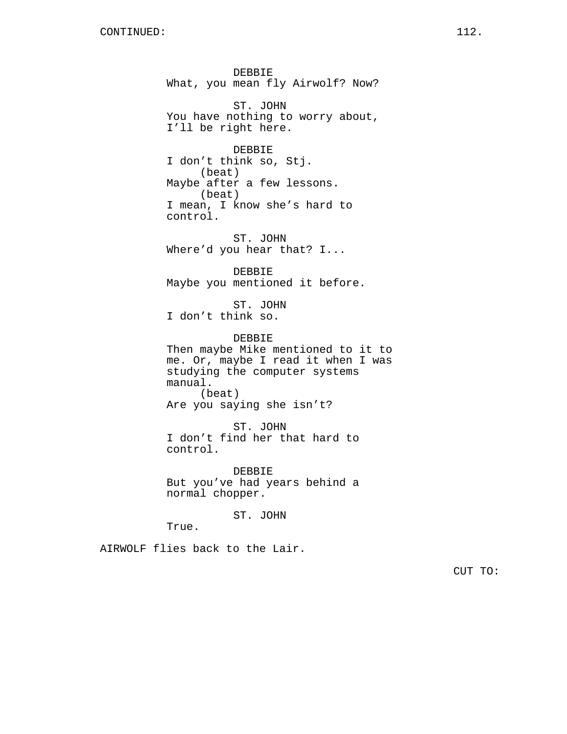DEBBIE What, you mean fly Airwolf? Now? ST. JOHN You have nothing to worry about, I'll be right here. DEBBIE I don't think so, Stj. (beat) Maybe after a few lessons. (beat) I mean, I know she's hard to control. ST. JOHN Where'd you hear that? I... DEBBIE Maybe you mentioned it before. ST. JOHN I don't think so. DEBBIE Then maybe Mike mentioned to it to me. Or, maybe I read it when I was studying the computer systems manual. (beat) Are you saying she isn't? ST. JOHN I don't find her that hard to control. DEBBIE But you've had years behind a normal chopper.

ST. JOHN

True.

AIRWOLF flies back to the Lair.

CUT TO: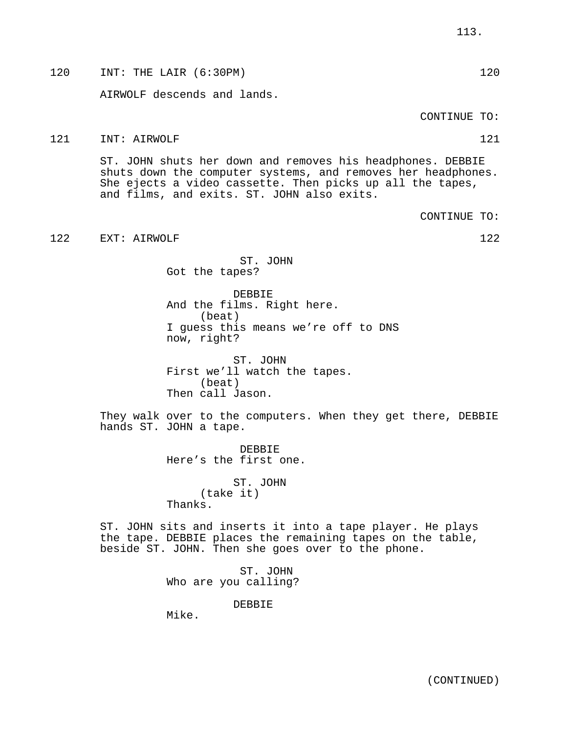AIRWOLF descends and lands. CONTINUE TO: 121 INT: AIRWOLF 121 121

ST. JOHN shuts her down and removes his headphones. DEBBIE shuts down the computer systems, and removes her headphones. She ejects a video cassette. Then picks up all the tapes, and films, and exits. ST. JOHN also exits.

CONTINUE TO:

122 EXT: AIRWOLF 122

ST. JOHN Got the tapes?

DEBBIE And the films. Right here. (beat) I guess this means we're off to DNS now, right?

ST. JOHN First we'll watch the tapes. (beat) Then call Jason.

They walk over to the computers. When they get there, DEBBIE hands ST. JOHN a tape.

> DEBBIE Here's the first one.

ST. JOHN (take it) Thanks.

ST. JOHN sits and inserts it into a tape player. He plays the tape. DEBBIE places the remaining tapes on the table, beside ST. JOHN. Then she goes over to the phone.

> ST. JOHN Who are you calling?

> > DEBBIE

Mike.

120 INT: THE LAIR (6:30PM) 120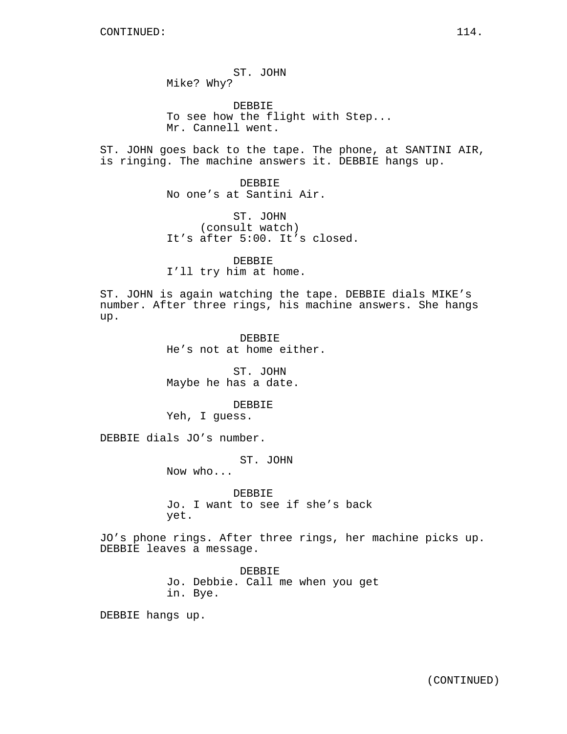ST. JOHN Mike? Why?

DEBBIE To see how the flight with Step... Mr. Cannell went.

ST. JOHN goes back to the tape. The phone, at SANTINI AIR, is ringing. The machine answers it. DEBBIE hangs up.

> DEBBIE No one's at Santini Air.

ST. JOHN (consult watch) It's after 5:00. It's closed.

DEBBIE I'll try him at home.

ST. JOHN is again watching the tape. DEBBIE dials MIKE's number. After three rings, his machine answers. She hangs up.

> DEBBIE He's not at home either.

ST. JOHN Maybe he has a date.

DEBBIE Yeh, I guess.

DEBBIE dials JO's number.

ST. JOHN

Now who...

DEBBIE Jo. I want to see if she's back yet.

JO's phone rings. After three rings, her machine picks up. DEBBIE leaves a message.

> DEBBIE Jo. Debbie. Call me when you get in. Bye.

DEBBIE hangs up.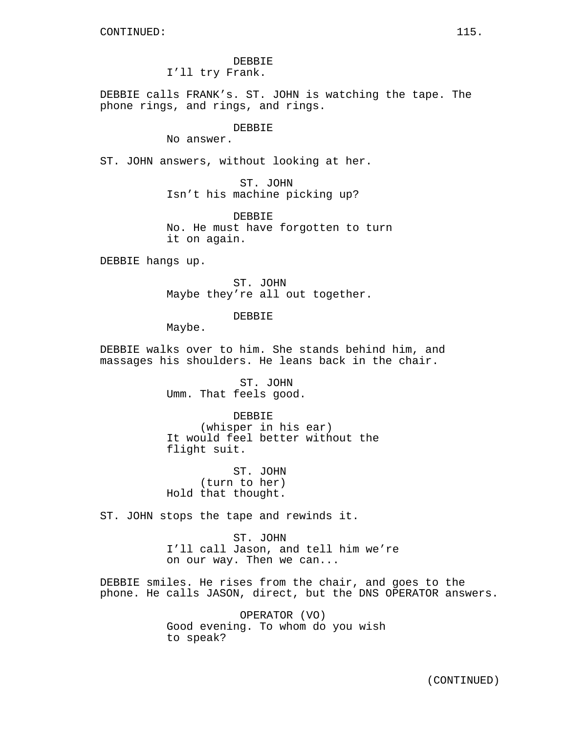DEBBIE I'll try Frank.

DEBBIE calls FRANK's. ST. JOHN is watching the tape. The phone rings, and rings, and rings.

# DEBBIE

No answer.

ST. JOHN answers, without looking at her.

ST. JOHN Isn't his machine picking up?

DEBBIE No. He must have forgotten to turn it on again.

DEBBIE hangs up.

ST. JOHN Maybe they're all out together.

**DEBBIE** 

Maybe.

DEBBIE walks over to him. She stands behind him, and massages his shoulders. He leans back in the chair.

> ST. JOHN Umm. That feels good.

DEBBIE (whisper in his ear) It would feel better without the flight suit.

ST. JOHN (turn to her) Hold that thought.

ST. JOHN stops the tape and rewinds it.

ST. JOHN I'll call Jason, and tell him we're on our way. Then we can...

DEBBIE smiles. He rises from the chair, and goes to the phone. He calls JASON, direct, but the DNS OPERATOR answers.

> OPERATOR (VO) Good evening. To whom do you wish to speak?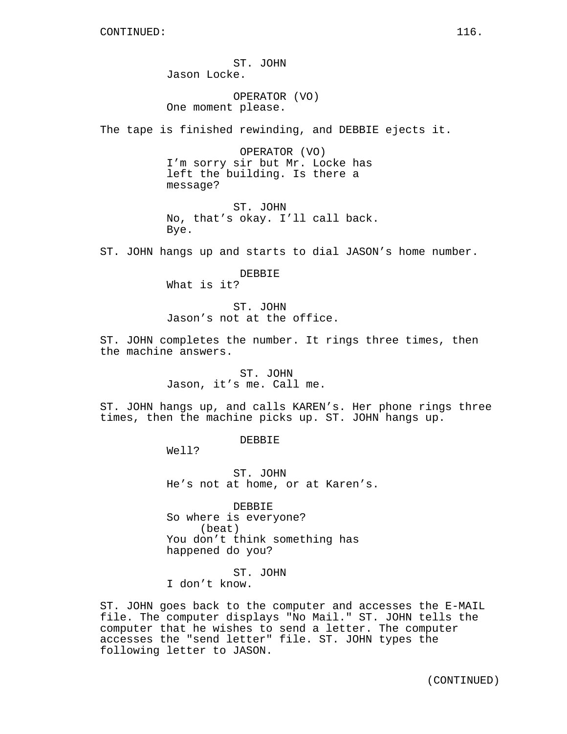ST. JOHN Jason Locke.

OPERATOR (VO) One moment please.

The tape is finished rewinding, and DEBBIE ejects it.

OPERATOR (VO) I'm sorry sir but Mr. Locke has left the building. Is there a message?

ST. JOHN No, that's okay. I'll call back. Bye.

ST. JOHN hangs up and starts to dial JASON's home number.

DEBBIE What is it?

ST. JOHN Jason's not at the office.

ST. JOHN completes the number. It rings three times, then the machine answers.

> ST. JOHN Jason, it's me. Call me.

ST. JOHN hangs up, and calls KAREN's. Her phone rings three times, then the machine picks up. ST. JOHN hangs up.

DEBBIE

Well?

ST. JOHN He's not at home, or at Karen's.

DEBBIE So where is everyone? (beat) You don't think something has happened do you?

ST. JOHN

I don't know.

ST. JOHN goes back to the computer and accesses the E-MAIL file. The computer displays "No Mail." ST. JOHN tells the computer that he wishes to send a letter. The computer accesses the "send letter" file. ST. JOHN types the following letter to JASON.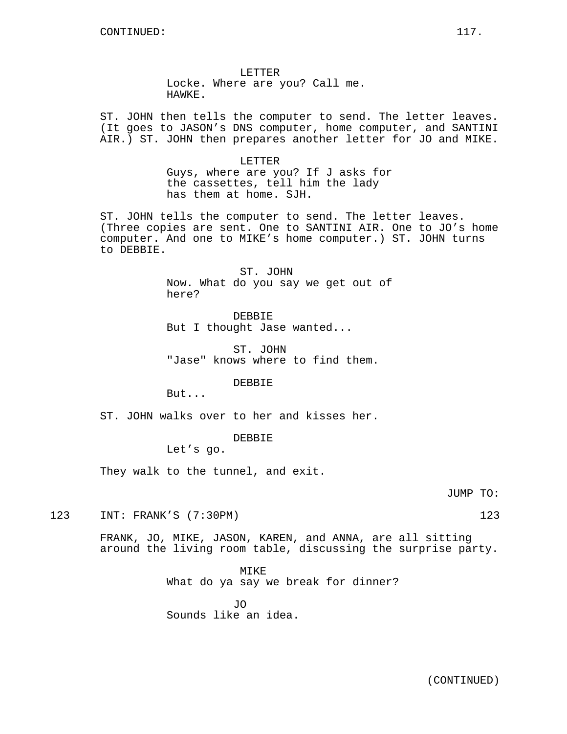LETTER Locke. Where are you? Call me. HAWKE.

ST. JOHN then tells the computer to send. The letter leaves. (It goes to JASON's DNS computer, home computer, and SANTINI AIR.) ST. JOHN then prepares another letter for JO and MIKE.

> LETTER Guys, where are you? If J asks for the cassettes, tell him the lady has them at home. SJH.

ST. JOHN tells the computer to send. The letter leaves. (Three copies are sent. One to SANTINI AIR. One to JO's home computer. And one to MIKE's home computer.) ST. JOHN turns to DEBBIE.

> ST. JOHN Now. What do you say we get out of here?

DEBBIE But I thought Jase wanted...

ST. JOHN "Jase" knows where to find them.

DEBBIE

But...

ST. JOHN walks over to her and kisses her.

## DEBBIE

Let's go.

They walk to the tunnel, and exit.

JUMP TO:

123 INT: FRANK'S (7:30PM) 123

FRANK, JO, MIKE, JASON, KAREN, and ANNA, are all sitting around the living room table, discussing the surprise party.

> MIKE What do ya say we break for dinner?

JO Sounds like an idea.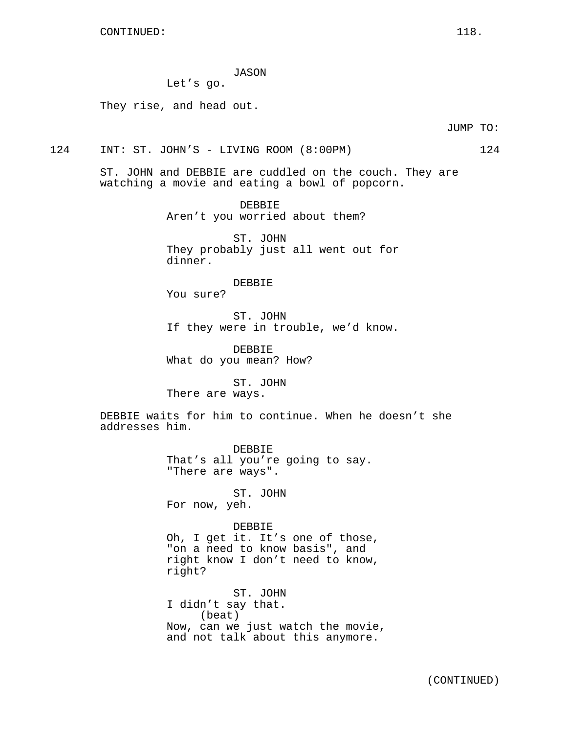JASON

Let's go.

They rise, and head out.

JUMP TO:

124 INT: ST. JOHN'S - LIVING ROOM (8:00PM) 124

ST. JOHN and DEBBIE are cuddled on the couch. They are watching a movie and eating a bowl of popcorn.

> DEBBIE Aren't you worried about them?

ST. JOHN They probably just all went out for dinner.

DEBBIE

You sure?

ST. JOHN If they were in trouble, we'd know.

DEBBIE What do you mean? How?

ST. JOHN There are ways.

DEBBIE waits for him to continue. When he doesn't she addresses him.

> DEBBIE That's all you're going to say. "There are ways".

ST. JOHN For now, yeh.

DEBBIE

Oh, I get it. It's one of those, "on a need to know basis", and right know I don't need to know, right?

ST. JOHN I didn't say that. (beat) Now, can we just watch the movie, and not talk about this anymore.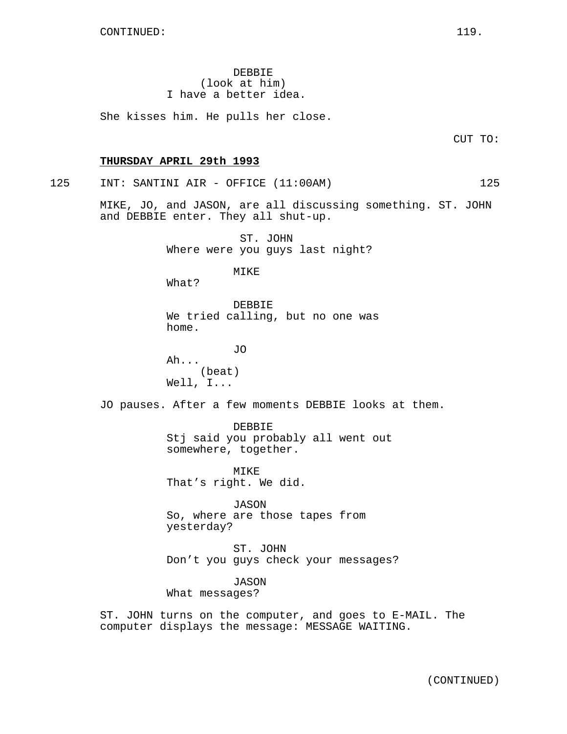DEBBIE (look at him) I have a better idea.

She kisses him. He pulls her close.

CUT TO:

#### **THURSDAY APRIL 29th 1993**

125 INT: SANTINI AIR - OFFICE (11:00AM) 125

MIKE, JO, and JASON, are all discussing something. ST. JOHN and DEBBIE enter. They all shut-up.

> ST. JOHN Where were you guys last night?

> > MIKE

What?

DEBBIE We tried calling, but no one was home.

JO Ah... (beat) Well, I...

JO pauses. After a few moments DEBBIE looks at them.

DEBBIE Stj said you probably all went out somewhere, together.

MIKE That's right. We did.

JASON So, where are those tapes from yesterday?

ST. JOHN Don't you guys check your messages?

JASON What messages?

ST. JOHN turns on the computer, and goes to E-MAIL. The computer displays the message: MESSAGE WAITING.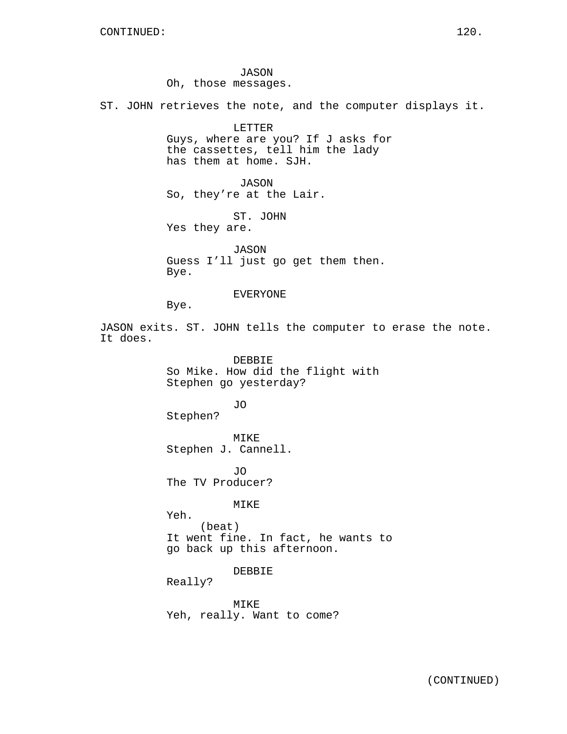JASON Oh, those messages.

ST. JOHN retrieves the note, and the computer displays it.

LETTER Guys, where are you? If J asks for the cassettes, tell him the lady has them at home. SJH.

JASON So, they're at the Lair.

ST. JOHN Yes they are.

JASON Guess I'll just go get them then. Bye.

EVERYONE

Bye.

JASON exits. ST. JOHN tells the computer to erase the note. It does.

> DEBBIE So Mike. How did the flight with Stephen go yesterday?

Stephen?

MIKE Stephen J. Cannell.

JO

JO The TV Producer?

MIKE

Yeh. (beat) It went fine. In fact, he wants to go back up this afternoon.

DEBBIE

Really?

MIKE Yeh, really. Want to come?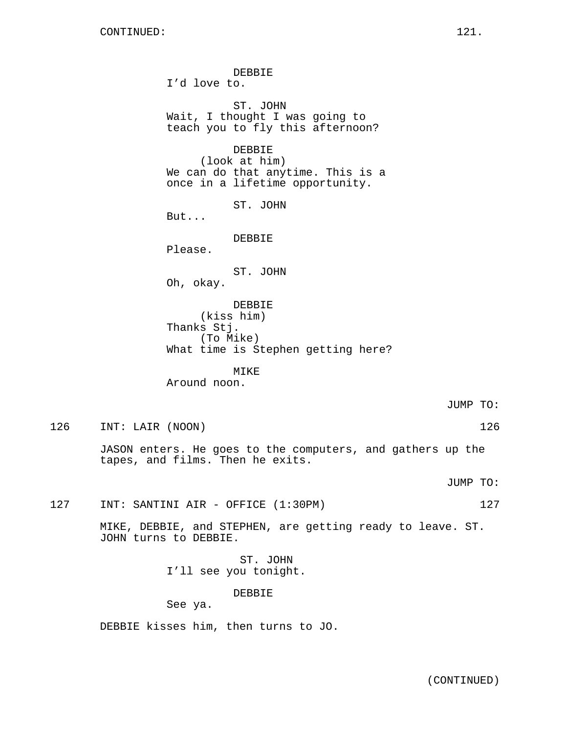DEBBIE I'd love to. ST. JOHN Wait, I thought I was going to teach you to fly this afternoon? DEBBIE (look at him) We can do that anytime. This is a once in a lifetime opportunity. ST. JOHN But... DEBBIE Please. ST. JOHN Oh, okay. DEBBIE (kiss him) Thanks Stj. (To Mike) What time is Stephen getting here? MIKE

Around noon.

JUMP TO:

126 INT: LAIR (NOON) 126

JASON enters. He goes to the computers, and gathers up the tapes, and films. Then he exits.

JUMP TO:

127 INT: SANTINI AIR - OFFICE (1:30PM) 127

MIKE, DEBBIE, and STEPHEN, are getting ready to leave. ST. JOHN turns to DEBBIE.

> ST. JOHN I'll see you tonight.

> > DEBBIE

See ya.

DEBBIE kisses him, then turns to JO.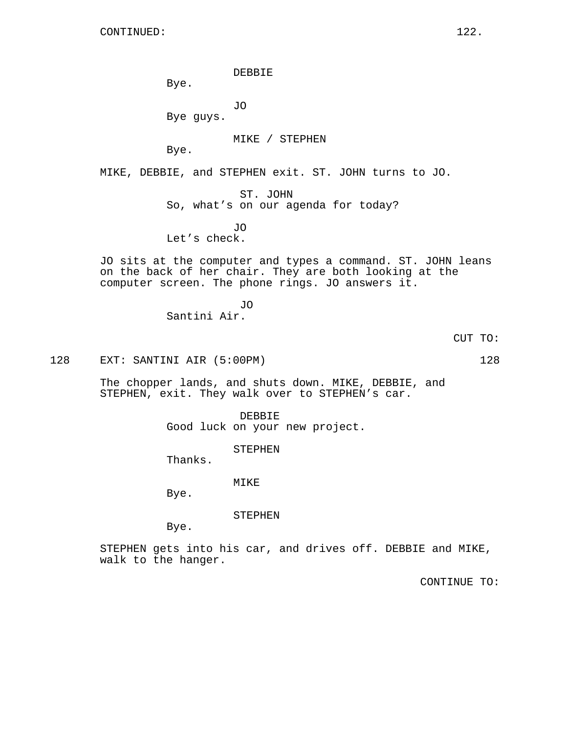DEBBIE

Bye.

JO

Bye guys.

MIKE / STEPHEN

Bye.

MIKE, DEBBIE, and STEPHEN exit. ST. JOHN turns to JO.

ST. JOHN So, what's on our agenda for today?

JO Let's check.

JO sits at the computer and types a command. ST. JOHN leans on the back of her chair. They are both looking at the computer screen. The phone rings. JO answers it.

> JO Santini Air.

> > CUT TO:

128 EXT: SANTINI AIR (5:00PM) 128

The chopper lands, and shuts down. MIKE, DEBBIE, and STEPHEN, exit. They walk over to STEPHEN's car.

> DEBBIE Good luck on your new project.

> > STEPHEN

Thanks.

MIKE

Bye.

STEPHEN

Bye.

STEPHEN gets into his car, and drives off. DEBBIE and MIKE, walk to the hanger.

CONTINUE TO: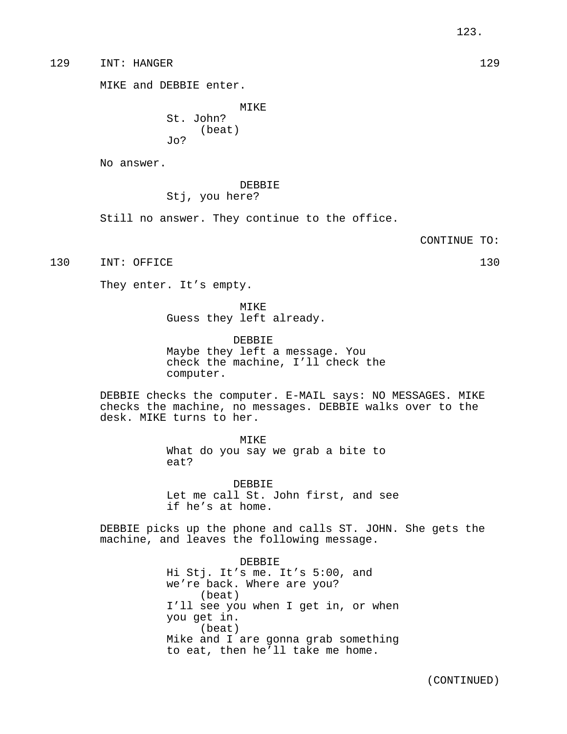129 INT: HANGER 129

MIKE and DEBBIE enter.

MIKE St. John? (beat) Jo?

No answer.

# DEBBIE Stj, you here?

Still no answer. They continue to the office.

CONTINUE TO:

130 INT: OFFICE 130

They enter. It's empty.

MIKE Guess they left already.

DEBBIE Maybe they left a message. You check the machine, I'll check the computer.

DEBBIE checks the computer. E-MAIL says: NO MESSAGES. MIKE checks the machine, no messages. DEBBIE walks over to the desk. MIKE turns to her.

> MIKE What do you say we grab a bite to eat?

DEBBIE Let me call St. John first, and see if he's at home.

DEBBIE picks up the phone and calls ST. JOHN. She gets the machine, and leaves the following message.

> DEBBIE Hi Stj. It's me. It's 5:00, and we're back. Where are you? (beat) I'll see you when I get in, or when you get in. (beat) Mike and I are gonna grab something to eat, then he'll take me home.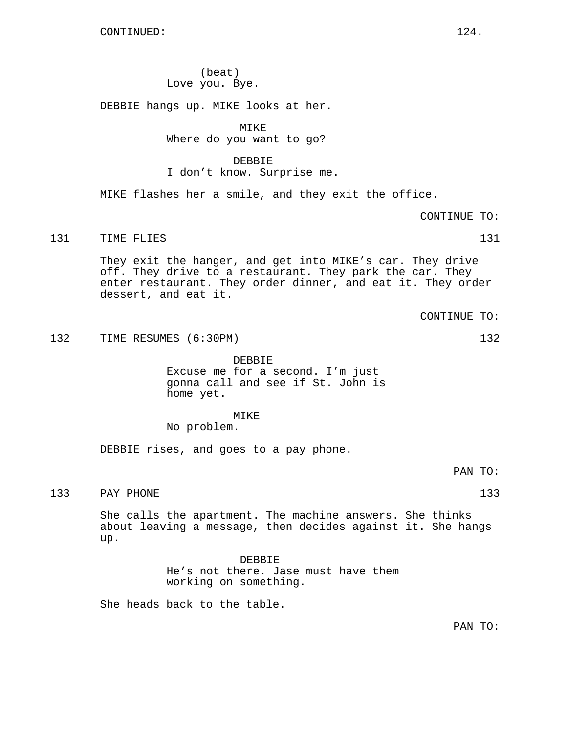(beat) Love you. Bye.

DEBBIE hangs up. MIKE looks at her.

MIKE

Where do you want to go?

#### DEBBIE

I don't know. Surprise me.

MIKE flashes her a smile, and they exit the office.

CONTINUE TO:

## 131 TIME FLIES 131

They exit the hanger, and get into MIKE's car. They drive off. They drive to a restaurant. They park the car. They enter restaurant. They order dinner, and eat it. They order dessert, and eat it.

CONTINUE TO:

132 TIME RESUMES (6:30PM) 132

DEBBIE Excuse me for a second. I'm just gonna call and see if St. John is home yet.

# MIKE

No problem.

DEBBIE rises, and goes to a pay phone.

PAN TO:

#### PAY PHONE 133

She calls the apartment. The machine answers. She thinks about leaving a message, then decides against it. She hangs up.

> DEBBIE He's not there. Jase must have them working on something.

She heads back to the table.

PAN TO: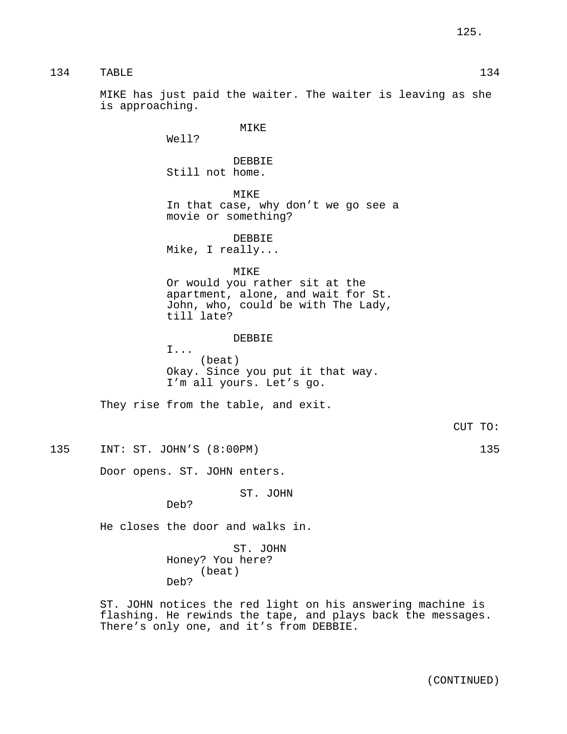134 TABLE 134

MIKE has just paid the waiter. The waiter is leaving as she is approaching.

MIKE

Well?

DEBBIE Still not home.

MIKE

In that case, why don't we go see a movie or something?

DEBBIE

Mike, I really...

MIKE

Or would you rather sit at the apartment, alone, and wait for St. John, who, could be with The Lady, till late?

#### **DEBBIE**

I... (beat) Okay. Since you put it that way. I'm all yours. Let's go.

They rise from the table, and exit.

CUT TO:

135 INT: ST. JOHN'S (8:00PM) 135

Door opens. ST. JOHN enters.

ST. JOHN

Deb?

He closes the door and walks in.

ST. JOHN Honey? You here? (beat) Deb?

ST. JOHN notices the red light on his answering machine is flashing. He rewinds the tape, and plays back the messages. There's only one, and it's from DEBBIE.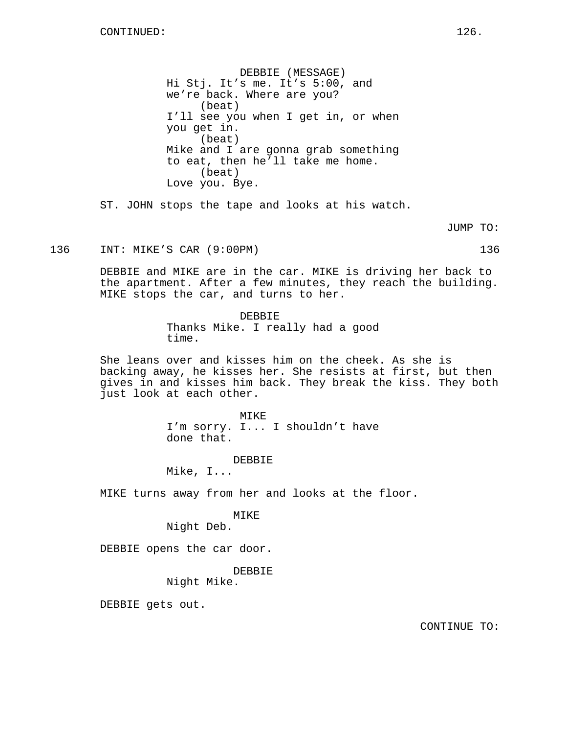DEBBIE (MESSAGE) Hi Stj. It's me. It's 5:00, and we're back. Where are you? (beat) I'll see you when I get in, or when you get in. (beat) Mike and I are gonna grab something to eat, then he'll take me home. (beat) Love you. Bye.

ST. JOHN stops the tape and looks at his watch.

JUMP TO:

136 INT: MIKE'S CAR (9:00PM) 136

DEBBIE and MIKE are in the car. MIKE is driving her back to the apartment. After a few minutes, they reach the building. MIKE stops the car, and turns to her.

> DEBBIE Thanks Mike. I really had a good time.

She leans over and kisses him on the cheek. As she is backing away, he kisses her. She resists at first, but then gives in and kisses him back. They break the kiss. They both just look at each other.

> MIKE I'm sorry. I... I shouldn't have done that.

> > DEBBIE

Mike, I...

MIKE turns away from her and looks at the floor.

MIKE

Night Deb.

DEBBIE opens the car door.

DEBBIE

Night Mike.

DEBBIE gets out.

CONTINUE TO: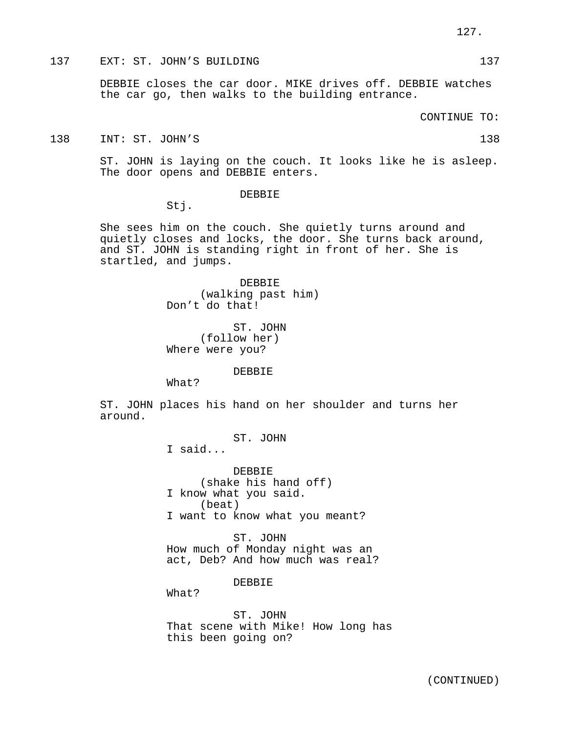137 EXT: ST. JOHN'S BUILDING 137 137

DEBBIE closes the car door. MIKE drives off. DEBBIE watches the car go, then walks to the building entrance.

CONTINUE TO:

138 INT: ST. JOHN'S 138

ST. JOHN is laying on the couch. It looks like he is asleep. The door opens and DEBBIE enters.

DEBBIE

Stj.

She sees him on the couch. She quietly turns around and quietly closes and locks, the door. She turns back around, and ST. JOHN is standing right in front of her. She is startled, and jumps.

> DEBBIE (walking past him) Don't do that!

ST. JOHN (follow her) Where were you?

DEBBIE

What?

ST. JOHN places his hand on her shoulder and turns her around.

ST. JOHN

I said...

DEBBIE (shake his hand off) I know what you said. (beat) I want to know what you meant?

ST. JOHN How much of Monday night was an act, Deb? And how much was real?

DEBBIE

What?

ST. JOHN That scene with Mike! How long has this been going on?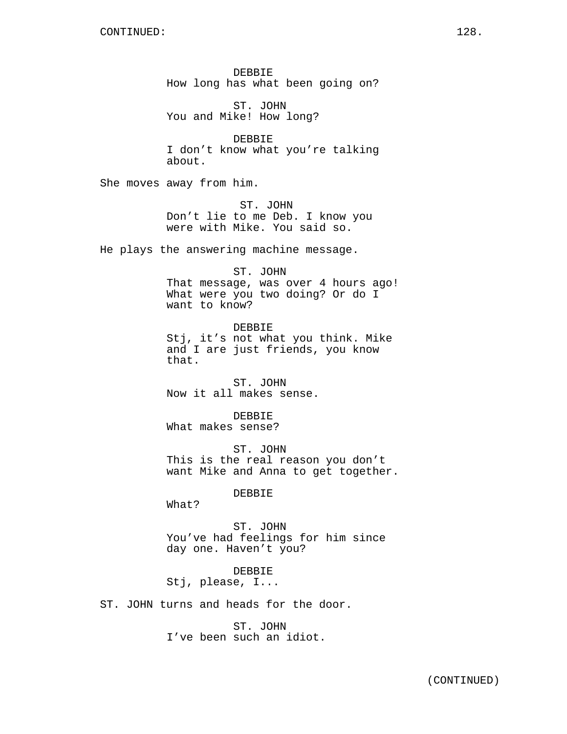DEBBIE How long has what been going on?

ST. JOHN You and Mike! How long?

DEBBIE I don't know what you're talking about.

She moves away from him.

ST. JOHN Don't lie to me Deb. I know you were with Mike. You said so.

He plays the answering machine message.

ST. JOHN That message, was over 4 hours ago! What were you two doing? Or do I want to know?

DEBBIE Stj, it's not what you think. Mike and I are just friends, you know that.

ST. JOHN Now it all makes sense.

DEBBIE What makes sense?

ST. JOHN This is the real reason you don't want Mike and Anna to get together.

DEBBIE

What?

ST. JOHN You've had feelings for him since day one. Haven't you?

DEBBIE Stj, please, I...

ST. JOHN turns and heads for the door.

ST. JOHN I've been such an idiot.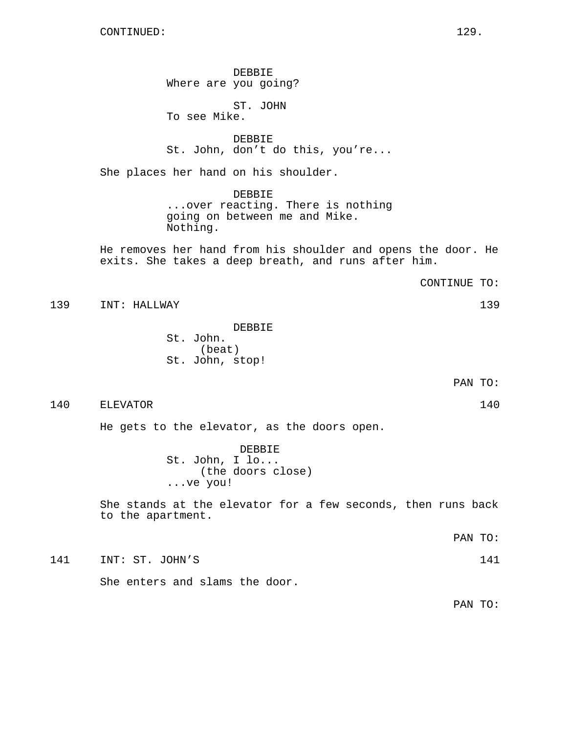DEBBIE Where are you going?

ST. JOHN To see Mike.

DEBBIE St. John, don't do this, you're...

She places her hand on his shoulder.

DEBBIE

...over reacting. There is nothing going on between me and Mike. Nothing.

He removes her hand from his shoulder and opens the door. He exits. She takes a deep breath, and runs after him.

CONTINUE TO:

139 INT: HALLWAY 139

DEBBIE St. John. (beat) St. John, stop!

PAN TO:

140 ELEVATOR 140

He gets to the elevator, as the doors open.

DEBBIE St. John, I lo... (the doors close) ...ve you!

She stands at the elevator for a few seconds, then runs back to the apartment.

PAN TO:

141 INT: ST. JOHN'S 141

She enters and slams the door.

PAN TO: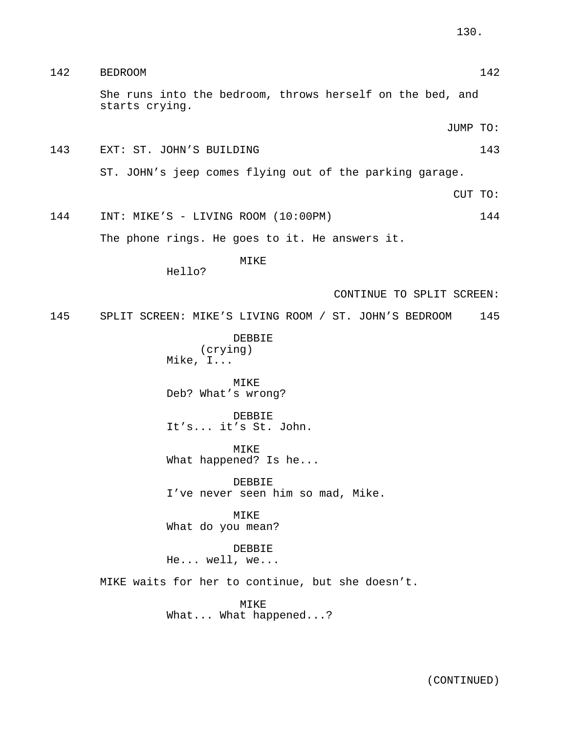| 142 | <b>BEDROOM</b>                                                              | 142 |
|-----|-----------------------------------------------------------------------------|-----|
|     | She runs into the bedroom, throws herself on the bed, and<br>starts crying. |     |
|     | JUMP TO:                                                                    |     |
| 143 | EXT: ST. JOHN'S BUILDING                                                    | 143 |
|     | ST. JOHN's jeep comes flying out of the parking garage.                     |     |
|     | CUT TO:                                                                     |     |
| 144 | INT: MIKE'S - LIVING ROOM (10:00PM)                                         | 144 |
|     | The phone rings. He goes to it. He answers it.                              |     |
|     | MIKE<br>Hello?                                                              |     |
|     | CONTINUE TO SPLIT SCREEN:                                                   |     |
| 145 | SPLIT SCREEN: MIKE'S LIVING ROOM / ST. JOHN'S BEDROOM                       | 145 |
|     | DEBBIE<br>(crying)<br>Mike, I                                               |     |
|     | MIKE<br>Deb? What's wrong?                                                  |     |
|     | DEBBIE<br>It's it's St. John.                                               |     |
|     | MIKE<br>What happened? Is he                                                |     |
|     | DEBBIE<br>I've never seen him so mad, Mike.                                 |     |
|     | MIKE<br>What do you mean?                                                   |     |
|     | DEBBIE<br>$He$ well, we                                                     |     |
|     | MIKE waits for her to continue, but she doesn't.                            |     |
|     | MIKE<br>What What happened?                                                 |     |
|     |                                                                             |     |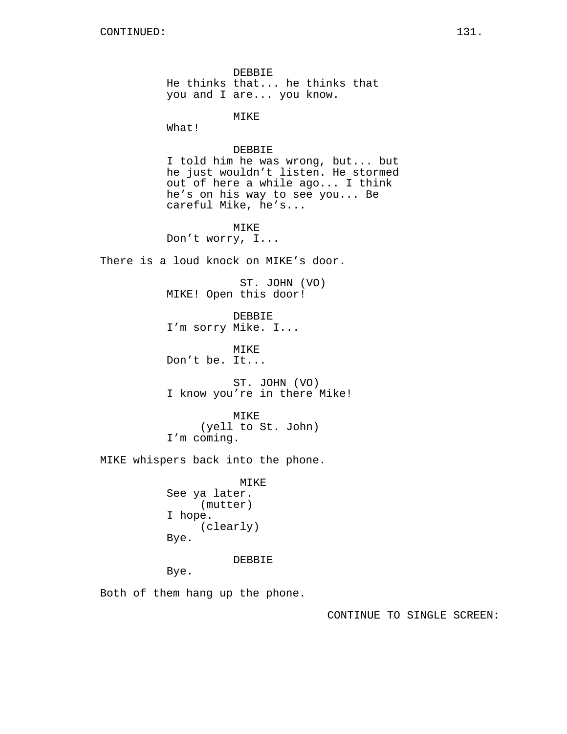DEBBIE He thinks that... he thinks that you and I are... you know. MIKE What! DEBBIE I told him he was wrong, but... but he just wouldn't listen. He stormed out of here a while ago... I think he's on his way to see you... Be careful Mike, he's... MIKE Don't worry, I... There is a loud knock on MIKE's door. ST. JOHN (VO) MIKE! Open this door! DEBBIE I'm sorry Mike. I... MIKE Don't be. It... ST. JOHN (VO) I know you're in there Mike! MIKE (yell to St. John) I'm coming. MIKE whispers back into the phone. MIKE See ya later. (mutter) I hope. (clearly) Bye. DEBBIE Bye. Both of them hang up the phone.

CONTINUE TO SINGLE SCREEN: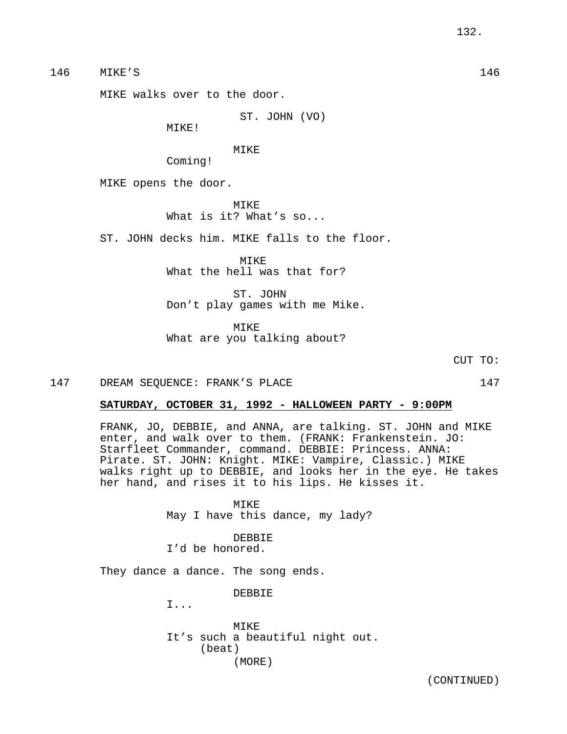146 MIKE'S 146

MIKE walks over to the door.

ST. JOHN (VO)

MIKE!

MIKE Coming!

MIKE opens the door.

MIKE What is it? What's so...

ST. JOHN decks him. MIKE falls to the floor.

MIKE What the hell was that for?

ST. JOHN Don't play games with me Mike.

MIKE What are you talking about?

CUT TO:

147 DREAM SEQUENCE: FRANK'S PLACE 147

# **SATURDAY, OCTOBER 31, 1992 - HALLOWEEN PARTY - 9:00PM**

FRANK, JO, DEBBIE, and ANNA, are talking. ST. JOHN and MIKE enter, and walk over to them. (FRANK: Frankenstein. JO: Starfleet Commander, command. DEBBIE: Princess. ANNA: Pirate. ST. JOHN: Knight. MIKE: Vampire, Classic.) MIKE walks right up to DEBBIE, and looks her in the eye. He takes her hand, and rises it to his lips. He kisses it.

> MIKE May I have this dance, my lady?

DEBBIE I'd be honored.

They dance a dance. The song ends.

DEBBIE

I...

MIKE It's such a beautiful night out. (beat) (MORE)

(CONTINUED)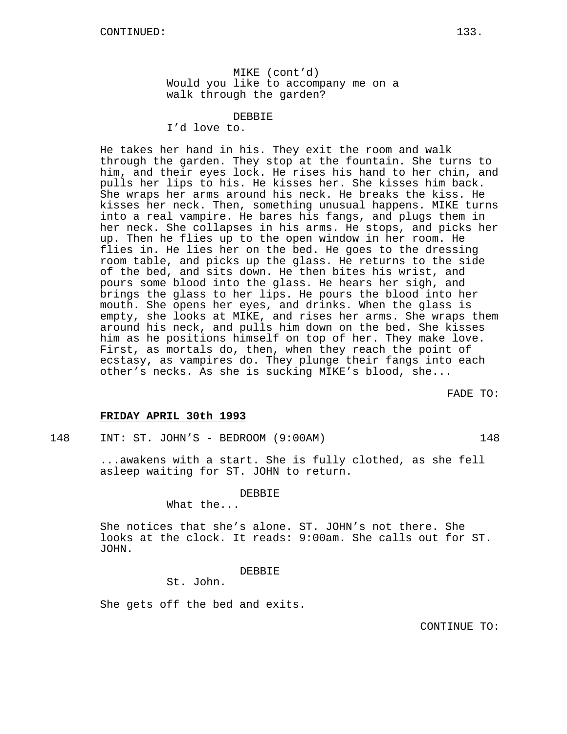MIKE (cont'd) Would you like to accompany me on a walk through the garden?

DEBBIE

I'd love to.

He takes her hand in his. They exit the room and walk through the garden. They stop at the fountain. She turns to him, and their eyes lock. He rises his hand to her chin, and pulls her lips to his. He kisses her. She kisses him back. She wraps her arms around his neck. He breaks the kiss. He kisses her neck. Then, something unusual happens. MIKE turns into a real vampire. He bares his fangs, and plugs them in her neck. She collapses in his arms. He stops, and picks her up. Then he flies up to the open window in her room. He flies in. He lies her on the bed. He goes to the dressing room table, and picks up the glass. He returns to the side of the bed, and sits down. He then bites his wrist, and pours some blood into the glass. He hears her sigh, and brings the glass to her lips. He pours the blood into her mouth. She opens her eyes, and drinks. When the glass is empty, she looks at MIKE, and rises her arms. She wraps them around his neck, and pulls him down on the bed. She kisses him as he positions himself on top of her. They make love. First, as mortals do, then, when they reach the point of ecstasy, as vampires do. They plunge their fangs into each other's necks. As she is sucking MIKE's blood, she...

FADE TO:

## **FRIDAY APRIL 30th 1993**

148 INT: ST. JOHN'S - BEDROOM (9:00AM) 148

...awakens with a start. She is fully clothed, as she fell asleep waiting for ST. JOHN to return.

DEBBIE

What the...

She notices that she's alone. ST. JOHN's not there. She looks at the clock. It reads: 9:00am. She calls out for ST. JOHN.

DEBBIE

St. John.

She gets off the bed and exits.

CONTINUE TO: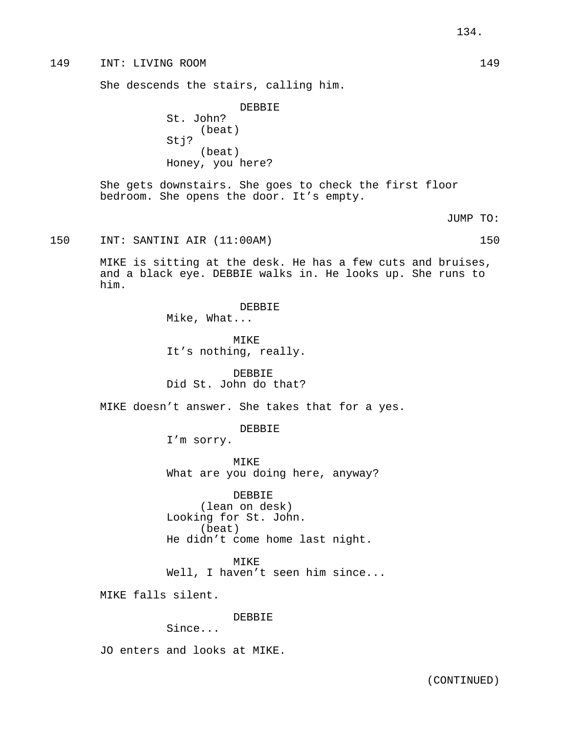## 149 INT: LIVING ROOM 149

She descends the stairs, calling him.

DEBBIE St. John? (beat) Stj? (beat) Honey, you here?

She gets downstairs. She goes to check the first floor bedroom. She opens the door. It's empty.

JUMP TO:

150 INT: SANTINI AIR (11:00AM) 150

MIKE is sitting at the desk. He has a few cuts and bruises, and a black eye. DEBBIE walks in. He looks up. She runs to him.

> DEBBIE Mike, What...

MIKE It's nothing, really.

DEBBIE Did St. John do that?

MIKE doesn't answer. She takes that for a yes.

DEBBIE

I'm sorry.

MIKE What are you doing here, anyway?

DEBBIE (lean on desk) Looking for St. John. (beat) He didn't come home last night.

MIKE

Well, I haven't seen him since...

MIKE falls silent.

DEBBIE

Since...

JO enters and looks at MIKE.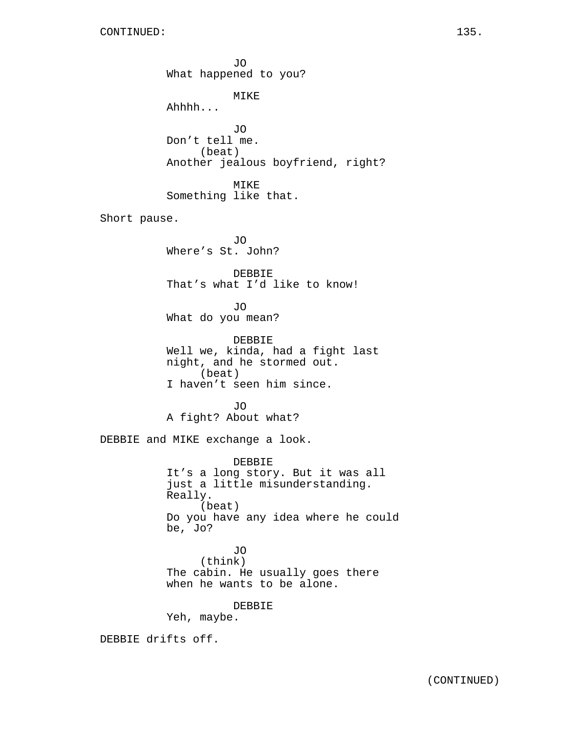JO What happened to you? MIKE Ahhhh... JO Don't tell me. (beat) Another jealous boyfriend, right? MIKE Something like that. Short pause. JO Where's St. John? DEBBIE That's what I'd like to know!  $\overline{J}$ O What do you mean? DEBBIE Well we, kinda, had a fight last night, and he stormed out. (beat) I haven't seen him since. JO A fight? About what? DEBBIE and MIKE exchange a look. DEBBIE It's a long story. But it was all just a little misunderstanding. Really. (beat) Do you have any idea where he could be, Jo? JO (think) The cabin. He usually goes there when he wants to be alone. DEBBIE Yeh, maybe. DEBBIE drifts off.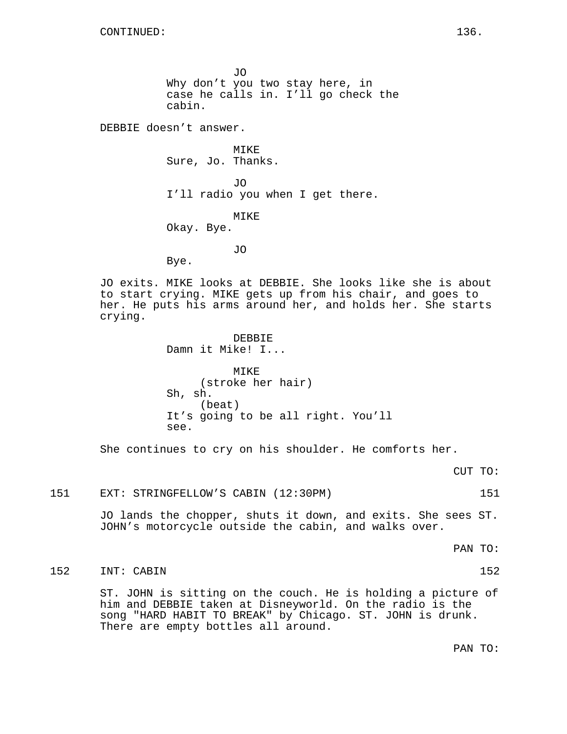JO Why don't you two stay here, in case he calls in. I'll go check the cabin.

DEBBIE doesn't answer.

Bye.

Sure, Jo. Thanks. JO I'll radio you when I get there.

**MTKE** 

MIKE Okay. Bye.

JO

JO exits. MIKE looks at DEBBIE. She looks like she is about to start crying. MIKE gets up from his chair, and goes to her. He puts his arms around her, and holds her. She starts crying.

> DEBBIE Damn it Mike! I...

MIKE (stroke her hair) Sh, sh. (beat) It's going to be all right. You'll see.

She continues to cry on his shoulder. He comforts her.

CUT TO:

#### 151 EXT: STRINGFELLOW'S CABIN (12:30PM) 151

JO lands the chopper, shuts it down, and exits. She sees ST. JOHN's motorcycle outside the cabin, and walks over.

PAN TO:

# 152 INT: CABIN 152

ST. JOHN is sitting on the couch. He is holding a picture of him and DEBBIE taken at Disneyworld. On the radio is the song "HARD HABIT TO BREAK" by Chicago. ST. JOHN is drunk. There are empty bottles all around.

PAN TO: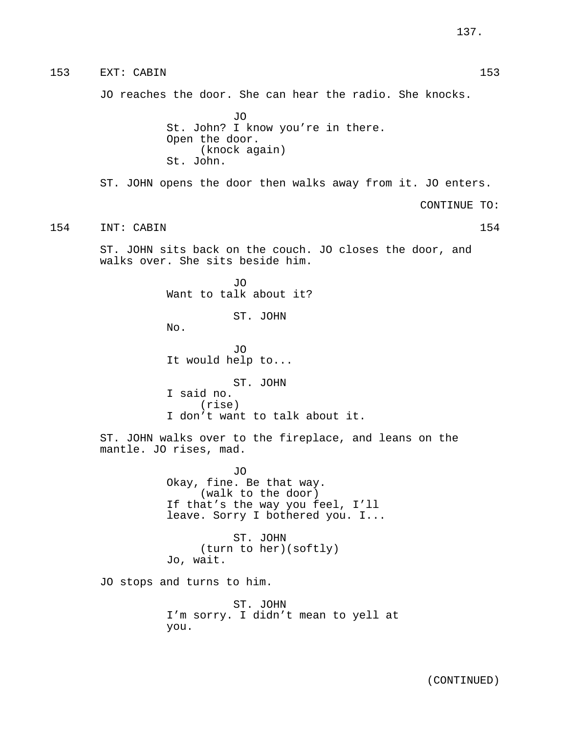153 EXT: CABIN 153 JO reaches the door. She can hear the radio. She knocks. JO St. John? I know you're in there. Open the door. (knock again) St. John. ST. JOHN opens the door then walks away from it. JO enters. CONTINUE TO: 154 INT: CABIN 154 ST. JOHN sits back on the couch. JO closes the door, and walks over. She sits beside him. JO Want to talk about it? ST. JOHN No. JO It would help to... ST. JOHN I said no. (rise) I don't want to talk about it. ST. JOHN walks over to the fireplace, and leans on the mantle. JO rises, mad. JO Okay, fine. Be that way. (walk to the door) If that's the way you feel, I'll leave. Sorry I bothered you. I... ST. JOHN (turn to her)(softly) Jo, wait. JO stops and turns to him. ST. JOHN I'm sorry. I didn't mean to yell at you.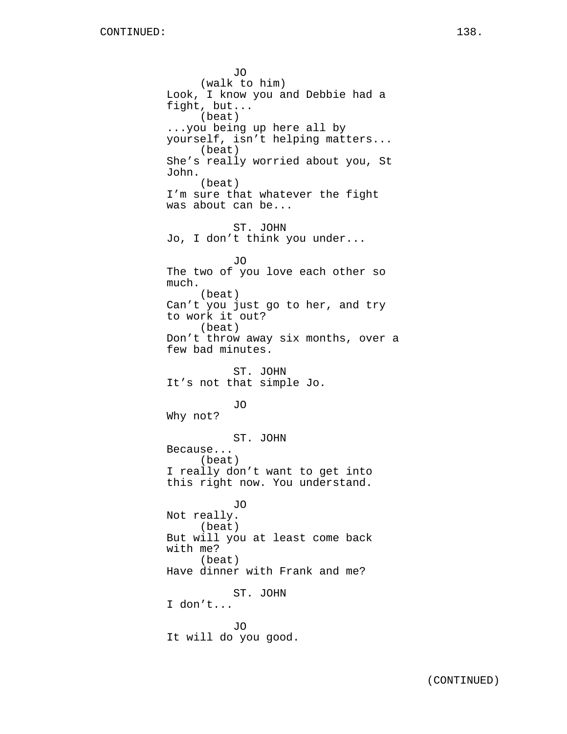JO (walk to him) Look, I know you and Debbie had a fight, but... (beat) ...you being up here all by yourself, isn't helping matters... (beat) She's really worried about you, St John. (beat) I'm sure that whatever the fight was about can be... ST. JOHN Jo, I don't think you under... JO The two of you love each other so much. (beat) Can't you just go to her, and try to work it out? (beat) Don't throw away six months, over a few bad minutes. ST. JOHN It's not that simple Jo. JO Why not? ST. JOHN Because... (beat) I really don't want to get into this right now. You understand. JO Not really. (beat) But will you at least come back with me? (beat) Have dinner with Frank and me? ST. JOHN I don't... JO It will do you good.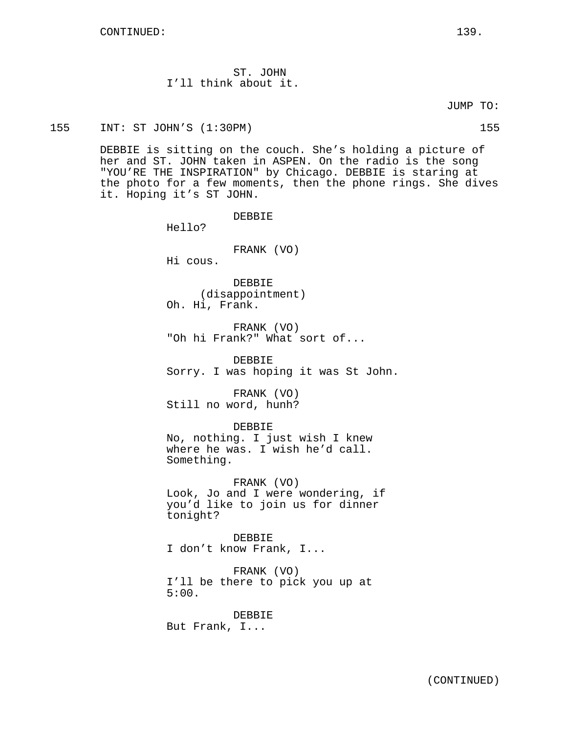ST. JOHN I'll think about it.

JUMP TO:

155 INT: ST JOHN'S (1:30PM) 155

DEBBIE is sitting on the couch. She's holding a picture of her and ST. JOHN taken in ASPEN. On the radio is the song "YOU'RE THE INSPIRATION" by Chicago. DEBBIE is staring at the photo for a few moments, then the phone rings. She dives it. Hoping it's ST JOHN.

Hello?

FRANK (VO)

DEBBIE

Hi cous.

DEBBIE (disappointment) Oh. Hi, Frank.

FRANK (VO) "Oh hi Frank?" What sort of...

DEBBIE Sorry. I was hoping it was St John.

FRANK (VO) Still no word, hunh?

DEBBIE

No, nothing. I just wish I knew where he was. I wish he'd call. Something.

FRANK (VO) Look, Jo and I were wondering, if you'd like to join us for dinner tonight?

DEBBIE I don't know Frank, I...

FRANK (VO) I'll be there to pick you up at 5:00.

DEBBIE But Frank, I...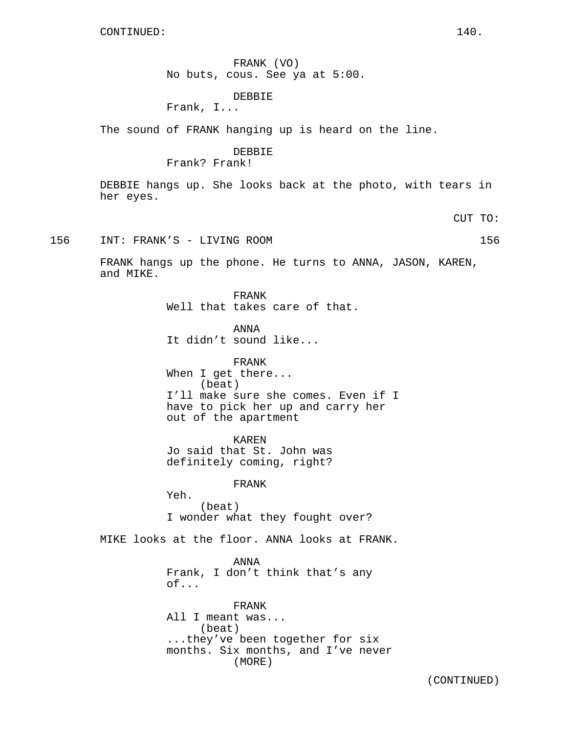FRANK (VO) No buts, cous. See ya at 5:00.

# DEBBIE

Frank, I...

The sound of FRANK hanging up is heard on the line.

## DEBBIE Frank? Frank!

DEBBIE hangs up. She looks back at the photo, with tears in her eyes.

CUT TO:

156 INT: FRANK'S - LIVING ROOM 156

FRANK hangs up the phone. He turns to ANNA, JASON, KAREN, and MIKE.

> FRANK Well that takes care of that.

ANNA It didn't sound like...

FRANK When I get there... (beat) I'll make sure she comes. Even if I have to pick her up and carry her out of the apartment

KAREN Jo said that St. John was definitely coming, right?

FRANK

Yeh. (beat) I wonder what they fought over?

MIKE looks at the floor. ANNA looks at FRANK.

ANNA Frank, I don't think that's any of...

FRANK All I meant was... (beat) ...they've been together for six months. Six months, and I've never (MORE)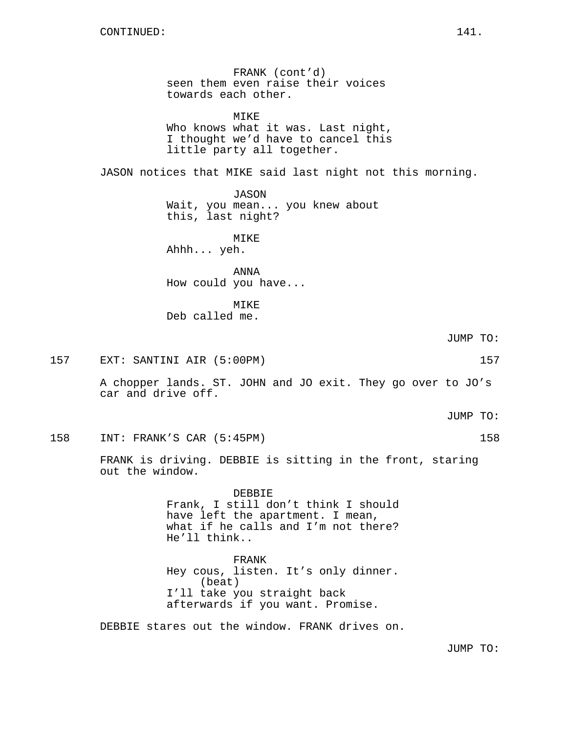FRANK (cont'd) seen them even raise their voices towards each other.

MIKE Who knows what it was. Last night, I thought we'd have to cancel this little party all together.

JASON notices that MIKE said last night not this morning.

JASON Wait, you mean... you knew about this, last night?

MIKE

Ahhh... yeh.

ANNA How could you have...

MIKE Deb called me.

157 EXT: SANTINI AIR (5:00PM) 157

A chopper lands. ST. JOHN and JO exit. They go over to JO's car and drive off.

JUMP TO:

158 INT: FRANK'S CAR (5:45PM) 158

FRANK is driving. DEBBIE is sitting in the front, staring out the window.

> DEBBIE Frank, I still don't think I should have left the apartment. I mean, what if he calls and I'm not there? He'll think..

> FRANK Hey cous, listen. It's only dinner. (beat) I'll take you straight back afterwards if you want. Promise.

DEBBIE stares out the window. FRANK drives on.

JUMP TO:

JUMP TO: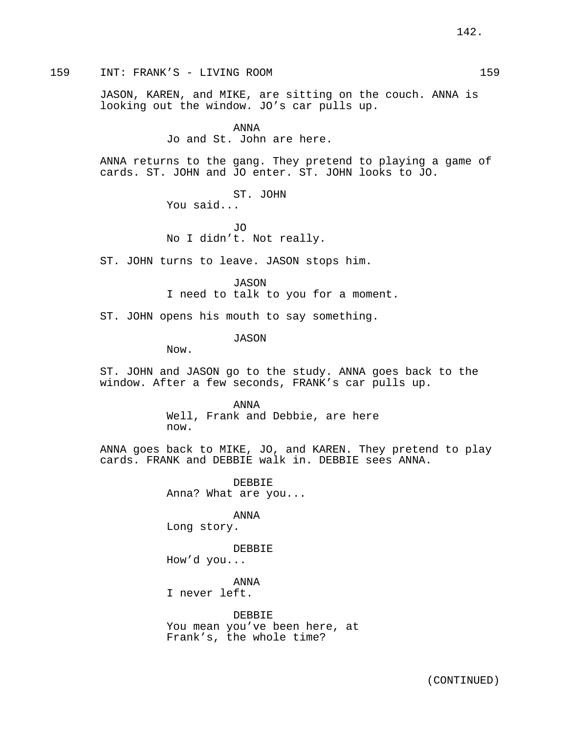159 INT: FRANK'S - LIVING ROOM 159

JASON, KAREN, and MIKE, are sitting on the couch. ANNA is looking out the window. JO's car pulls up.

> ANNA Jo and St. John are here.

ANNA returns to the gang. They pretend to playing a game of cards. ST. JOHN and JO enter. ST. JOHN looks to JO.

> ST. JOHN You said...

JO No I didn't. Not really.

ST. JOHN turns to leave. JASON stops him.

JASON I need to talk to you for a moment.

ST. JOHN opens his mouth to say something.

JASON

Now.

ST. JOHN and JASON go to the study. ANNA goes back to the window. After a few seconds, FRANK's car pulls up.

> ANNA Well, Frank and Debbie, are here now.

ANNA goes back to MIKE, JO, and KAREN. They pretend to play cards. FRANK and DEBBIE walk in. DEBBIE sees ANNA.

> DEBBIE Anna? What are you...

ANNA Long story.

DEBBIE How'd you...

ANNA I never left.

DEBBIE You mean you've been here, at Frank's, the whole time?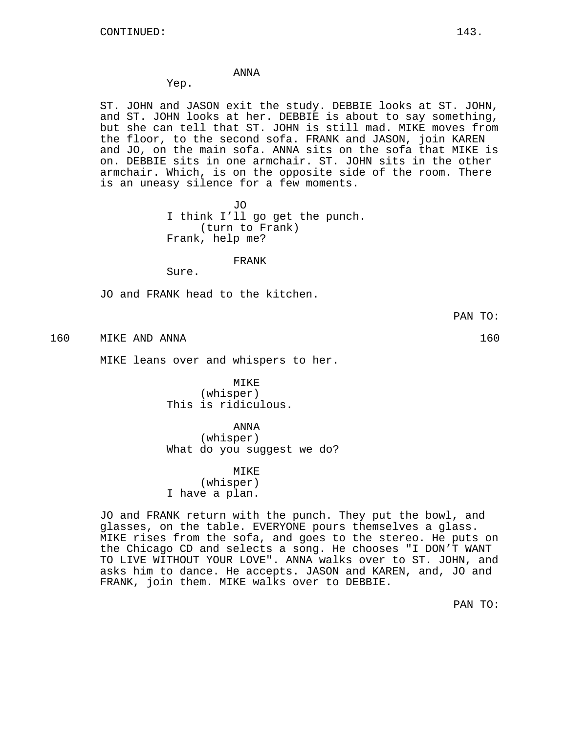## ANNA

Yep.

ST. JOHN and JASON exit the study. DEBBIE looks at ST. JOHN, and ST. JOHN looks at her. DEBBIE is about to say something, but she can tell that ST. JOHN is still mad. MIKE moves from the floor, to the second sofa. FRANK and JASON, join KAREN and JO, on the main sofa. ANNA sits on the sofa that MIKE is on. DEBBIE sits in one armchair. ST. JOHN sits in the other armchair. Which, is on the opposite side of the room. There is an uneasy silence for a few moments.

> JO I think I'll go get the punch. (turn to Frank) Frank, help me?

#### FRANK

Sure.

JO and FRANK head to the kitchen.

PAN TO:

160 MIKE AND ANNA 160

MIKE leans over and whispers to her.

MIKE (whisper) This is ridiculous.

ANNA

(whisper) What do you suqqest we do?

MIKE

(whisper) I have a plan.

JO and FRANK return with the punch. They put the bowl, and glasses, on the table. EVERYONE pours themselves a glass. MIKE rises from the sofa, and goes to the stereo. He puts on the Chicago CD and selects a song. He chooses "I DON'T WANT TO LIVE WITHOUT YOUR LOVE". ANNA walks over to ST. JOHN, and asks him to dance. He accepts. JASON and KAREN, and, JO and FRANK, join them. MIKE walks over to DEBBIE.

PAN TO: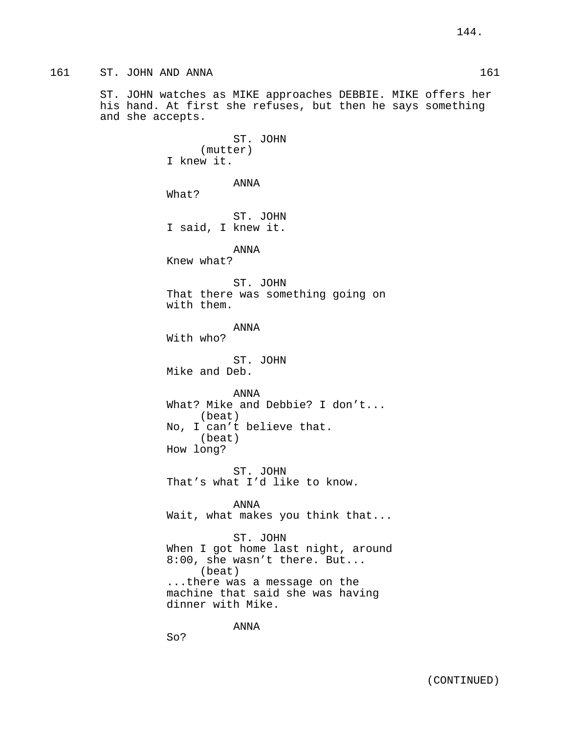ST. JOHN watches as MIKE approaches DEBBIE. MIKE offers her his hand. At first she refuses, but then he says something and she accepts.

> ST. JOHN (mutter) I knew it. ANNA What? ST. JOHN I said, I knew it. ANNA Knew what? ST. JOHN That there was something going on with them. ANNA With who? ST. JOHN Mike and Deb. ANNA What? Mike and Debbie? I don't... (beat) No, I can't believe that. (beat) How long? ST. JOHN That's what I'd like to know. ANNA Wait, what makes you think that... ST. JOHN When I got home last night, around 8:00, she wasn't there. But... (beat) ...there was a message on the machine that said she was having dinner with Mike.

So?

ANNA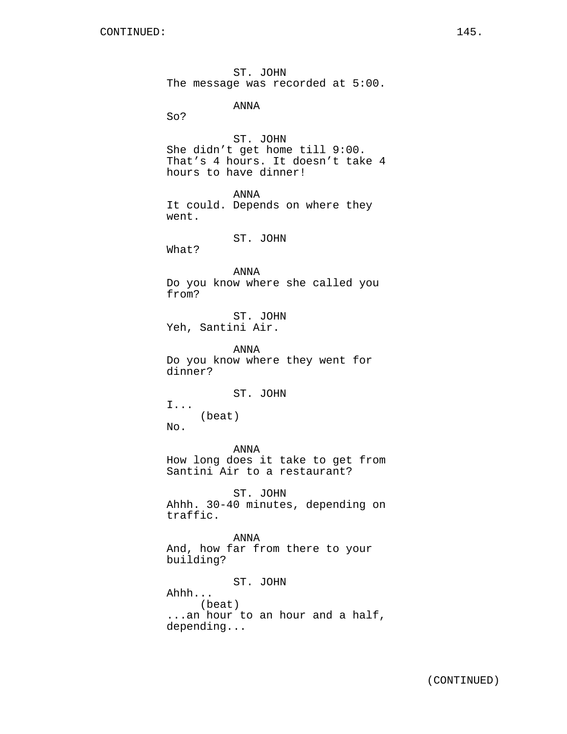ST. JOHN The message was recorded at 5:00.

ANNA

So?

ST. JOHN She didn't get home till 9:00. That's 4 hours. It doesn't take 4 hours to have dinner!

ANNA It could. Depends on where they went.

ST. JOHN

What?

ANNA Do you know where she called you from?

ST. JOHN Yeh, Santini Air.

ANNA Do you know where they went for dinner?

ST. JOHN

I... (beat) No.

ANNA How long does it take to get from Santini Air to a restaurant?

ST. JOHN Ahhh. 30-40 minutes, depending on traffic.

ANNA And, how far from there to your building?

ST. JOHN Ahhh... (beat) ...an hour to an hour and a half, depending...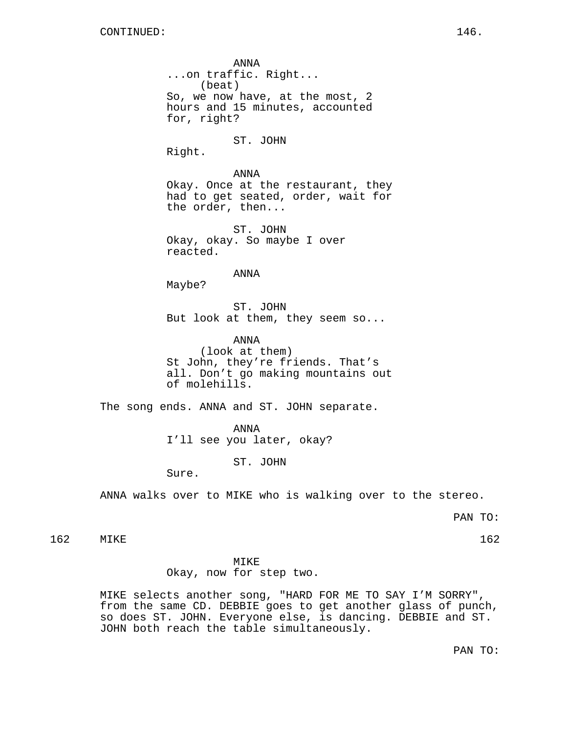ANNA ...on traffic. Right... (beat) So, we now have, at the most, 2 hours and 15 minutes, accounted for, right?

ST. JOHN

Right.

ANNA Okay. Once at the restaurant, they had to get seated, order, wait for the order, then...

ST. JOHN Okay, okay. So maybe I over reacted.

ANNA

Maybe?

ST. JOHN But look at them, they seem so...

ANNA (look at them) St John, they're friends. That's all. Don't go making mountains out of molehills.

The song ends. ANNA and ST. JOHN separate.

ANNA I'll see you later, okay?

ST. JOHN

Sure.

ANNA walks over to MIKE who is walking over to the stereo.

PAN TO:

162 MIKE 162 MIKE 162

MIKE

Okay, now for step two.

MIKE selects another song, "HARD FOR ME TO SAY I'M SORRY", from the same CD. DEBBIE goes to get another glass of punch, so does ST. JOHN. Everyone else, is dancing. DEBBIE and ST. JOHN both reach the table simultaneously.

PAN TO: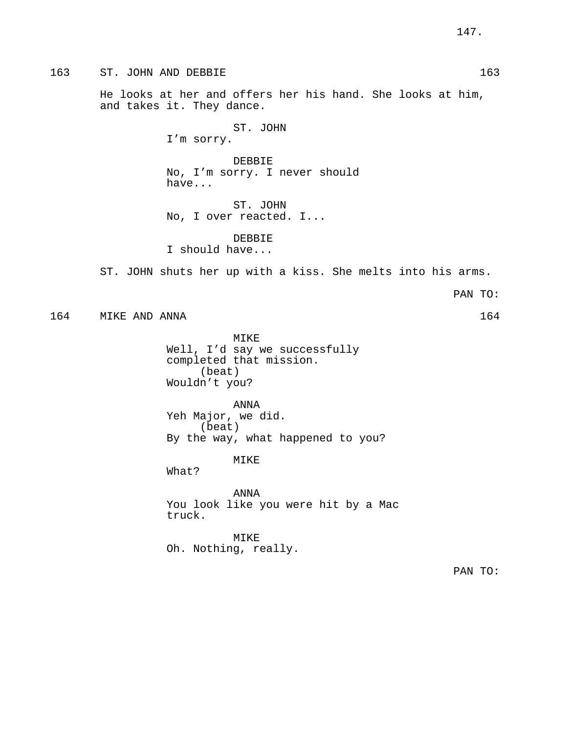163 ST. JOHN AND DEBBIE 163

He looks at her and offers her his hand. She looks at him, and takes it. They dance.

> ST. JOHN I'm sorry.

DEBBIE No, I'm sorry. I never should have...

ST. JOHN No, I over reacted. I...

DEBBIE I should have...

ST. JOHN shuts her up with a kiss. She melts into his arms.

PAN TO:

164 MIKE AND ANNA 164

MIKE Well, I'd say we successfully completed that mission. (beat) Wouldn't you?

ANNA Yeh Major, we did. (beat) By the way, what happened to you?

MIKE

What?

ANNA You look like you were hit by a Mac truck.

MIKE Oh. Nothing, really.

PAN TO: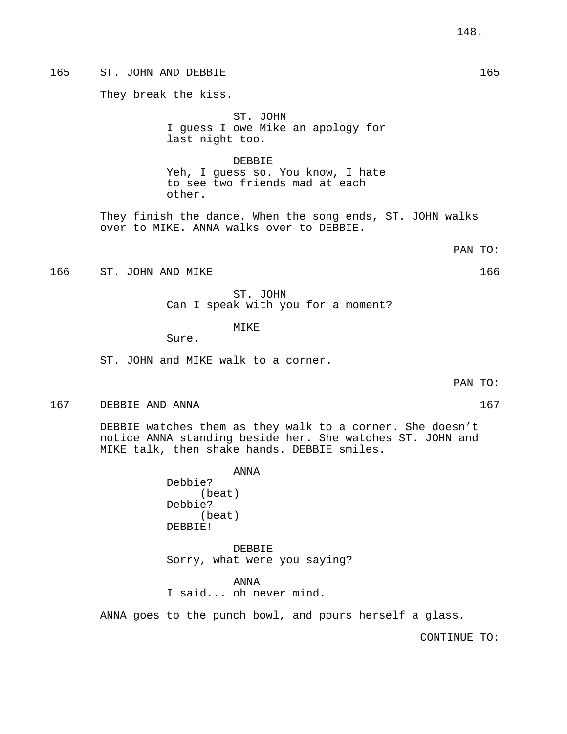# 165 ST. JOHN AND DEBBIE 165

They break the kiss.

ST. JOHN I guess I owe Mike an apology for last night too.

DEBBIE Yeh, I guess so. You know, I hate to see two friends mad at each other.

They finish the dance. When the song ends, ST. JOHN walks over to MIKE. ANNA walks over to DEBBIE.

## PAN TO:

166 ST. JOHN AND MIKE 2008 166 ST. JOHN AND MIKE

ST. JOHN Can I speak with you for a moment?

# MIKE

Sure.

ST. JOHN and MIKE walk to a corner.

PAN TO:

167 DEBBIE AND ANNA 167 (167)

DEBBIE watches them as they walk to a corner. She doesn't notice ANNA standing beside her. She watches ST. JOHN and MIKE talk, then shake hands. DEBBIE smiles.

> ANNA Debbie? (beat) Debbie? (beat) DEBBIE!

DEBBIE Sorry, what were you saying?

ANNA I said... oh never mind.

ANNA goes to the punch bowl, and pours herself a glass.

CONTINUE TO: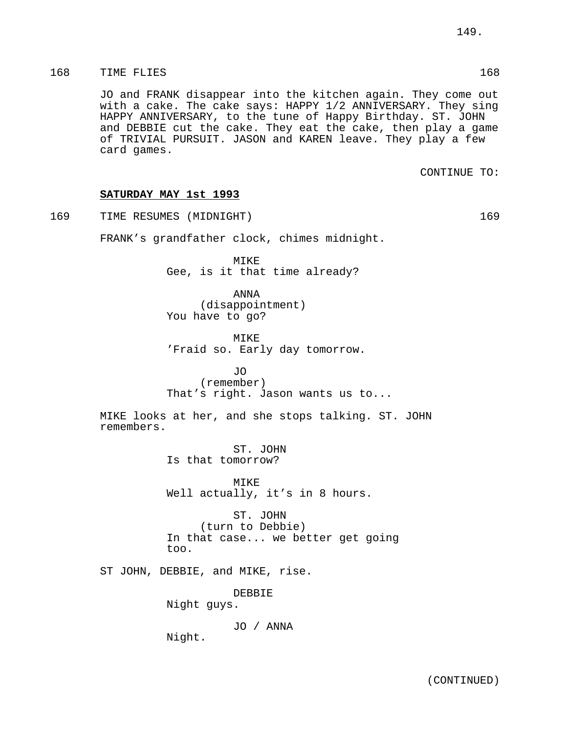JO and FRANK disappear into the kitchen again. They come out with a cake. The cake says: HAPPY 1/2 ANNIVERSARY. They sing HAPPY ANNIVERSARY, to the tune of Happy Birthday. ST. JOHN and DEBBIE cut the cake. They eat the cake, then play a game of TRIVIAL PURSUIT. JASON and KAREN leave. They play a few card games.

CONTINUE TO:

# **SATURDAY MAY 1st 1993**

169 TIME RESUMES (MIDNIGHT) 169

FRANK's grandfather clock, chimes midnight.

MIKE Gee, is it that time already?

ANNA (disappointment) You have to go?

MIKE 'Fraid so. Early day tomorrow.

JO (remember) That's right. Jason wants us to...

MIKE looks at her, and she stops talking. ST. JOHN remembers.

> ST. JOHN Is that tomorrow?

MTKF. Well actually, it's in 8 hours.

ST. JOHN (turn to Debbie) In that case... we better get going too.

ST JOHN, DEBBIE, and MIKE, rise.

DEBBIE

Night guys.

JO / ANNA

Night.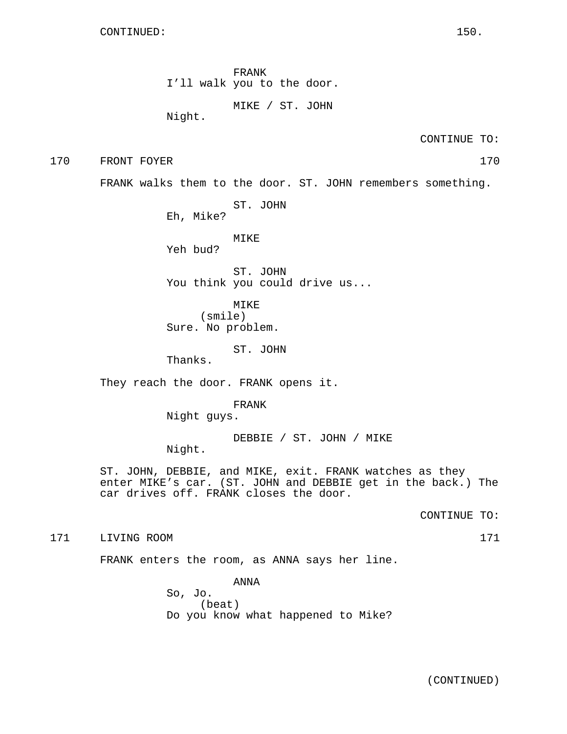FRANK I'll walk you to the door.

MIKE / ST. JOHN

Night.

CONTINUE TO:

170 FRONT FOYER 170

FRANK walks them to the door. ST. JOHN remembers something.

ST. JOHN

Eh, Mike?

MIKE

Yeh bud?

ST. JOHN You think you could drive us...

MIKE (smile) Sure. No problem.

ST. JOHN

Thanks.

They reach the door. FRANK opens it.

FRANK Night guys.

DEBBIE / ST. JOHN / MIKE Night.

ST. JOHN, DEBBIE, and MIKE, exit. FRANK watches as they enter MIKE's car. (ST. JOHN and DEBBIE get in the back.) The car drives off. FRANK closes the door.

CONTINUE TO:

171 LIVING ROOM 171

FRANK enters the room, as ANNA says her line.

ANNA So, Jo. (beat) Do you know what happened to Mike?

(CONTINUED)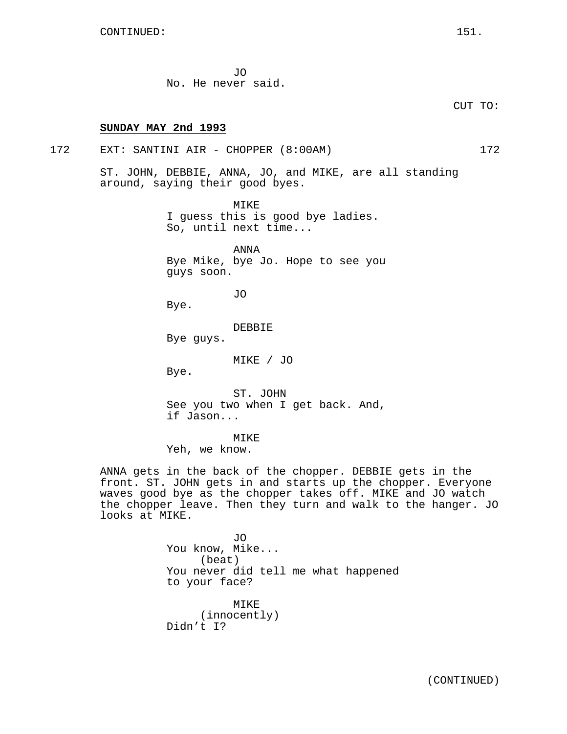JO No. He never said.

# **SUNDAY MAY 2nd 1993**

## 172 EXT: SANTINI AIR - CHOPPER (8:00AM) 172

ST. JOHN, DEBBIE, ANNA, JO, and MIKE, are all standing around, saying their good byes.

> MIKE I guess this is good bye ladies. So, until next time...

ANNA Bye Mike, bye Jo. Hope to see you guys soon.

JO

Bye.

DEBBIE

Bye guys.

MIKE / JO

Bye.

ST. JOHN See you two when I get back. And, if Jason...

MIKE

Yeh, we know.

ANNA gets in the back of the chopper. DEBBIE gets in the front. ST. JOHN gets in and starts up the chopper. Everyone waves good bye as the chopper takes off. MIKE and JO watch the chopper leave. Then they turn and walk to the hanger. JO looks at MIKE.

> JO You know, Mike... (beat) You never did tell me what happened to your face? MIKE (innocently) Didn't I?

CUT TO: